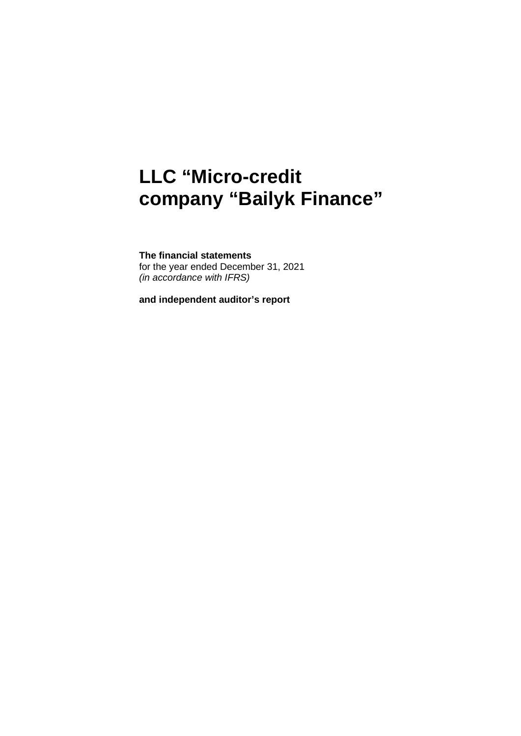# **LLC "Micro-credit company "Bailyk Finance"**

## **The financial statements**

for the year ended December 31, 2021 *(in accordance with IFRS)*

**and independent auditor's report**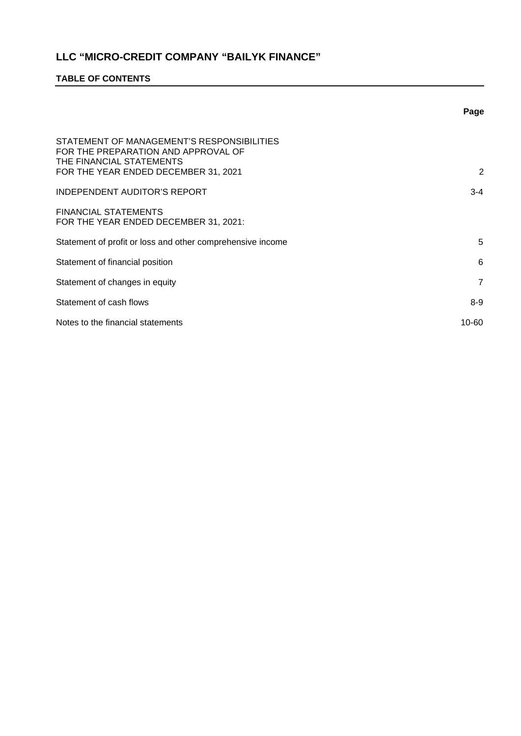## **TABLE OF CONTENTS**

|                                                                                                                                                       | Page           |
|-------------------------------------------------------------------------------------------------------------------------------------------------------|----------------|
| STATEMENT OF MANAGEMENT'S RESPONSIBILITIES<br>FOR THE PREPARATION AND APPROVAL OF<br>THE FINANCIAL STATEMENTS<br>FOR THE YEAR ENDED DECEMBER 31, 2021 | 2              |
| <b>INDEPENDENT AUDITOR'S REPORT</b>                                                                                                                   | $3 - 4$        |
| <b>FINANCIAL STATEMENTS</b><br>FOR THE YEAR ENDED DECEMBER 31, 2021:                                                                                  |                |
| Statement of profit or loss and other comprehensive income                                                                                            | 5              |
| Statement of financial position                                                                                                                       | 6              |
| Statement of changes in equity                                                                                                                        | $\overline{7}$ |
| Statement of cash flows                                                                                                                               | $8-9$          |
| Notes to the financial statements                                                                                                                     | $10 - 60$      |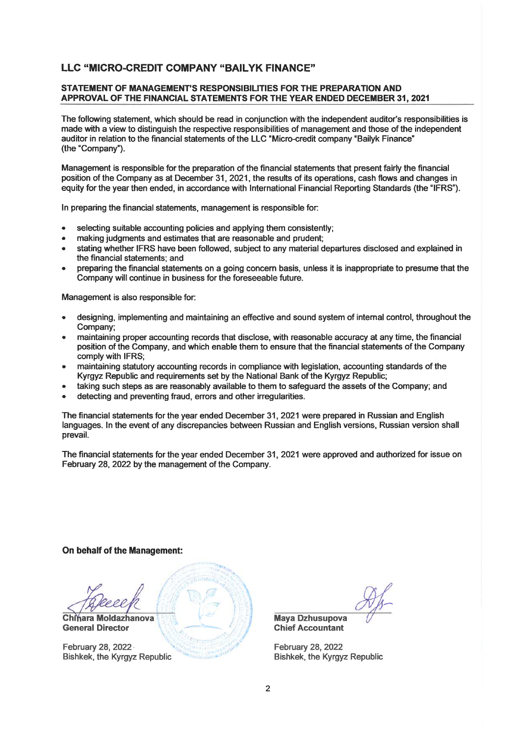#### STATEMENT OF MANAGEMENT'S RESPONSIBILITIES FOR THE PREPARATION AND APPROVAL OF THE FINANCIAL STATEMENTS FOR THE YEAR ENDED DECEMBER 31, 2021

The following statement, which should be read in conjunction with the independent auditor's responsibilities is made with a view to distinguish the respective responsibilities of management and those of the independent auditor in relation to the financial statements of the LLC "Micro-credit company "Bailyk Finance" (the "Company").

Management is responsible for the preparation of the financial statements that present fairly the financial position of the Company as at December 31, 2021, the results of its operations, cash flows and changes in equity for the year then ended, in accordance with International Financial Reporting Standards (the "IFRS").

In preparing the financial statements, management is responsible for:

- selecting suitable accounting policies and applying them consistently;
- making judgments and estimates that are reasonable and prudent:
- stating whether IFRS have been followed, subject to any material departures disclosed and explained in the financial statements: and
- preparing the financial statements on a going concern basis, unless it is inappropriate to presume that the Company will continue in business for the foreseeable future.

Management is also responsible for:

- designing, implementing and maintaining an effective and sound system of internal control, throughout the Company:
- maintaining proper accounting records that disclose, with reasonable accuracy at any time, the financial position of the Company, and which enable them to ensure that the financial statements of the Company comply with IFRS;
- maintaining statutory accounting records in compliance with legislation, accounting standards of the Kyrgyz Republic and requirements set by the National Bank of the Kyrgyz Republic;
- taking such steps as are reasonably available to them to safeguard the assets of the Company; and
- detecting and preventing fraud, errors and other irregularities.

The financial statements for the year ended December 31, 2021 were prepared in Russian and English languages. In the event of any discrepancies between Russian and English versions, Russian version shall prevail.

The financial statements for the year ended December 31, 2021 were approved and authorized for issue on February 28, 2022 by the management of the Company.

#### On behalf of the Management:

Chinara Moldazhanova **General Director** 

February 28, 2022 · **Bishkek, the Kyrgyz Republic** 

**Maya Dzhusupova Chief Accountant** 

February 28, 2022 **Bishkek, the Kyrgyz Republic**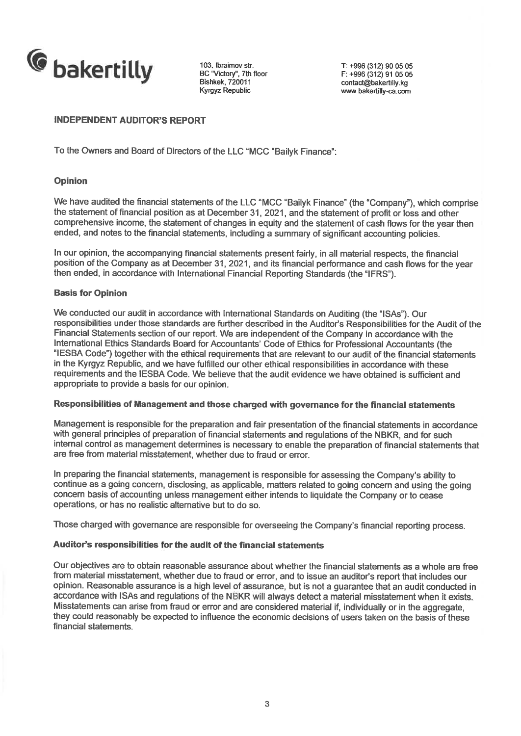

103. Ibraimov str. BC "Victory", 7th floor **Bishkek. 720011** Kyrgyz Republic

T: +996 (312) 90 05 05  $F: +996(312)$  91 05 05 contact@bakertilly.kg www.bakertilly-ca.com

## **INDEPENDENT AUDITOR'S REPORT**

To the Owners and Board of Directors of the LLC "MCC "Bailyk Finance":

## **Opinion**

We have audited the financial statements of the LLC "MCC "Bailyk Finance" (the "Company"), which comprise the statement of financial position as at December 31, 2021, and the statement of profit or loss and other comprehensive income, the statement of changes in equity and the statement of cash flows for the year then ended, and notes to the financial statements, including a summary of significant accounting policies.

In our opinion, the accompanying financial statements present fairly, in all material respects, the financial position of the Company as at December 31, 2021, and its financial performance and cash flows for the year then ended, in accordance with International Financial Reporting Standards (the "IFRS").

## **Basis for Opinion**

We conducted our audit in accordance with International Standards on Auditing (the "ISAs"). Our responsibilities under those standards are further described in the Auditor's Responsibilities for the Audit of the Financial Statements section of our report. We are independent of the Company in accordance with the International Ethics Standards Board for Accountants' Code of Ethics for Professional Accountants (the "IESBA Code") together with the ethical requirements that are relevant to our audit of the financial statements in the Kyrgyz Republic, and we have fulfilled our other ethical responsibilities in accordance with these requirements and the IESBA Code. We believe that the audit evidence we have obtained is sufficient and appropriate to provide a basis for our opinion.

## Responsibilities of Management and those charged with governance for the financial statements

Management is responsible for the preparation and fair presentation of the financial statements in accordance with general principles of preparation of financial statements and regulations of the NBKR, and for such internal control as management determines is necessary to enable the preparation of financial statements that are free from material misstatement, whether due to fraud or error.

In preparing the financial statements, management is responsible for assessing the Company's ability to continue as a going concern, disclosing, as applicable, matters related to going concern and using the going concern basis of accounting unless management either intends to liquidate the Company or to cease operations, or has no realistic alternative but to do so.

Those charged with governance are responsible for overseeing the Company's financial reporting process.

## Auditor's responsibilities for the audit of the financial statements

Our objectives are to obtain reasonable assurance about whether the financial statements as a whole are free from material misstatement, whether due to fraud or error, and to issue an auditor's report that includes our opinion. Reasonable assurance is a high level of assurance, but is not a guarantee that an audit conducted in accordance with ISAs and regulations of the NBKR will always detect a material misstatement when it exists. Misstatements can arise from fraud or error and are considered material if, individually or in the aggregate, they could reasonably be expected to influence the economic decisions of users taken on the basis of these financial statements.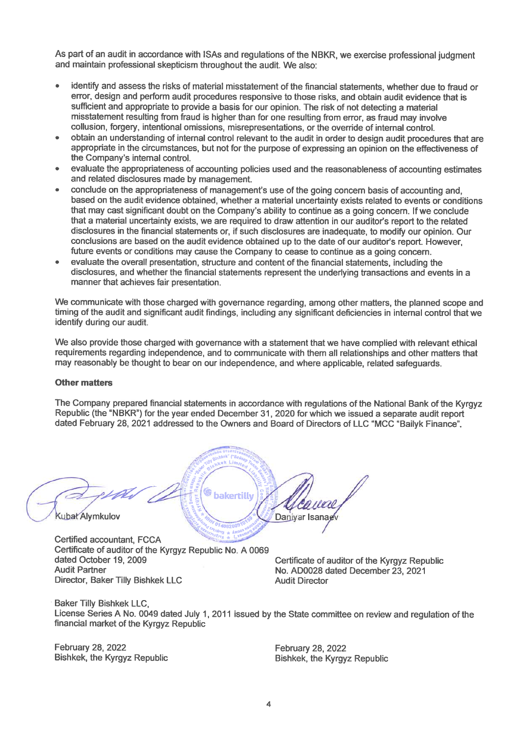As part of an audit in accordance with ISAs and regulations of the NBKR, we exercise professional judgment and maintain professional skepticism throughout the audit. We also:

- identify and assess the risks of material misstatement of the financial statements, whether due to fraud or error, design and perform audit procedures responsive to those risks, and obtain audit evidence that is sufficient and appropriate to provide a basis for our opinion. The risk of not detecting a material misstatement resulting from fraud is higher than for one resulting from error, as fraud may involve collusion, forgery, intentional omissions, misrepresentations, or the override of internal control.
- obtain an understanding of internal control relevant to the audit in order to design audit procedures that are appropriate in the circumstances, but not for the purpose of expressing an opinion on the effectiveness of the Company's internal control.
- evaluate the appropriateness of accounting policies used and the reasonableness of accounting estimates and related disclosures made by management.
- conclude on the appropriateness of management's use of the going concern basis of accounting and. based on the audit evidence obtained, whether a material uncertainty exists related to events or conditions that may cast significant doubt on the Company's ability to continue as a going concern. If we conclude that a material uncertainty exists, we are required to draw attention in our auditor's report to the related disclosures in the financial statements or, if such disclosures are inadequate, to modify our opinion. Our conclusions are based on the audit evidence obtained up to the date of our auditor's report. However, future events or conditions may cause the Company to cease to continue as a going concern.
- evaluate the overall presentation, structure and content of the financial statements, including the disclosures, and whether the financial statements represent the underlying transactions and events in a manner that achieves fair presentation.

We communicate with those charged with governance regarding, among other matters, the planned scope and timing of the audit and significant audit findings, including any significant deficiencies in internal control that we identify during our audit.

We also provide those charged with governance with a statement that we have complied with relevant ethical requirements regarding independence, and to communicate with them all relationships and other matters that may reasonably be thought to bear on our independence, and where applicable, related safequards.

## **Other matters**

The Company prepared financial statements in accordance with regulations of the National Bank of the Kyrgyz Republic (the "NBKR") for the year ended December 31, 2020 for which we issued a separate audit report dated February 28, 2021 addressed to the Owners and Board of Directors of LLC "MCC "Bailyk Finance".

bakertilly Kubat Alymkulov Daniyar Isana

Certified accountant, FCCA Certificate of auditor of the Kyrgyz Republic No. A 0069 dated October 19, 2009 **Audit Partner** Director, Baker Tilly Bishkek LLC

Certificate of auditor of the Kyrgyz Republic No. AD0028 dated December 23, 2021 **Audit Director** 

**Baker Tilly Bishkek LLC.** License Series A No. 0049 dated July 1, 2011 issued by the State committee on review and regulation of the financial market of the Kyrgyz Republic

**February 28, 2022 Bishkek, the Kyrgyz Republic**  February 28, 2022 **Bishkek, the Kyrgyz Republic**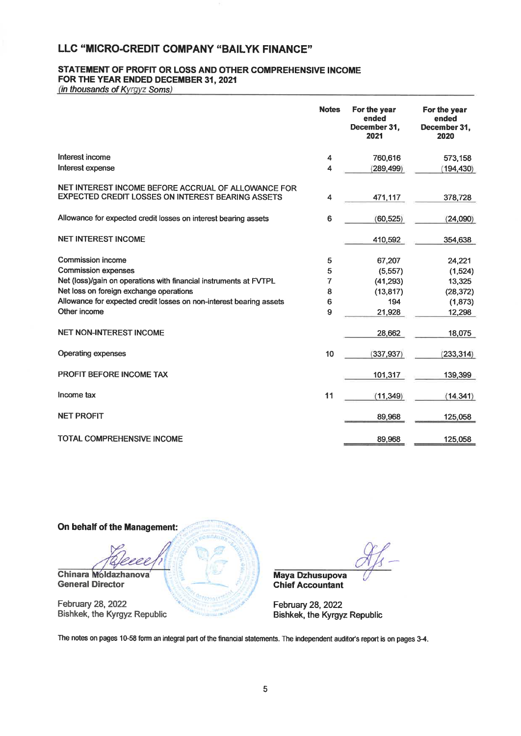#### STATEMENT OF PROFIT OR LOSS AND OTHER COMPREHENSIVE INCOME FOR THE YEAR ENDED DECEMBER 31, 2021

(in thousands of Kyrgyz Soms)

|                                                                                                          | <b>Notes</b> | For the year<br>ended<br>December 31,<br>2021 | For the year<br>ended<br>December 31,<br>2020 |
|----------------------------------------------------------------------------------------------------------|--------------|-----------------------------------------------|-----------------------------------------------|
| Interest income                                                                                          | 4            | 760,616                                       | 573.158                                       |
| Interest expense                                                                                         | 4            | (289, 499)                                    | (194, 430)                                    |
| NET INTEREST INCOME BEFORE ACCRUAL OF ALLOWANCE FOR<br>EXPECTED CREDIT LOSSES ON INTEREST BEARING ASSETS | 4            | 471,117                                       | 378,728                                       |
| Allowance for expected credit losses on interest bearing assets                                          | 6            | (60, 525)                                     | (24,090)                                      |
| <b>NET INTEREST INCOME</b>                                                                               |              | 410,592                                       | 354,638                                       |
| <b>Commission income</b>                                                                                 | 5            | 67,207                                        | 24,221                                        |
| <b>Commission expenses</b>                                                                               | 5            | (5, 557)                                      | (1,524)                                       |
| Net (loss)/gain on operations with financial instruments at FVTPL                                        | 7            | (41, 293)                                     | 13,325                                        |
| Net loss on foreign exchange operations                                                                  | 8            | (13, 817)                                     | (28, 372)                                     |
| Allowance for expected credit losses on non-interest bearing assets                                      | 6            | 194                                           | (1,873)                                       |
| Other income                                                                                             | 9            | 21,928                                        | 12,298                                        |
| <b>NET NON-INTEREST INCOME</b>                                                                           |              | 28,662                                        | 18,075                                        |
| <b>Operating expenses</b>                                                                                | 10           | (337, 937)                                    | (233, 314)                                    |
| <b>PROFIT BEFORE INCOME TAX</b>                                                                          |              | 101,317                                       | 139,399                                       |
| Income tax                                                                                               | 11           | (11, 349)                                     | (14, 341)                                     |
| <b>NET PROFIT</b>                                                                                        |              | 89,968                                        | 125,058                                       |
| <b>TOTAL COMPREHENSIVE INCOME</b>                                                                        |              | 89,968                                        | 125,058                                       |



**Maya Dzhusupova Chief Accountant** 

February 28, 2022 Bishkek, the Kyrgyz Republic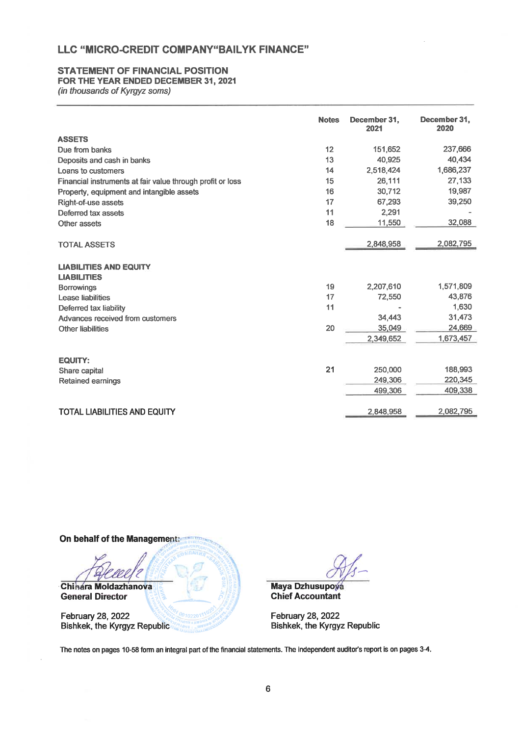## **STATEMENT OF FINANCIAL POSITION**

## FOR THE YEAR ENDED DECEMBER 31, 2021

(in thousands of Kyrgyz soms)

|                                                            | <b>Notes</b> | December 31.<br>2021 | December 31,<br>2020 |
|------------------------------------------------------------|--------------|----------------------|----------------------|
| <b>ASSETS</b>                                              |              |                      |                      |
| Due from banks                                             | 12           | 151,652              | 237,666              |
| Deposits and cash in banks                                 | 13           | 40,925               | 40,434               |
| Loans to customers                                         | 14           | 2,518,424            | 1,686,237            |
| Financial instruments at fair value through profit or loss | 15           | 26,111               | 27,133               |
| Property, equipment and intangible assets                  | 16           | 30,712               | 19,987               |
| Right-of-use assets                                        | 17           | 67,293               | 39,250               |
| Deferred tax assets                                        | 11           | 2,291                |                      |
| Other assets                                               | 18           | 11,550               | 32,088               |
|                                                            |              |                      |                      |
| <b>TOTAL ASSETS</b>                                        |              | 2,848,958            | 2,082,795            |
|                                                            |              |                      |                      |
| <b>LIABILITIES AND EQUITY</b>                              |              |                      |                      |
| <b>LIABILITIES</b>                                         |              |                      |                      |
| <b>Borrowings</b>                                          | 19           | 2,207,610            | 1,571,809            |
| Lease liabilities                                          | 17           | 72,550               | 43,876               |
| Deferred tax liability                                     | 11           |                      | 1,630                |
| Advances received from customers                           |              | 34,443               | 31,473               |
| <b>Other liabilities</b>                                   | 20           | 35,049               | 24,669               |
|                                                            |              | 2,349,652            | 1,673,457            |
|                                                            |              |                      |                      |
| <b>EQUITY:</b>                                             |              |                      |                      |
| Share capital                                              | 21           | 250,000              | 188,993              |
| Retained earnings                                          |              | 249,306              | 220,345              |
|                                                            |              | 499,306              | 409,338              |
|                                                            |              |                      |                      |
| <b>TOTAL LIABILITIES AND EQUITY</b>                        |              | 2.848,958            | 2,082,795            |

On behalf of the Managements



Bishkek, the Kyrgyz Republic

Maya Dzhusupova **Chief Accountant** 

February 28, 2022 Bishkek, the Kyrgyz Republic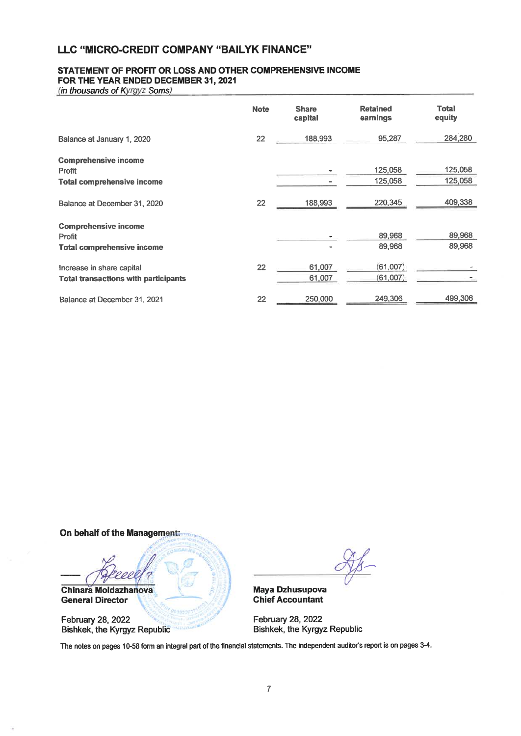## STATEMENT OF PROFIT OR LOSS AND OTHER COMPREHENSIVE INCOME FOR THE YEAR ENDED DECEMBER 31, 2021

(in thousands of Kyrgyz Soms)

|                                                                            | <b>Note</b> | <b>Share</b><br>capital | <b>Retained</b><br>earnings | <b>Total</b><br>equity |
|----------------------------------------------------------------------------|-------------|-------------------------|-----------------------------|------------------------|
| Balance at January 1, 2020                                                 | 22          | 188,993                 | 95,287                      | 284,280                |
| <b>Comprehensive income</b><br>Profit<br><b>Total comprehensive income</b> |             |                         | 125,058<br>125,058          | 125,058<br>125,058     |
| Balance at December 31, 2020                                               | 22          | 188,993                 | 220,345                     | 409,338                |
| <b>Comprehensive income</b><br>Profit<br><b>Total comprehensive income</b> |             |                         | 89,968<br>89,968            | 89,968<br>89,968       |
| Increase in share capital<br><b>Total transactions with participants</b>   | 22          | 61,007<br>61,007        | (61,007)<br>(61,007)        |                        |
| Balance at December 31, 2021                                               | 22          | 250,000                 | 249,306                     | 499,306                |

On behalf of the Management.



February 28, 2022 **Bishkek, the Kyrgyz Republic** 

Maya Dzhusupova **Chief Accountant** 

February 28, 2022 Bishkek, the Kyrgyz Republic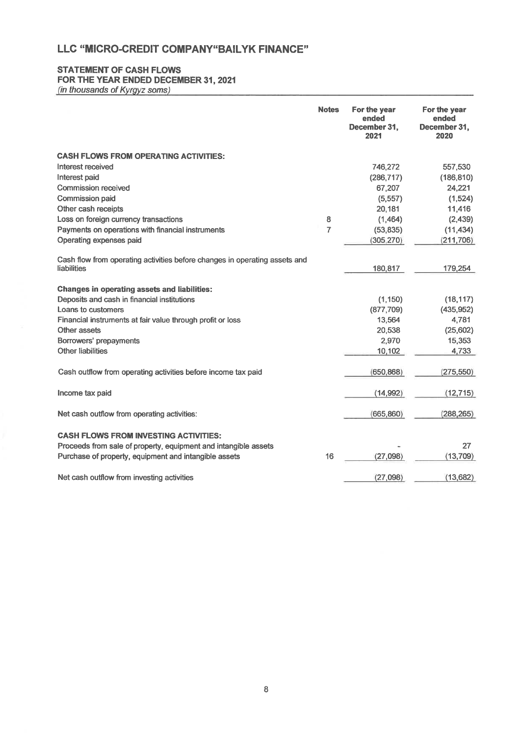## **STATEMENT OF CASH FLOWS**

## FOR THE YEAR ENDED DECEMBER 31, 2021

(in thousands of Kyrgyz soms)

|                                                                            | <b>Notes</b>   | For the year<br>ended<br>December 31,<br>2021 | For the year<br>ended<br>December 31.<br>2020 |
|----------------------------------------------------------------------------|----------------|-----------------------------------------------|-----------------------------------------------|
| <b>CASH FLOWS FROM OPERATING ACTIVITIES:</b>                               |                |                                               |                                               |
| Interest received                                                          |                | 746,272                                       | 557,530                                       |
| Interest paid                                                              |                | (286, 717)                                    | (186, 810)                                    |
| <b>Commission received</b>                                                 |                | 67,207                                        | 24,221                                        |
| <b>Commission paid</b>                                                     |                | (5, 557)                                      | (1, 524)                                      |
| Other cash receipts                                                        |                | 20,181                                        | 11,416                                        |
| Loss on foreign currency transactions                                      | 8              | (1,464)                                       | (2, 439)                                      |
| Payments on operations with financial instruments                          | $\overline{7}$ | (53, 835)                                     | (11, 434)                                     |
| Operating expenses paid                                                    |                | (305, 270)                                    | (211, 706)                                    |
| Cash flow from operating activities before changes in operating assets and |                |                                               |                                               |
| liabilities                                                                |                | 180,817                                       | 179,254                                       |
| <b>Changes in operating assets and liabilities:</b>                        |                |                                               |                                               |
| Deposits and cash in financial institutions                                |                | (1, 150)                                      | (18, 117)                                     |
| Loans to customers                                                         |                | (877,709)                                     | (435, 952)                                    |
| Financial instruments at fair value through profit or loss                 |                | 13,564                                        | 4,781                                         |
| Other assets                                                               |                | 20,538                                        | (25,602)                                      |
| Borrowers' prepayments                                                     |                | 2,970                                         | 15,353                                        |
| <b>Other liabilities</b>                                                   |                | 10,102                                        | 4,733                                         |
| Cash outflow from operating activities before income tax paid              |                | (650, 868)                                    | (275, 550)                                    |
| Income tax paid                                                            |                | (14,992)                                      | (12, 715)                                     |
| Net cash outflow from operating activities:                                |                | (665, 860)                                    | (288, 265)                                    |
| <b>CASH FLOWS FROM INVESTING ACTIVITIES:</b>                               |                |                                               |                                               |
| Proceeds from sale of property, equipment and intangible assets            |                |                                               | 27                                            |
| Purchase of property, equipment and intangible assets                      | 16             | (27,098)                                      | (13,709)                                      |
| Net cash outflow from investing activities                                 |                | (27,098)                                      | (13,682)                                      |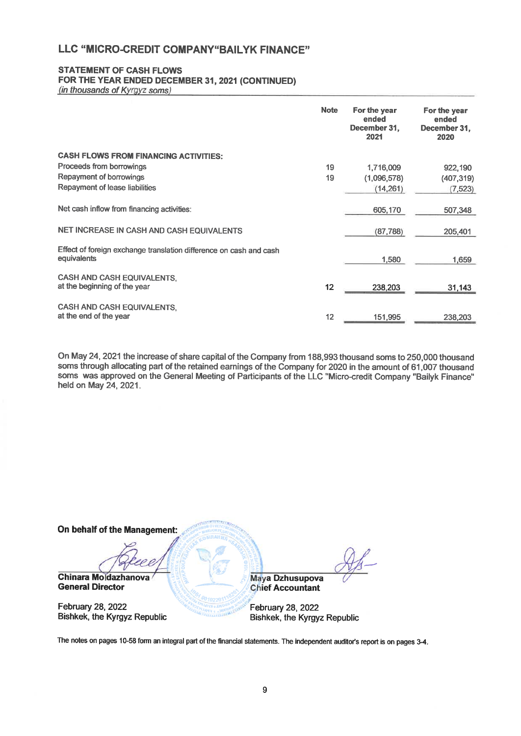## **STATEMENT OF CASH FLOWS**

## FOR THE YEAR ENDED DECEMBER 31, 2021 (CONTINUED)

(in thousands of Kyrgyz soms)

|                                                                                   | <b>Note</b> | For the year<br>ended<br>December 31,<br>2021 | For the year<br>ended<br>December 31,<br>2020 |
|-----------------------------------------------------------------------------------|-------------|-----------------------------------------------|-----------------------------------------------|
| <b>CASH FLOWS FROM FINANCING ACTIVITIES:</b>                                      |             |                                               |                                               |
| Proceeds from borrowings                                                          | 19          | 1,716,009                                     | 922,190                                       |
| Repayment of borrowings                                                           | 19          | (1,096,578)                                   | (407, 319)                                    |
| Repayment of lease liabilities                                                    |             | (14, 261)                                     | (7, 523)                                      |
| Net cash inflow from financing activities:                                        |             | 605,170                                       | 507,348                                       |
| NET INCREASE IN CASH AND CASH EQUIVALENTS                                         |             | (87, 788)                                     | 205,401                                       |
| Effect of foreign exchange translation difference on cash and cash<br>equivalents |             | 1,580                                         | 1.659                                         |
| <b>CASH AND CASH EQUIVALENTS.</b><br>at the beginning of the year                 | 12          | 238,203                                       | 31,143                                        |
| <b>CASH AND CASH EQUIVALENTS,</b><br>at the end of the year                       | 12          | 151,995                                       | 238,203                                       |

On May 24, 2021 the increase of share capital of the Company from 188,993 thousand soms to 250,000 thousand soms through allocating part of the retained earnings of the Company for 2020 in the amount of 61,007 thousand soms was approved on the General Meeting of Participants of the LLC "Micro-credit Company "Bailyk Finance" held on May 24, 2021.

| On behalf of the Management:        |                              |
|-------------------------------------|------------------------------|
|                                     |                              |
| <b>Chinara Moldazhanova</b>         | Maya Dzhusupova              |
| <b>General Director</b>             | <b>Chief Accountant</b>      |
| February 28, 2022                   | February 28, 2022            |
| <b>Bishkek, the Kyrgyz Republic</b> | Bishkek, the Kyrgyz Republic |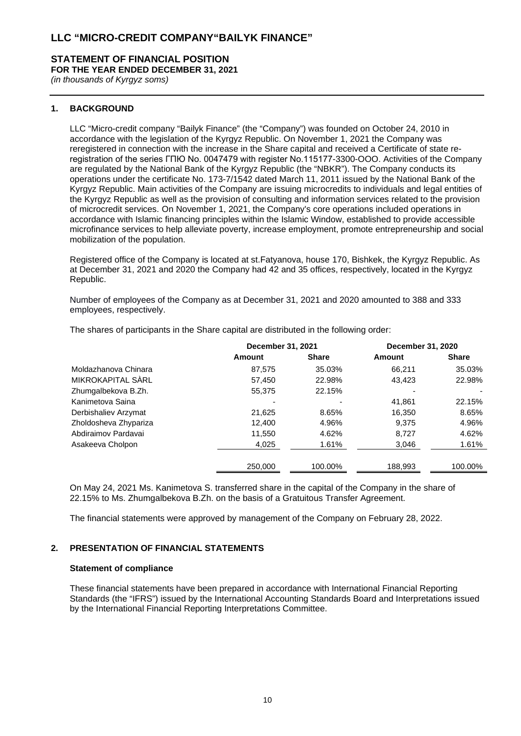#### **STATEMENT OF FINANCIAL POSITION FOR THE YEAR ENDED DECEMBER 31, 2021**

*(in thousands of Kyrgyz soms)*

## **1. BACKGROUND**

LLC "Micro-credit company "Bailyk Finance" (the "Company") was founded on October 24, 2010 in accordance with the legislation of the Kyrgyz Republic. On November 1, 2021 the Company was reregistered in connection with the increase in the Share capital and received a Certificate of state reregistration of the series ГПЮ No. 0047479 with register No.115177-3300-OOO. Activities of the Company are regulated by the National Bank of the Kyrgyz Republic (the "NBKR"). The Company conducts its operations under the certificate No. 173-7/1542 dated March 11, 2011 issued by the National Bank of the Kyrgyz Republic. Main activities of the Company are issuing microcredits to individuals and legal entities of the Kyrgyz Republic as well as the provision of consulting and information services related to the provision of microcredit services. On November 1, 2021, the Company's core operations included operations in accordance with Islamic financing principles within the Islamic Window, established to provide accessible microfinance services to help alleviate poverty, increase employment, promote entrepreneurship and social mobilization of the population.

Registered office of the Company is located at st.Fatyanova, house 170, Bishkek, the Kyrgyz Republic. As at December 31, 2021 and 2020 the Company had 42 and 35 offices, respectively, located in the Kyrgyz Republic.

Number of employees of the Company as at December 31, 2021 and 2020 amounted to 388 and 333 employees, respectively.

|                       | December 31, 2021 |              | December 31, 2020 |              |
|-----------------------|-------------------|--------------|-------------------|--------------|
|                       | Amount            | <b>Share</b> | Amount            | <b>Share</b> |
| Moldazhanova Chinara  | 87.575            | 35.03%       | 66.211            | 35.03%       |
| MIKROKAPITAL SÀRL     | 57.450            | 22.98%       | 43.423            | 22.98%       |
| Zhumgalbekova B.Zh.   | 55.375            | 22.15%       |                   |              |
| Kanimetova Saina      |                   |              | 41.861            | 22.15%       |
| Derbishaliev Arzymat  | 21,625            | 8.65%        | 16,350            | 8.65%        |
| Zholdosheva Zhypariza | 12,400            | 4.96%        | 9.375             | 4.96%        |
| Abdiraimov Pardavai   | 11,550            | 4.62%        | 8,727             | 4.62%        |
| Asakeeva Cholpon      | 4,025             | 1.61%        | 3,046             | 1.61%        |
|                       | 250,000           | 100.00%      | 188,993           | 100.00%      |

The shares of participants in the Share capital are distributed in the following order:

On May 24, 2021 Ms. Kanimetova S. transferred share in the capital of the Company in the share of 22.15% to Ms. Zhumgalbekova B.Zh. on the basis of a Gratuitous Transfer Agreement.

The financial statements were approved by management of the Company on February 28, 2022.

## **2. PRESENTATION OF FINANCIAL STATEMENTS**

#### **Statement of compliance**

These financial statements have been prepared in accordance with International Financial Reporting Standards (the "IFRS") issued by the International Accounting Standards Board and Interpretations issued by the International Financial Reporting Interpretations Committee.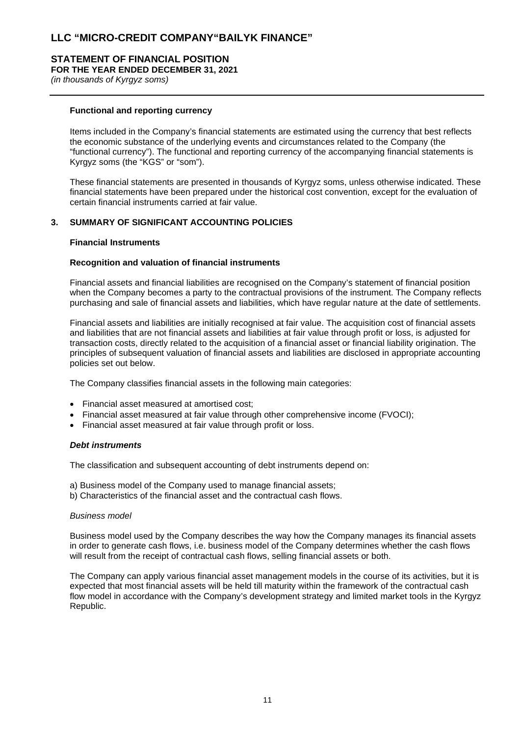# **STATEMENT OF FINANCIAL POSITION**

**FOR THE YEAR ENDED DECEMBER 31, 2021**

*(in thousands of Kyrgyz soms)*

## **Functional and reporting currency**

Items included in the Company's financial statements are estimated using the currency that best reflects the economic substance of the underlying events and circumstances related to the Company (the "functional currency"). The functional and reporting currency of the accompanying financial statements is Kyrgyz soms (the "KGS" or "som").

These financial statements are presented in thousands of Kyrgyz soms, unless otherwise indicated. These financial statements have been prepared under the historical cost convention, except for the evaluation of certain financial instruments carried at fair value.

## **3. SUMMARY OF SIGNIFICANT ACCOUNTING POLICIES**

#### **Financial Instruments**

#### **Recognition and valuation of financial instruments**

Financial assets and financial liabilities are recognised on the Company's statement of financial position when the Company becomes a party to the contractual provisions of the instrument. The Company reflects purchasing and sale of financial assets and liabilities, which have regular nature at the date of settlements.

Financial assets and liabilities are initially recognised at fair value. The acquisition cost of financial assets and liabilities that are not financial assets and liabilities at fair value through profit or loss, is adjusted for transaction costs, directly related to the acquisition of a financial asset or financial liability origination. The principles of subsequent valuation of financial assets and liabilities are disclosed in appropriate accounting policies set out below.

The Company classifies financial assets in the following main categories:

- Financial asset measured at amortised cost;
- Financial asset measured at fair value through other comprehensive income (FVOCI);
- Financial asset measured at fair value through profit or loss.

#### *Debt instruments*

The classification and subsequent accounting of debt instruments depend on:

- a) Business model of the Company used to manage financial assets;
- b) Characteristics of the financial asset and the contractual cash flows.

## *Business model*

Business model used by the Company describes the way how the Company manages its financial assets in order to generate cash flows, i.e. business model of the Company determines whether the cash flows will result from the receipt of contractual cash flows, selling financial assets or both.

The Company can apply various financial asset management models in the course of its activities, but it is expected that most financial assets will be held till maturity within the framework of the contractual cash flow model in accordance with the Company's development strategy and limited market tools in the Kyrgyz Republic.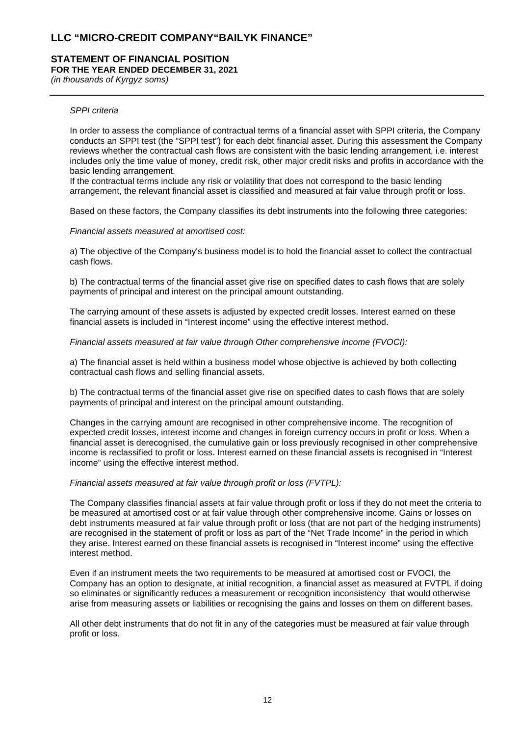#### **STATEMENT OF FINANCIAL POSITION FOR THE YEAR ENDED DECEMBER 31, 2021**

*(in thousands of Kyrgyz soms)*

## *SPPI criteria*

In order to assess the compliance of contractual terms of a financial asset with SPPI criteria, the Company conducts an SPPI test (the "SPPI test") for each debt financial asset. During this assessment the Company reviews whether the contractual cash flows are consistent with the basic lending arrangement, i.e. interest includes only the time value of money, credit risk, other major credit risks and profits in accordance with the basic lending arrangement.

If the contractual terms include any risk or volatility that does not correspond to the basic lending arrangement, the relevant financial asset is classified and measured at fair value through profit or loss.

Based on these factors, the Company classifies its debt instruments into the following three categories:

#### *Financial assets measured at amortised cost:*

a) The objective of the Company's business model is to hold the financial asset to collect the contractual cash flows.

b) The contractual terms of the financial asset give rise on specified dates to cash flows that are solely payments of principal and interest on the principal amount outstanding.

The carrying amount of these assets is adjusted by expected credit losses. Interest earned on these financial assets is included in "Interest income" using the effective interest method.

#### *Financial assets measured at fair value through Other comprehensive income (FVOCI):*

a) The financial asset is held within a business model whose objective is achieved by both collecting contractual cash flows and selling financial assets.

b) The contractual terms of the financial asset give rise on specified dates to cash flows that are solely payments of principal and interest on the principal amount outstanding.

Changes in the carrying amount are recognised in other comprehensive income. The recognition of expected credit losses, interest income and changes in foreign currency occurs in profit or loss. When a financial asset is derecognised, the cumulative gain or loss previously recognised in other comprehensive income is reclassified to profit or loss. Interest earned on these financial assets is recognised in "Interest income" using the effective interest method.

#### *Financial assets measured at fair value through profit or loss (FVTPL):*

The Company classifies financial assets at fair value through profit or loss if they do not meet the criteria to be measured at amortised cost or at fair value through other comprehensive income. Gains or losses on debt instruments measured at fair value through profit or loss (that are not part of the hedging instruments) are recognised in the statement of profit or loss as part of the "Net Trade Income" in the period in which they arise. Interest earned on these financial assets is recognised in "Interest income" using the effective interest method.

Even if an instrument meets the two requirements to be measured at amortised cost or FVOCI, the Company has an option to designate, at initial recognition, a financial asset as measured at FVTPL if doing so eliminates or significantly reduces a measurement or recognition inconsistency that would otherwise arise from measuring assets or liabilities or recognising the gains and losses on them on different bases.

All other debt instruments that do not fit in any of the categories must be measured at fair value through profit or loss.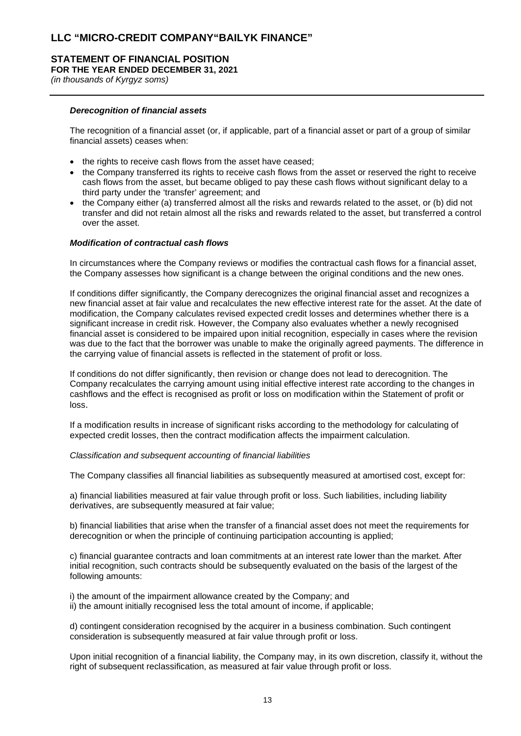## **STATEMENT OF FINANCIAL POSITION FOR THE YEAR ENDED DECEMBER 31, 2021**

*(in thousands of Kyrgyz soms)*

## *Derecognition of financial assets*

The recognition of a financial asset (or, if applicable, part of a financial asset or part of a group of similar financial assets) ceases when:

- the rights to receive cash flows from the asset have ceased;
- the Company transferred its rights to receive cash flows from the asset or reserved the right to receive cash flows from the asset, but became obliged to pay these cash flows without significant delay to a third party under the 'transfer' agreement; and
- the Company either (a) transferred almost all the risks and rewards related to the asset, or (b) did not transfer and did not retain almost all the risks and rewards related to the asset, but transferred a control over the asset.

## *Modification of contractual cash flows*

In circumstances where the Company reviews or modifies the contractual cash flows for a financial asset, the Company assesses how significant is a change between the original conditions and the new ones.

If conditions differ significantly, the Company derecognizes the original financial asset and recognizes a new financial asset at fair value and recalculates the new effective interest rate for the asset. At the date of modification, the Company calculates revised expected credit losses and determines whether there is a significant increase in credit risk. However, the Company also evaluates whether a newly recognised financial asset is considered to be impaired upon initial recognition, especially in cases where the revision was due to the fact that the borrower was unable to make the originally agreed payments. The difference in the carrying value of financial assets is reflected in the statement of profit or loss.

If conditions do not differ significantly, then revision or change does not lead to derecognition. The Company recalculates the carrying amount using initial effective interest rate according to the changes in cashflows and the effect is recognised as profit or loss on modification within the Statement of profit or loss.

If a modification results in increase of significant risks according to the methodology for calculating of expected credit losses, then the contract modification affects the impairment calculation.

#### *Classification and subsequent accounting of financial liabilities*

The Company classifies all financial liabilities as subsequently measured at amortised cost, except for:

a) financial liabilities measured at fair value through profit or loss. Such liabilities, including liability derivatives, are subsequently measured at fair value;

b) financial liabilities that arise when the transfer of a financial asset does not meet the requirements for derecognition or when the principle of continuing participation accounting is applied;

c) financial guarantee contracts and loan commitments at an interest rate lower than the market. After initial recognition, such contracts should be subsequently evaluated on the basis of the largest of the following amounts:

i) the amount of the impairment allowance created by the Company; and ii) the amount initially recognised less the total amount of income, if applicable;

d) contingent consideration recognised by the acquirer in a business combination. Such contingent consideration is subsequently measured at fair value through profit or loss.

Upon initial recognition of a financial liability, the Company may, in its own discretion, classify it, without the right of subsequent reclassification, as measured at fair value through profit or loss.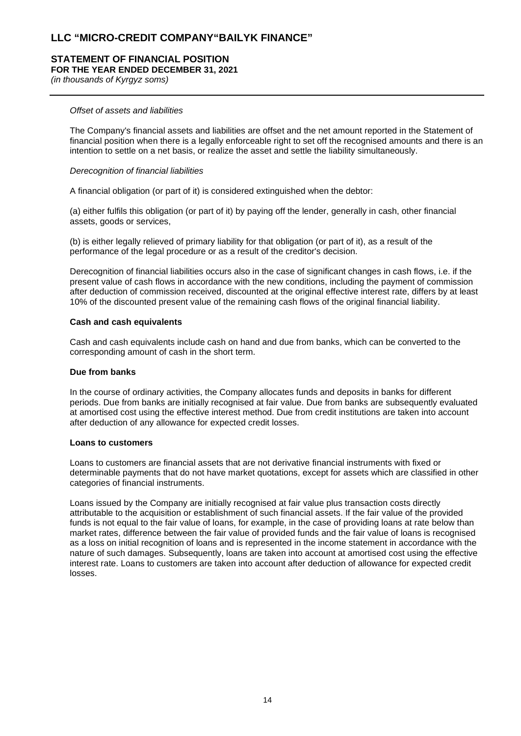#### **STATEMENT OF FINANCIAL POSITION FOR THE YEAR ENDED DECEMBER 31, 2021**

*(in thousands of Kyrgyz soms)*

## *Offset of assets and liabilities*

The Company's financial assets and liabilities are offset and the net amount reported in the Statement of financial position when there is a legally enforceable right to set off the recognised amounts and there is an intention to settle on a net basis, or realize the asset and settle the liability simultaneously.

#### *Derecognition of financial liabilities*

A financial obligation (or part of it) is considered extinguished when the debtor:

(a) either fulfils this obligation (or part of it) by paying off the lender, generally in cash, other financial assets, goods or services,

(b) is either legally relieved of primary liability for that obligation (or part of it), as a result of the performance of the legal procedure or as a result of the creditor's decision.

Derecognition of financial liabilities occurs also in the case of significant changes in cash flows, i.e. if the present value of cash flows in accordance with the new conditions, including the payment of commission after deduction of commission received, discounted at the original effective interest rate, differs by at least 10% of the discounted present value of the remaining cash flows of the original financial liability.

### **Cash and cash equivalents**

Cash and cash equivalents include cash on hand and due from banks, which can be converted to the corresponding amount of cash in the short term.

#### **Due from banks**

In the course of ordinary activities, the Company allocates funds and deposits in banks for different periods. Due from banks are initially recognised at fair value. Due from banks are subsequently evaluated at amortised cost using the effective interest method. Due from credit institutions are taken into account after deduction of any allowance for expected credit losses.

#### **Loans to customers**

Loans to customers are financial assets that are not derivative financial instruments with fixed or determinable payments that do not have market quotations, except for assets which are classified in other categories of financial instruments.

Loans issued by the Company are initially recognised at fair value plus transaction costs directly attributable to the acquisition or establishment of such financial assets. If the fair value of the provided funds is not equal to the fair value of loans, for example, in the case of providing loans at rate below than market rates, difference between the fair value of provided funds and the fair value of loans is recognised as a loss on initial recognition of loans and is represented in the income statement in accordance with the nature of such damages. Subsequently, loans are taken into account at amortised cost using the effective interest rate. Loans to customers are taken into account after deduction of allowance for expected credit losses.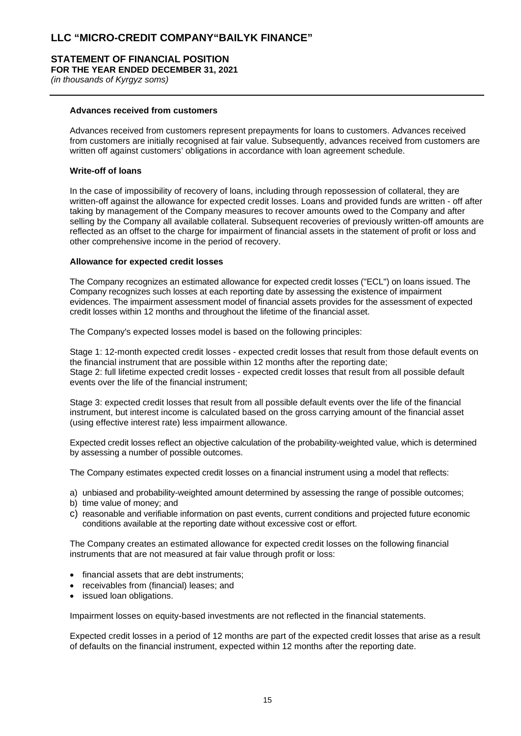## **STATEMENT OF FINANCIAL POSITION FOR THE YEAR ENDED DECEMBER 31, 2021**

*(in thousands of Kyrgyz soms)*

## **Advances received from customers**

Advances received from customers represent prepayments for loans to customers. Advances received from customers are initially recognised at fair value. Subsequently, advances received from customers are written off against customers' obligations in accordance with loan agreement schedule.

## **Write-off of loans**

In the case of impossibility of recovery of loans, including through repossession of collateral, they are written-off against the allowance for expected credit losses. Loans and provided funds are written - off after taking by management of the Company measures to recover amounts owed to the Company and after selling by the Company all available collateral. Subsequent recoveries of previously written-off amounts are reflected as an offset to the charge for impairment of financial assets in the statement of profit or loss and other comprehensive income in the period of recovery.

#### **Allowance for expected credit losses**

The Company recognizes an estimated allowance for expected credit losses ("ECL") on loans issued. The Company recognizes such losses at each reporting date by assessing the existence of impairment evidences. The impairment assessment model of financial assets provides for the assessment of expected credit losses within 12 months and throughout the lifetime of the financial asset.

The Company's expected losses model is based on the following principles:

Stage 1: 12-month expected credit losses - expected credit losses that result from those default events on the financial instrument that are possible within 12 months after the reporting date; Stage 2: full lifetime expected credit losses - expected credit losses that result from all possible default events over the life of the financial instrument;

Stage 3: expected credit losses that result from all possible default events over the life of the financial instrument, but interest income is calculated based on the gross carrying amount of the financial asset (using effective interest rate) less impairment allowance.

Expected credit losses reflect an objective calculation of the probability-weighted value, which is determined by assessing a number of possible outcomes.

The Company estimates expected credit losses on a financial instrument using a model that reflects:

- a) unbiased and probability-weighted amount determined by assessing the range of possible outcomes;
- b) time value of money; and
- c) reasonable and verifiable information on past events, current conditions and projected future economic conditions available at the reporting date without excessive cost or effort.

The Company creates an estimated allowance for expected credit losses on the following financial instruments that are not measured at fair value through profit or loss:

- financial assets that are debt instruments;
- receivables from (financial) leases; and
- issued loan obligations.

Impairment losses on equity-based investments are not reflected in the financial statements.

Expected credit losses in a period of 12 months are part of the expected credit losses that arise as a result of defaults on the financial instrument, expected within 12 months after the reporting date.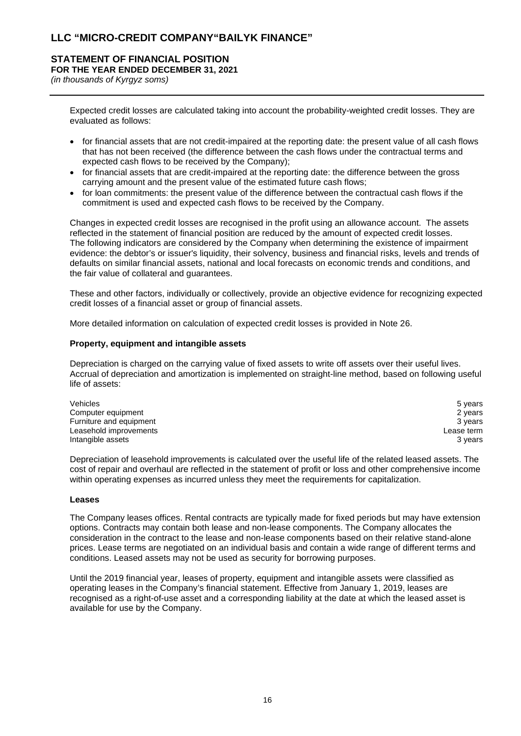#### **STATEMENT OF FINANCIAL POSITION FOR THE YEAR ENDED DECEMBER 31, 2021** *(in thousands of Kyrgyz soms)*

Expected credit losses are calculated taking into account the probability-weighted credit losses. They are evaluated as follows:

- for financial assets that are not credit-impaired at the reporting date: the present value of all cash flows that has not been received (the difference between the cash flows under the contractual terms and expected cash flows to be received by the Company);
- for financial assets that are credit-impaired at the reporting date: the difference between the gross carrying amount and the present value of the estimated future cash flows;
- for loan commitments: the present value of the difference between the contractual cash flows if the commitment is used and expected cash flows to be received by the Company.

Changes in expected credit losses are recognised in the profit using an allowance account. The assets reflected in the statement of financial position are reduced by the amount of expected credit losses. The following indicators are considered by the Company when determining the existence of impairment evidence: the debtor's or issuer's liquidity, their solvency, business and financial risks, levels and trends of defaults on similar financial assets, national and local forecasts on economic trends and conditions, and the fair value of collateral and guarantees.

These and other factors, individually or collectively, provide an objective evidence for recognizing expected credit losses of a financial asset or group of financial assets.

More detailed information on calculation of expected credit losses is provided in Note 26.

## **Property, equipment and intangible assets**

Depreciation is charged on the carrying value of fixed assets to write off assets over their useful lives. Accrual of depreciation and amortization is implemented on straight-line method, based on following useful life of assets:

| Vehicles                | 5 vears    |
|-------------------------|------------|
| Computer equipment      | 2 years    |
| Furniture and equipment | 3 vears    |
| Leasehold improvements  | Lease term |
| Intangible assets       | 3 vears    |

Depreciation of leasehold improvements is calculated over the useful life of the related leased assets. The cost of repair and overhaul are reflected in the statement of profit or loss and other comprehensive income within operating expenses as incurred unless they meet the requirements for capitalization.

#### **Leases**

The Company leases offices. Rental contracts are typically made for fixed periods but may have extension options. Contracts may contain both lease and non-lease components. The Company allocates the consideration in the contract to the lease and non-lease components based on their relative stand-alone prices. Lease terms are negotiated on an individual basis and contain a wide range of different terms and conditions. Leased assets may not be used as security for borrowing purposes.

Until the 2019 financial year, leases of property, equipment and intangible assets were classified as operating leases in the Company's financial statement. Effective from January 1, 2019, leases are recognised as a right-of-use asset and a corresponding liability at the date at which the leased asset is available for use by the Company.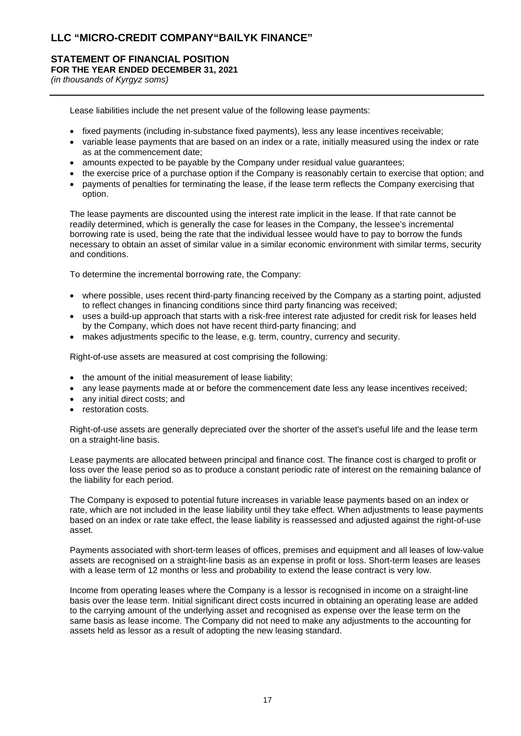# **STATEMENT OF FINANCIAL POSITION FOR THE YEAR ENDED DECEMBER 31, 2021**

*(in thousands of Kyrgyz soms)*

Lease liabilities include the net present value of the following lease payments:

- fixed payments (including in-substance fixed payments), less any lease incentives receivable;
- variable lease payments that are based on an index or a rate, initially measured using the index or rate as at the commencement date;
- amounts expected to be payable by the Company under residual value guarantees;
- the exercise price of a purchase option if the Company is reasonably certain to exercise that option; and
- payments of penalties for terminating the lease, if the lease term reflects the Company exercising that option.

The lease payments are discounted using the interest rate implicit in the lease. If that rate cannot be readily determined, which is generally the case for leases in the Company, the lessee's incremental borrowing rate is used, being the rate that the individual lessee would have to pay to borrow the funds necessary to obtain an asset of similar value in a similar economic environment with similar terms, security and conditions.

To determine the incremental borrowing rate, the Company:

- where possible, uses recent third-party financing received by the Company as a starting point, adjusted to reflect changes in financing conditions since third party financing was received;
- uses a build-up approach that starts with a risk-free interest rate adjusted for credit risk for leases held by the Company, which does not have recent third-party financing; and
- makes adjustments specific to the lease, e.g. term, country, currency and security.

Right-of-use assets are measured at cost comprising the following:

- the amount of the initial measurement of lease liability;
- any lease payments made at or before the commencement date less any lease incentives received;
- any initial direct costs; and
- restoration costs.

Right-of-use assets are generally depreciated over the shorter of the asset's useful life and the lease term on a straight-line basis.

Lease payments are allocated between principal and finance cost. The finance cost is charged to profit or loss over the lease period so as to produce a constant periodic rate of interest on the remaining balance of the liability for each period.

The Company is exposed to potential future increases in variable lease payments based on an index or rate, which are not included in the lease liability until they take effect. When adjustments to lease payments based on an index or rate take effect, the lease liability is reassessed and adjusted against the right-of-use asset.

Payments associated with short-term leases of offices, premises and equipment and all leases of low-value assets are recognised on a straight-line basis as an expense in profit or loss. Short-term leases are leases with a lease term of 12 months or less and probability to extend the lease contract is very low.

Income from operating leases where the Company is a lessor is recognised in income on a straight-line basis over the lease term. Initial significant direct costs incurred in obtaining an operating lease are added to the carrying amount of the underlying asset and recognised as expense over the lease term on the same basis as lease income. The Company did not need to make any adjustments to the accounting for assets held as lessor as a result of adopting the new leasing standard.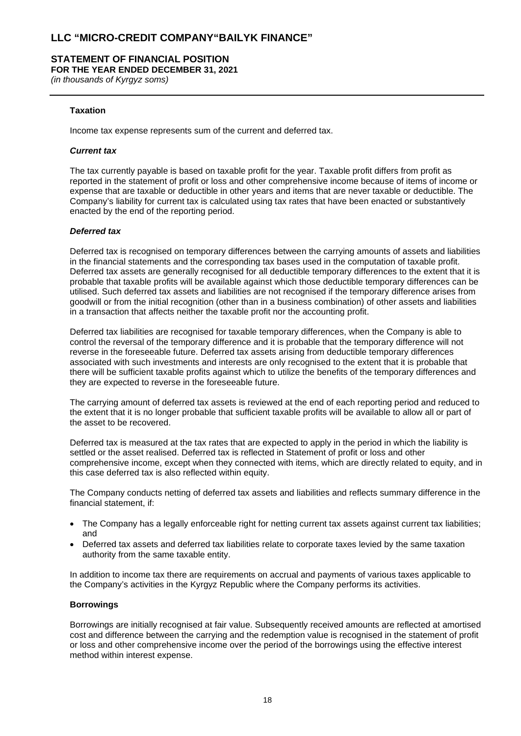## **STATEMENT OF FINANCIAL POSITION FOR THE YEAR ENDED DECEMBER 31, 2021**

*(in thousands of Kyrgyz soms)*

## **Taxation**

Income tax expense represents sum of the current and deferred tax.

#### *Current tax*

The tax currently payable is based on taxable profit for the year. Taxable profit differs from profit as reported in the statement of profit or loss and other comprehensive income because of items of income or expense that are taxable or deductible in other years and items that are never taxable or deductible. The Company's liability for current tax is calculated using tax rates that have been enacted or substantively enacted by the end of the reporting period.

#### *Deferred tax*

Deferred tax is recognised on temporary differences between the carrying amounts of assets and liabilities in the financial statements and the corresponding tax bases used in the computation of taxable profit. Deferred tax assets are generally recognised for all deductible temporary differences to the extent that it is probable that taxable profits will be available against which those deductible temporary differences can be utilised. Such deferred tax assets and liabilities are not recognised if the temporary difference arises from goodwill or from the initial recognition (other than in a business combination) of other assets and liabilities in a transaction that affects neither the taxable profit nor the accounting profit.

Deferred tax liabilities are recognised for taxable temporary differences, when the Company is able to control the reversal of the temporary difference and it is probable that the temporary difference will not reverse in the foreseeable future. Deferred tax assets arising from deductible temporary differences associated with such investments and interests are only recognised to the extent that it is probable that there will be sufficient taxable profits against which to utilize the benefits of the temporary differences and they are expected to reverse in the foreseeable future.

The carrying amount of deferred tax assets is reviewed at the end of each reporting period and reduced to the extent that it is no longer probable that sufficient taxable profits will be available to allow all or part of the asset to be recovered.

Deferred tax is measured at the tax rates that are expected to apply in the period in which the liability is settled or the asset realised. Deferred tax is reflected in Statement of profit or loss and other comprehensive income, except when they connected with items, which are directly related to equity, and in this case deferred tax is also reflected within equity.

The Company conducts netting of deferred tax assets and liabilities and reflects summary difference in the financial statement, if:

- The Company has a legally enforceable right for netting current tax assets against current tax liabilities; and
- Deferred tax assets and deferred tax liabilities relate to corporate taxes levied by the same taxation authority from the same taxable entity.

In addition to income tax there are requirements on accrual and payments of various taxes applicable to the Company's activities in the Kyrgyz Republic where the Company performs its activities.

#### **Borrowings**

Borrowings are initially recognised at fair value. Subsequently received amounts are reflected at amortised cost and difference between the carrying and the redemption value is recognised in the statement of profit or loss and other comprehensive income over the period of the borrowings using the effective interest method within interest expense.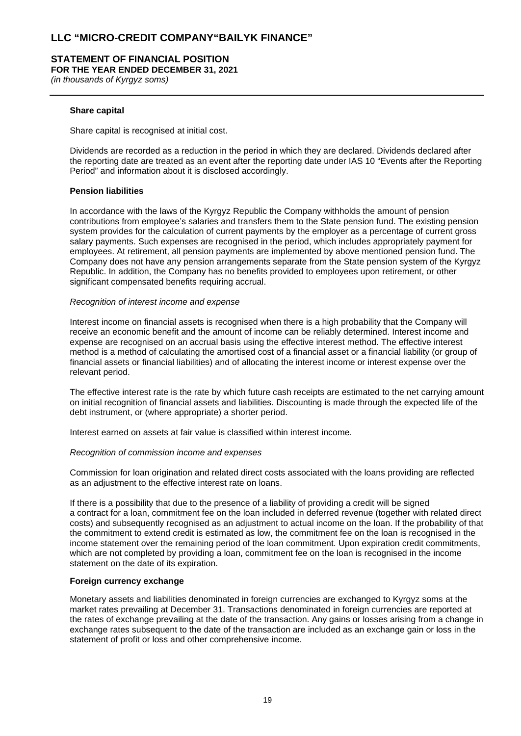## **STATEMENT OF FINANCIAL POSITION FOR THE YEAR ENDED DECEMBER 31, 2021**

*(in thousands of Kyrgyz soms)*

## **Share capital**

Share capital is recognised at initial cost.

Dividends are recorded as a reduction in the period in which they are declared. Dividends declared after the reporting date are treated as an event after the reporting date under IAS 10 "Events after the Reporting Period" and information about it is disclosed accordingly.

## **Pension liabilities**

In accordance with the laws of the Kyrgyz Republic the Company withholds the amount of pension contributions from employee's salaries and transfers them to the State pension fund. The existing pension system provides for the calculation of current payments by the employer as a percentage of current gross salary payments. Such expenses are recognised in the period, which includes appropriately payment for employees. At retirement, all pension payments are implemented by above mentioned pension fund. The Company does not have any pension arrangements separate from the State pension system of the Kyrgyz Republic. In addition, the Company has no benefits provided to employees upon retirement, or other significant compensated benefits requiring accrual.

#### *Recognition of interest income and expense*

Interest income on financial assets is recognised when there is a high probability that the Company will receive an economic benefit and the amount of income can be reliably determined. Interest income and expense are recognised on an accrual basis using the effective interest method. The effective interest method is a method of calculating the amortised cost of a financial asset or a financial liability (or group of financial assets or financial liabilities) and of allocating the interest income or interest expense over the relevant period.

The effective interest rate is the rate by which future cash receipts are estimated to the net carrying amount on initial recognition of financial assets and liabilities. Discounting is made through the expected life of the debt instrument, or (where appropriate) a shorter period.

Interest earned on assets at fair value is classified within interest income.

#### *Recognition of commission income and expenses*

Commission for loan origination and related direct costs associated with the loans providing are reflected as an adjustment to the effective interest rate on loans.

If there is a possibility that due to the presence of a liability of providing a credit will be signed a contract for a loan, commitment fee on the loan included in deferred revenue (together with related direct costs) and subsequently recognised as an adjustment to actual income on the loan. If the probability of that the commitment to extend credit is estimated as low, the commitment fee on the loan is recognised in the income statement over the remaining period of the loan commitment. Upon expiration credit commitments, which are not completed by providing a loan, commitment fee on the loan is recognised in the income statement on the date of its expiration.

## **Foreign currency exchange**

Monetary assets and liabilities denominated in foreign currencies are exchanged to Kyrgyz soms at the market rates prevailing at December 31. Transactions denominated in foreign currencies are reported at the rates of exchange prevailing at the date of the transaction. Any gains or losses arising from a change in exchange rates subsequent to the date of the transaction are included as an exchange gain or loss in the statement of profit or loss and other comprehensive income.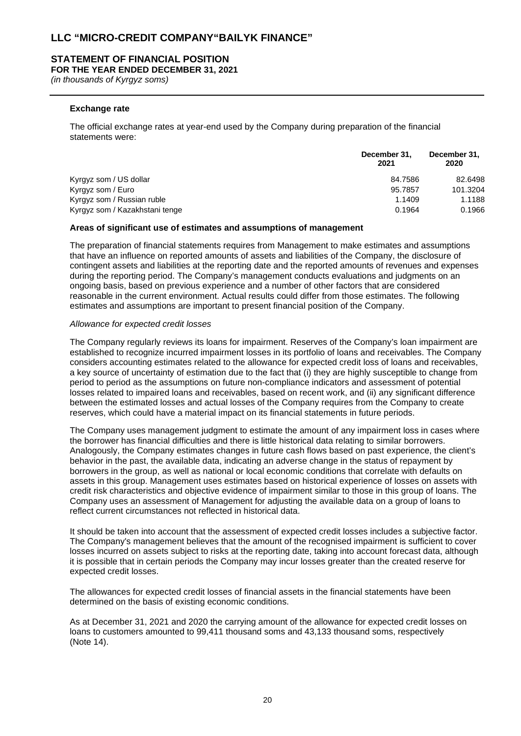#### **STATEMENT OF FINANCIAL POSITION FOR THE YEAR ENDED DECEMBER 31, 2021**

*(in thousands of Kyrgyz soms)*

#### **Exchange rate**

The official exchange rates at year-end used by the Company during preparation of the financial statements were:

|                                | December 31,<br>2021 | December 31.<br>2020 |
|--------------------------------|----------------------|----------------------|
| Kyrgyz som / US dollar         | 84.7586              | 82.6498              |
| Kyrgyz som / Euro              | 95.7857              | 101.3204             |
| Kyrgyz som / Russian ruble     | 1.1409               | 1.1188               |
| Kyrgyz som / Kazakhstani tenge | 0.1964               | 0.1966               |

#### **Areas of significant use of estimates and assumptions of management**

The preparation of financial statements requires from Management to make estimates and assumptions that have an influence on reported amounts of assets and liabilities of the Company, the disclosure of contingent assets and liabilities at the reporting date and the reported amounts of revenues and expenses during the reporting period. The Company's management conducts evaluations and judgments on an ongoing basis, based on previous experience and a number of other factors that are considered reasonable in the current environment. Actual results could differ from those estimates. The following estimates and assumptions are important to present financial position of the Company.

#### *Allowance for expected credit losses*

The Company regularly reviews its loans for impairment. Reserves of the Company's loan impairment are established to recognize incurred impairment losses in its portfolio of loans and receivables. The Company considers accounting estimates related to the allowance for expected credit loss of loans and receivables, a key source of uncertainty of estimation due to the fact that (i) they are highly susceptible to change from period to period as the assumptions on future non-compliance indicators and assessment of potential losses related to impaired loans and receivables, based on recent work, and (ii) any significant difference between the estimated losses and actual losses of the Company requires from the Company to create reserves, which could have a material impact on its financial statements in future periods.

The Company uses management judgment to estimate the amount of any impairment loss in cases where the borrower has financial difficulties and there is little historical data relating to similar borrowers. Analogously, the Company estimates changes in future cash flows based on past experience, the client's behavior in the past, the available data, indicating an adverse change in the status of repayment by borrowers in the group, as well as national or local economic conditions that correlate with defaults on assets in this group. Management uses estimates based on historical experience of losses on assets with credit risk characteristics and objective evidence of impairment similar to those in this group of loans. The Company uses an assessment of Management for adjusting the available data on a group of loans to reflect current circumstances not reflected in historical data.

It should be taken into account that the assessment of expected credit losses includes a subjective factor. The Company's management believes that the amount of the recognised impairment is sufficient to cover losses incurred on assets subject to risks at the reporting date, taking into account forecast data, although it is possible that in certain periods the Company may incur losses greater than the created reserve for expected credit losses.

The allowances for expected credit losses of financial assets in the financial statements have been determined on the basis of existing economic conditions.

As at December 31, 2021 and 2020 the carrying amount of the allowance for expected credit losses on loans to customers amounted to 99,411 thousand soms and 43,133 thousand soms, respectively (Note 14).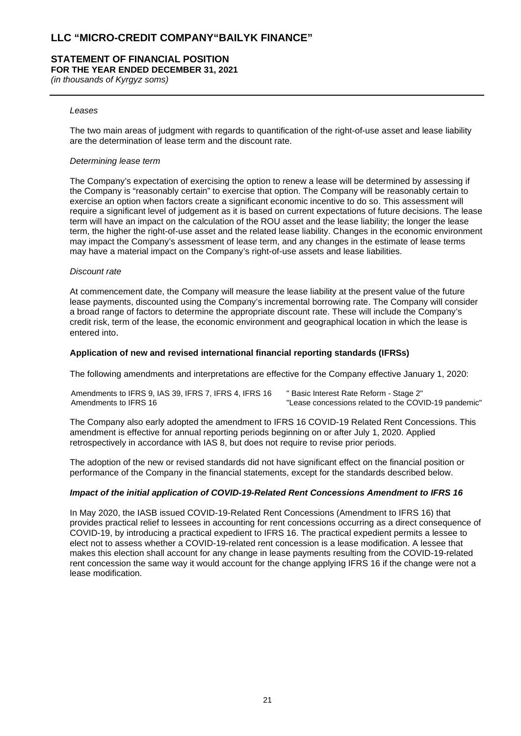#### **STATEMENT OF FINANCIAL POSITION FOR THE YEAR ENDED DECEMBER 31, 2021**

*(in thousands of Kyrgyz soms)*

#### *Leases*

The two main areas of judgment with regards to quantification of the right-of-use asset and lease liability are the determination of lease term and the discount rate.

#### *Determining lease term*

The Company's expectation of exercising the option to renew a lease will be determined by assessing if the Company is "reasonably certain" to exercise that option. The Company will be reasonably certain to exercise an option when factors create a significant economic incentive to do so. This assessment will require a significant level of judgement as it is based on current expectations of future decisions. The lease term will have an impact on the calculation of the ROU asset and the lease liability; the longer the lease term, the higher the right-of-use asset and the related lease liability. Changes in the economic environment may impact the Company's assessment of lease term, and any changes in the estimate of lease terms may have a material impact on the Company's right-of-use assets and lease liabilities.

#### *Discount rate*

At commencement date, the Company will measure the lease liability at the present value of the future lease payments, discounted using the Company's incremental borrowing rate. The Company will consider a broad range of factors to determine the appropriate discount rate. These will include the Company's credit risk, term of the lease, the economic environment and geographical location in which the lease is entered into.

#### **Application of new and revised international financial reporting standards (IFRSs)**

The following amendments and interpretations are effective for the Company effective January 1, 2020:

Amendments to IFRS 9, IAS 39, IFRS 7, IFRS 4, IFRS 16 " Basic Interest Rate Reform - Stage 2" "Lease concessions related to the COVID-19 pandemic"

The Company also early adopted the amendment to IFRS 16 COVID-19 Related Rent Concessions. This amendment is effective for annual reporting periods beginning on or after July 1, 2020. Applied retrospectively in accordance with IAS 8, but does not require to revise prior periods.

The adoption of the new or revised standards did not have significant effect on the financial position or performance of the Company in the financial statements, except for the standards described below.

#### *Impact of the initial application of COVID-19-Related Rent Concessions Amendment to IFRS 16*

In May 2020, the IASB issued COVID-19-Related Rent Concessions (Amendment to IFRS 16) that provides practical relief to lessees in accounting for rent concessions occurring as a direct consequence of COVID-19, by introducing a practical expedient to IFRS 16. The practical expedient permits a lessee to elect not to assess whether a COVID-19-related rent concession is a lease modification. A lessee that makes this election shall account for any change in lease payments resulting from the COVID-19-related rent concession the same way it would account for the change applying IFRS 16 if the change were not a lease modification.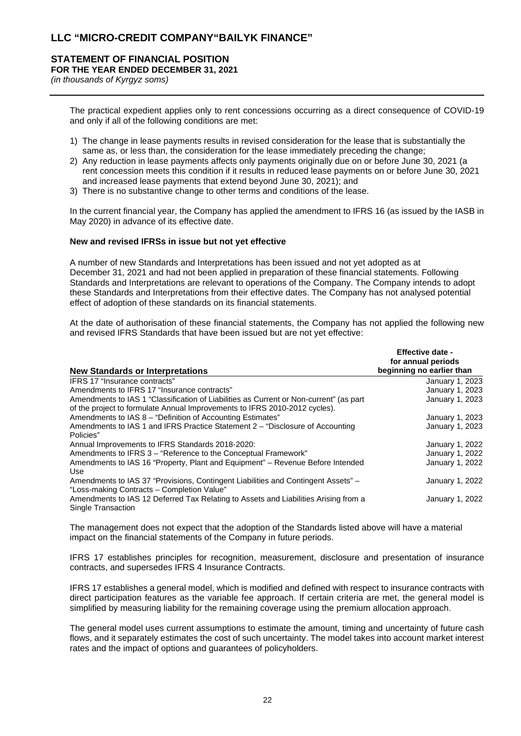## **STATEMENT OF FINANCIAL POSITION FOR THE YEAR ENDED DECEMBER 31, 2021**

*(in thousands of Kyrgyz soms)*

The practical expedient applies only to rent concessions occurring as a direct consequence of COVID-19 and only if all of the following conditions are met:

- 1) The change in lease payments results in revised consideration for the lease that is substantially the same as, or less than, the consideration for the lease immediately preceding the change;
- 2) Any reduction in lease payments affects only payments originally due on or before June 30, 2021 (a rent concession meets this condition if it results in reduced lease payments on or before June 30, 2021 and increased lease payments that extend beyond June 30, 2021); and
- 3) There is no substantive change to other terms and conditions of the lease.

In the current financial year, the Company has applied the amendment to IFRS 16 (as issued by the IASB in May 2020) in advance of its effective date.

## **New and revised IFRSs in issue but not yet effective**

A number of new Standards and Interpretations has been issued and not yet adopted as at December 31, 2021 and had not been applied in preparation of these financial statements. Following Standards and Interpretations are relevant to operations of the Company. The Company intends to adopt these Standards and Interpretations from their effective dates. The Company has not analysed potential effect of adoption of these standards on its financial statements.

At the date of authorisation of these financial statements, the Company has not applied the following new and revised IFRS Standards that have been issued but are not yet effective:

| <b>New Standards or Interpretations</b>                                                                                                                              | <b>Effective date -</b><br>for annual periods<br>beginning no earlier than |
|----------------------------------------------------------------------------------------------------------------------------------------------------------------------|----------------------------------------------------------------------------|
| IFRS 17 "Insurance contracts"                                                                                                                                        | January 1, 2023                                                            |
| Amendments to IFRS 17 "Insurance contracts"                                                                                                                          | January 1, 2023                                                            |
| Amendments to IAS 1 "Classification of Liabilities as Current or Non-current" (as part<br>of the project to formulate Annual Improvements to IFRS 2010-2012 cycles). | January 1, 2023                                                            |
| Amendments to IAS 8 - "Definition of Accounting Estimates"                                                                                                           | January 1, 2023                                                            |
| Amendments to IAS 1 and IFRS Practice Statement 2 - "Disclosure of Accounting<br>Policies"                                                                           | January 1, 2023                                                            |
| Annual Improvements to IFRS Standards 2018-2020:                                                                                                                     | January 1, 2022                                                            |
| Amendments to IFRS 3 - "Reference to the Conceptual Framework"                                                                                                       | January 1, 2022                                                            |
| Amendments to IAS 16 "Property, Plant and Equipment" – Revenue Before Intended<br>Use                                                                                | January 1, 2022                                                            |
| Amendments to IAS 37 "Provisions, Contingent Liabilities and Contingent Assets" -<br>"Loss-making Contracts - Completion Value"                                      | January 1, 2022                                                            |
| Amendments to IAS 12 Deferred Tax Relating to Assets and Liabilities Arising from a<br>Single Transaction                                                            | January 1, 2022                                                            |

The management does not expect that the adoption of the Standards listed above will have a material impact on the financial statements of the Company in future periods.

IFRS 17 establishes principles for recognition, measurement, disclosure and presentation of insurance contracts, and supersedes IFRS 4 Insurance Contracts.

IFRS 17 establishes a general model, which is modified and defined with respect to insurance contracts with direct participation features as the variable fee approach. If certain criteria are met, the general model is simplified by measuring liability for the remaining coverage using the premium allocation approach.

The general model uses current assumptions to estimate the amount, timing and uncertainty of future cash flows, and it separately estimates the cost of such uncertainty. The model takes into account market interest rates and the impact of options and guarantees of policyholders.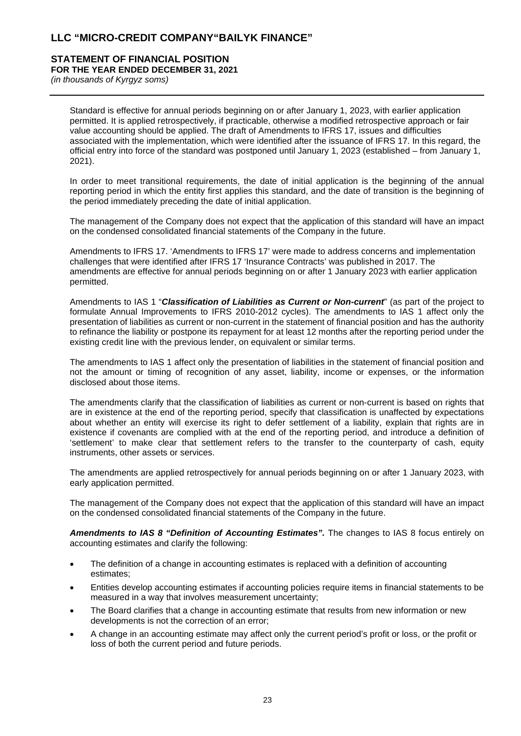#### **STATEMENT OF FINANCIAL POSITION FOR THE YEAR ENDED DECEMBER 31, 2021**

*(in thousands of Kyrgyz soms)*

Standard is effective for annual periods beginning on or after January 1, 2023, with earlier application permitted. It is applied retrospectively, if practicable, otherwise a modified retrospective approach or fair value accounting should be applied. The draft of Amendments to IFRS 17, issues and difficulties associated with the implementation, which were identified after the issuance of IFRS 17. In this regard, the official entry into force of the standard was postponed until January 1, 2023 (established – from January 1, 2021).

In order to meet transitional requirements, the date of initial application is the beginning of the annual reporting period in which the entity first applies this standard, and the date of transition is the beginning of the period immediately preceding the date of initial application.

The management of the Company does not expect that the application of this standard will have an impact on the condensed consolidated financial statements of the Company in the future.

Amendments to IFRS 17. 'Amendments to IFRS 17' were made to address concerns and implementation challenges that were identified after IFRS 17 'Insurance Contracts' was published in 2017. The amendments are effective for annual periods beginning on or after 1 January 2023 with earlier application permitted.

Amendments to IAS 1 "*Classification of Liabilities as Current or Non-current*" (as part of the project to formulate Annual Improvements to IFRS 2010-2012 cycles). The amendments to IAS 1 affect only the presentation of liabilities as current or non-current in the statement of financial position and has the authority to refinance the liability or postpone its repayment for at least 12 months after the reporting period under the existing credit line with the previous lender, on equivalent or similar terms.

The amendments to IAS 1 affect only the presentation of liabilities in the statement of financial position and not the amount or timing of recognition of any asset, liability, income or expenses, or the information disclosed about those items.

The amendments clarify that the classification of liabilities as current or non-current is based on rights that are in existence at the end of the reporting period, specify that classification is unaffected by expectations about whether an entity will exercise its right to defer settlement of a liability, explain that rights are in existence if covenants are complied with at the end of the reporting period, and introduce a definition of 'settlement' to make clear that settlement refers to the transfer to the counterparty of cash, equity instruments, other assets or services.

The amendments are applied retrospectively for annual periods beginning on or after 1 January 2023, with early application permitted.

The management of the Company does not expect that the application of this standard will have an impact on the condensed consolidated financial statements of the Company in the future.

*Amendments to IAS 8 "Definition of Accounting Estimates".* The changes to IAS 8 focus entirely on accounting estimates and clarify the following:

- The definition of a change in accounting estimates is replaced with a definition of accounting estimates;
- Entities develop accounting estimates if accounting policies require items in financial statements to be measured in a way that involves measurement uncertainty;
- The Board clarifies that a change in accounting estimate that results from new information or new developments is not the correction of an error;
- A change in an accounting estimate may affect only the current period's profit or loss, or the profit or loss of both the current period and future periods.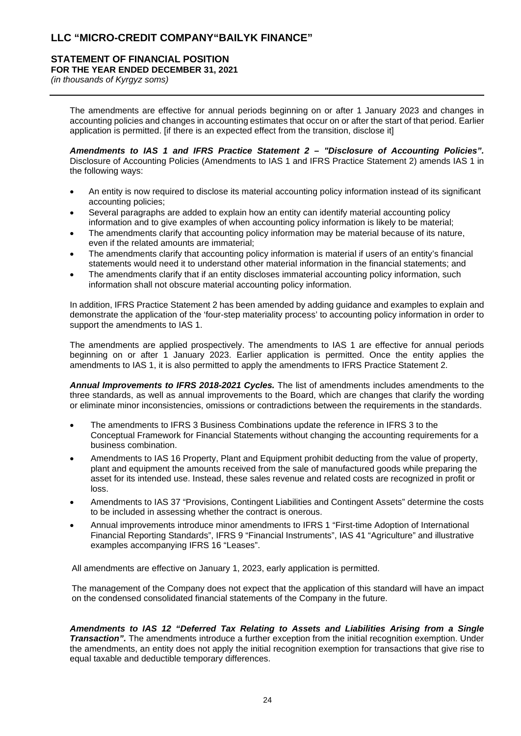# **STATEMENT OF FINANCIAL POSITION**

**FOR THE YEAR ENDED DECEMBER 31, 2021**

*(in thousands of Kyrgyz soms)*

The amendments are effective for annual periods beginning on or after 1 January 2023 and changes in accounting policies and changes in accounting estimates that occur on or after the start of that period. Earlier application is permitted. [if there is an expected effect from the transition, disclose it]

*Amendments to IAS 1 and IFRS Practice Statement 2 – "Disclosure of Accounting Policies".*  Disclosure of Accounting Policies (Amendments to IAS 1 and IFRS Practice Statement 2) amends IAS 1 in the following ways:

- An entity is now required to disclose its material accounting policy information instead of its significant accounting policies;
- Several paragraphs are added to explain how an entity can identify material accounting policy information and to give examples of when accounting policy information is likely to be material;
- The amendments clarify that accounting policy information may be material because of its nature, even if the related amounts are immaterial;
- The amendments clarify that accounting policy information is material if users of an entity's financial statements would need it to understand other material information in the financial statements; and
- The amendments clarify that if an entity discloses immaterial accounting policy information, such information shall not obscure material accounting policy information.

In addition, IFRS Practice Statement 2 has been amended by adding guidance and examples to explain and demonstrate the application of the 'four-step materiality process' to accounting policy information in order to support the amendments to IAS 1.

The amendments are applied prospectively. The amendments to IAS 1 are effective for annual periods beginning on or after 1 January 2023. Earlier application is permitted. Once the entity applies the amendments to IAS 1, it is also permitted to apply the amendments to IFRS Practice Statement 2.

*Annual Improvements to IFRS 2018-2021 Cycles.* The list of amendments includes amendments to the three standards, as well as annual improvements to the Board, which are changes that clarify the wording or eliminate minor inconsistencies, omissions or contradictions between the requirements in the standards.

- The amendments to IFRS 3 Business Combinations update the reference in IFRS 3 to the Conceptual Framework for Financial Statements without changing the accounting requirements for a business combination.
- Amendments to IAS 16 Property, Plant and Equipment prohibit deducting from the value of property, plant and equipment the amounts received from the sale of manufactured goods while preparing the asset for its intended use. Instead, these sales revenue and related costs are recognized in profit or loss.
- Amendments to IAS 37 "Provisions, Contingent Liabilities and Contingent Assets" determine the costs to be included in assessing whether the contract is onerous.
- Annual improvements introduce minor amendments to IFRS 1 "First-time Adoption of International Financial Reporting Standards", IFRS 9 "Financial Instruments", IAS 41 "Agriculture" and illustrative examples accompanying IFRS 16 "Leases".

All amendments are effective on January 1, 2023, early application is permitted.

The management of the Company does not expect that the application of this standard will have an impact on the condensed consolidated financial statements of the Company in the future.

*Amendments to IAS 12 "Deferred Tax Relating to Assets and Liabilities Arising from a Single Transaction".* The amendments introduce a further exception from the initial recognition exemption. Under the amendments, an entity does not apply the initial recognition exemption for transactions that give rise to equal taxable and deductible temporary differences.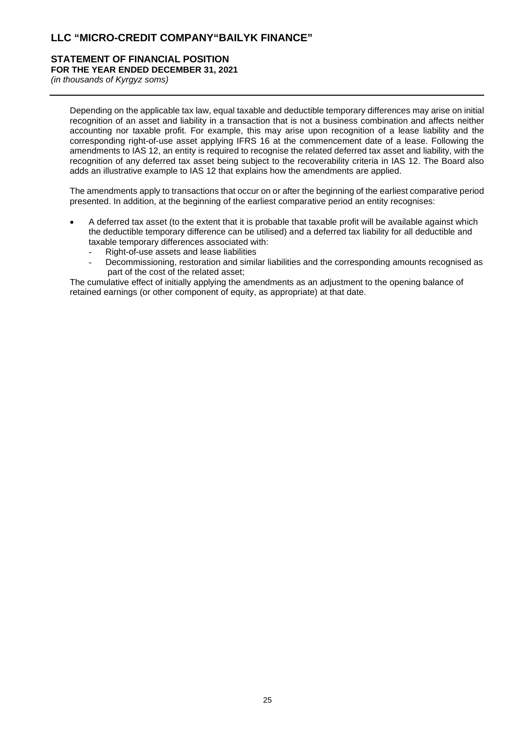## **STATEMENT OF FINANCIAL POSITION FOR THE YEAR ENDED DECEMBER 31, 2021**

*(in thousands of Kyrgyz soms)*

Depending on the applicable tax law, equal taxable and deductible temporary differences may arise on initial recognition of an asset and liability in a transaction that is not a business combination and affects neither accounting nor taxable profit. For example, this may arise upon recognition of a lease liability and the corresponding right-of-use asset applying IFRS 16 at the commencement date of a lease. Following the amendments to IAS 12, an entity is required to recognise the related deferred tax asset and liability, with the recognition of any deferred tax asset being subject to the recoverability criteria in IAS 12. The Board also adds an illustrative example to IAS 12 that explains how the amendments are applied.

The amendments apply to transactions that occur on or after the beginning of the earliest comparative period presented. In addition, at the beginning of the earliest comparative period an entity recognises:

- A deferred tax asset (to the extent that it is probable that taxable profit will be available against which the deductible temporary difference can be utilised) and a deferred tax liability for all deductible and taxable temporary differences associated with:
	- Right-of-use assets and lease liabilities
	- Decommissioning, restoration and similar liabilities and the corresponding amounts recognised as part of the cost of the related asset;

The cumulative effect of initially applying the amendments as an adjustment to the opening balance of retained earnings (or other component of equity, as appropriate) at that date.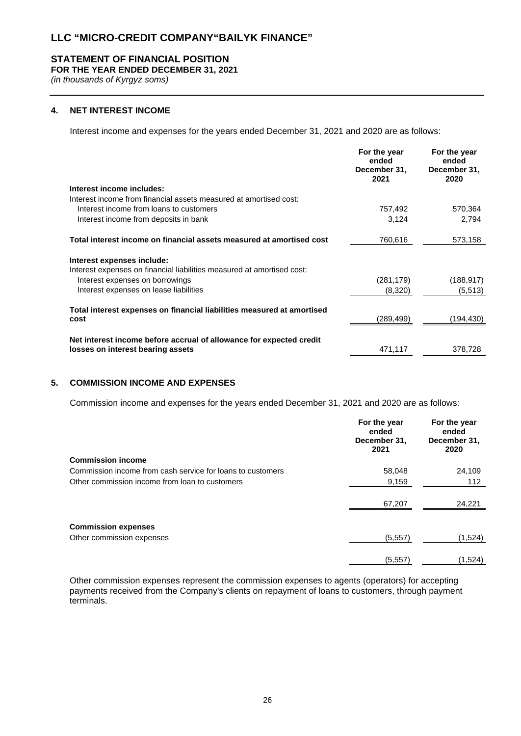## **STATEMENT OF FINANCIAL POSITION**

**FOR THE YEAR ENDED DECEMBER 31, 2021**

*(in thousands of Kyrgyz soms)*

## **4. NET INTEREST INCOME**

Interest income and expenses for the years ended December 31, 2021 and 2020 are as follows:

|                                                                        | For the year<br>ended<br>December 31,<br>2021 | For the year<br>ended<br>December 31,<br>2020 |
|------------------------------------------------------------------------|-----------------------------------------------|-----------------------------------------------|
| Interest income includes:                                              |                                               |                                               |
| Interest income from financial assets measured at amortised cost:      |                                               |                                               |
| Interest income from loans to customers                                | 757,492                                       | 570,364                                       |
| Interest income from deposits in bank                                  | 3,124                                         | 2,794                                         |
| Total interest income on financial assets measured at amortised cost   | 760,616                                       | 573,158                                       |
| Interest expenses include:                                             |                                               |                                               |
| Interest expenses on financial liabilities measured at amortised cost: |                                               |                                               |
| Interest expenses on borrowings                                        | (281, 179)                                    | (188, 917)                                    |
| Interest expenses on lease liabilities                                 | (8,320)                                       | (5, 513)                                      |
| Total interest expenses on financial liabilities measured at amortised |                                               |                                               |
| cost                                                                   | (289,499)                                     | (194, 430)                                    |
| Net interest income before accrual of allowance for expected credit    |                                               |                                               |
| losses on interest bearing assets                                      | 471,117                                       | 378,728                                       |

## **5. COMMISSION INCOME AND EXPENSES**

Commission income and expenses for the years ended December 31, 2021 and 2020 are as follows:

|                                                            | For the year<br>ended<br>December 31,<br>2021 | For the year<br>ended<br>December 31,<br>2020 |
|------------------------------------------------------------|-----------------------------------------------|-----------------------------------------------|
| <b>Commission income</b>                                   |                                               |                                               |
| Commission income from cash service for loans to customers | 58,048                                        | 24,109                                        |
| Other commission income from loan to customers             | 9,159                                         | 112                                           |
|                                                            | 67,207                                        | 24,221                                        |
| <b>Commission expenses</b>                                 |                                               |                                               |
| Other commission expenses                                  | (5, 557)                                      | (1,524)                                       |
|                                                            | (5, 557)                                      | (1,524)                                       |

Other commission expenses represent the commission expenses to agents (operators) for accepting payments received from the Company's clients on repayment of loans to customers, through payment terminals.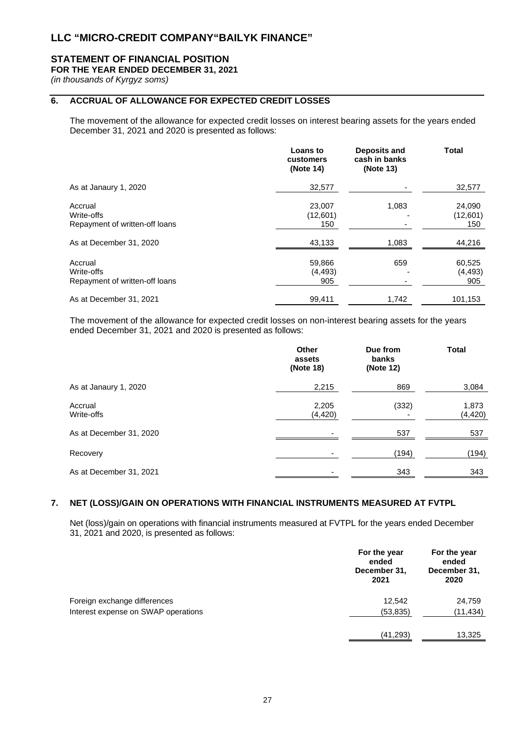## **STATEMENT OF FINANCIAL POSITION**

## **FOR THE YEAR ENDED DECEMBER 31, 2021**

*(in thousands of Kyrgyz soms)*

## **6. ACCRUAL OF ALLOWANCE FOR EXPECTED CREDIT LOSSES**

The movement of the allowance for expected credit losses on interest bearing assets for the years ended December 31, 2021 and 2020 is presented as follows:

|                                                         | <b>Loans to</b><br>customers<br>(Note 14) | Deposits and<br>cash in banks<br>(Note 13) | <b>Total</b>              |
|---------------------------------------------------------|-------------------------------------------|--------------------------------------------|---------------------------|
| As at Janaury 1, 2020                                   | 32,577                                    |                                            | 32,577                    |
| Accrual<br>Write-offs<br>Repayment of written-off loans | 23,007<br>(12,601)<br>150                 | 1,083                                      | 24,090<br>(12,601)<br>150 |
| As at December 31, 2020                                 | 43,133                                    | 1,083                                      | 44,216                    |
| Accrual<br>Write-offs<br>Repayment of written-off loans | 59,866<br>(4, 493)<br>905                 | 659                                        | 60,525<br>(4, 493)<br>905 |
| As at December 31, 2021                                 | 99,411                                    | 1,742                                      | 101,153                   |

The movement of the allowance for expected credit losses on non-interest bearing assets for the years ended December 31, 2021 and 2020 is presented as follows:

|                         | <b>Other</b><br>assets<br>(Note 18) | Due from<br>banks<br>(Note 12) | <b>Total</b>      |
|-------------------------|-------------------------------------|--------------------------------|-------------------|
| As at Janaury 1, 2020   | 2,215                               | 869                            | 3,084             |
| Accrual<br>Write-offs   | 2,205<br>(4, 420)                   | (332)                          | 1,873<br>(4, 420) |
| As at December 31, 2020 |                                     | 537                            | 537               |
| Recovery                |                                     | (194)                          | (194)             |
| As at December 31, 2021 |                                     | 343                            | 343               |

## **7. NET (LOSS)/GAIN ON OPERATIONS WITH FINANCIAL INSTRUMENTS MEASURED AT FVTPL**

Net (loss)/gain on operations with financial instruments measured at FVTPL for the years ended December 31, 2021 and 2020, is presented as follows:

|                                     | For the year<br>ended<br>December 31,<br>2021 | For the year<br>ended<br>December 31,<br>2020 |
|-------------------------------------|-----------------------------------------------|-----------------------------------------------|
| Foreign exchange differences        | 12,542                                        | 24,759                                        |
| Interest expense on SWAP operations | (53, 835)                                     | (11, 434)                                     |
|                                     | (41, 293)                                     | 13,325                                        |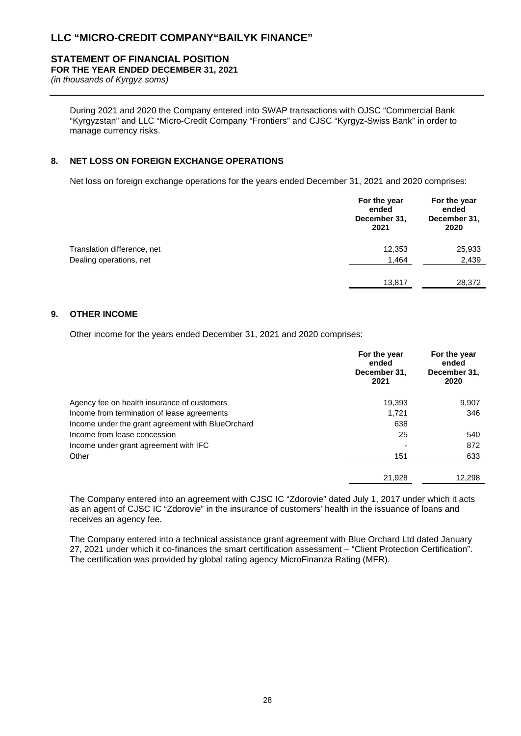# **STATEMENT OF FINANCIAL POSITION**

**FOR THE YEAR ENDED DECEMBER 31, 2021**

*(in thousands of Kyrgyz soms)*

During 2021 and 2020 the Company entered into SWAP transactions with OJSC "Commercial Bank "Kyrgyzstan" and LLC "Micro-Credit Company "Frontiers" and CJSC "Kyrgyz-Swiss Bank" in order to manage currency risks.

## **8. NET LOSS ON FOREIGN EXCHANGE OPERATIONS**

Net loss on foreign exchange operations for the years ended December 31, 2021 and 2020 comprises:

|                             | For the year<br>ended<br>December 31,<br>2021 | For the year<br>ended<br>December 31,<br>2020 |
|-----------------------------|-----------------------------------------------|-----------------------------------------------|
| Translation difference, net | 12,353                                        | 25,933                                        |
| Dealing operations, net     | 1,464                                         | 2,439                                         |
|                             | 13,817                                        | 28,372                                        |

## **9. OTHER INCOME**

Other income for the years ended December 31, 2021 and 2020 comprises:

|                                                   | For the year<br>ended<br>December 31,<br>2021 | For the year<br>ended<br>December 31,<br>2020 |
|---------------------------------------------------|-----------------------------------------------|-----------------------------------------------|
| Agency fee on health insurance of customers       | 19.393                                        | 9,907                                         |
| Income from termination of lease agreements       | 1.721                                         | 346                                           |
| Income under the grant agreement with BlueOrchard | 638                                           |                                               |
| Income from lease concession                      | 25                                            | 540                                           |
| Income under grant agreement with IFC             |                                               | 872                                           |
| Other                                             | 151                                           | 633                                           |
|                                                   | 21,928                                        | 12,298                                        |

The Company entered into an agreement with CJSC IC "Zdorovie" dated July 1, 2017 under which it acts as an agent of CJSC IC "Zdorovie" in the insurance of customers' health in the issuance of loans and receives an agency fee.

The Company entered into a technical assistance grant agreement with Blue Orchard Ltd dated January 27, 2021 under which it co-finances the smart certification assessment – "Client Protection Certification". The certification was provided by global rating agency MicroFinanza Rating (MFR).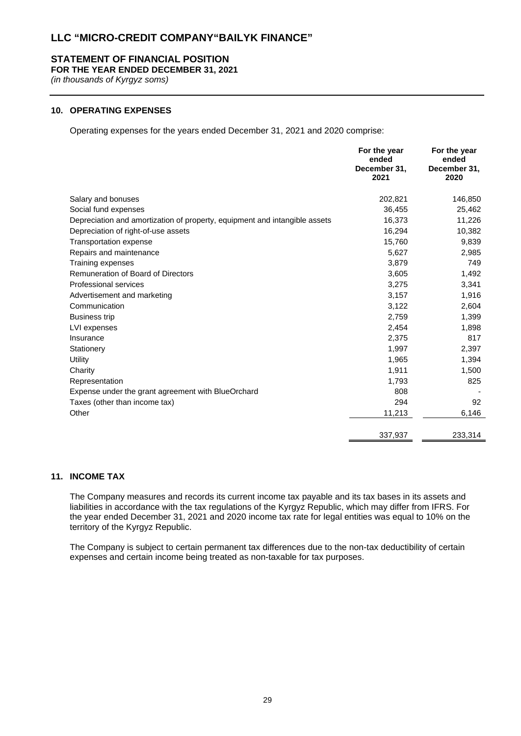## **STATEMENT OF FINANCIAL POSITION**

**FOR THE YEAR ENDED DECEMBER 31, 2021**

*(in thousands of Kyrgyz soms)*

## **10. OPERATING EXPENSES**

Operating expenses for the years ended December 31, 2021 and 2020 comprise:

|                                                                            | For the year<br>ended<br>December 31,<br>2021 | For the year<br>ended<br>December 31,<br>2020 |
|----------------------------------------------------------------------------|-----------------------------------------------|-----------------------------------------------|
| Salary and bonuses                                                         | 202,821                                       | 146,850                                       |
| Social fund expenses                                                       | 36,455                                        | 25,462                                        |
| Depreciation and amortization of property, equipment and intangible assets | 16,373                                        | 11,226                                        |
| Depreciation of right-of-use assets                                        | 16,294                                        | 10,382                                        |
| <b>Transportation expense</b>                                              | 15,760                                        | 9,839                                         |
| Repairs and maintenance                                                    | 5,627                                         | 2,985                                         |
| Training expenses                                                          | 3,879                                         | 749                                           |
| Remuneration of Board of Directors                                         | 3,605                                         | 1,492                                         |
| Professional services                                                      | 3,275                                         | 3,341                                         |
| Advertisement and marketing                                                | 3,157                                         | 1,916                                         |
| Communication                                                              | 3,122                                         | 2,604                                         |
| <b>Business trip</b>                                                       | 2,759                                         | 1,399                                         |
| LVI expenses                                                               | 2,454                                         | 1,898                                         |
| Insurance                                                                  | 2,375                                         | 817                                           |
| Stationery                                                                 | 1,997                                         | 2,397                                         |
| Utility                                                                    | 1,965                                         | 1,394                                         |
| Charity                                                                    | 1,911                                         | 1,500                                         |
| Representation                                                             | 1,793                                         | 825                                           |
| Expense under the grant agreement with BlueOrchard                         | 808                                           |                                               |
| Taxes (other than income tax)                                              | 294                                           | 92                                            |
| Other                                                                      | 11,213                                        | 6,146                                         |
|                                                                            | 337,937                                       | 233,314                                       |

## **11. INCOME TAX**

The Company measures and records its current income tax payable and its tax bases in its assets and liabilities in accordance with the tax regulations of the Kyrgyz Republic, which may differ from IFRS. For the year ended December 31, 2021 and 2020 income tax rate for legal entities was equal to 10% on the territory of the Kyrgyz Republic.

The Company is subject to certain permanent tax differences due to the non-tax deductibility of certain expenses and certain income being treated as non-taxable for tax purposes.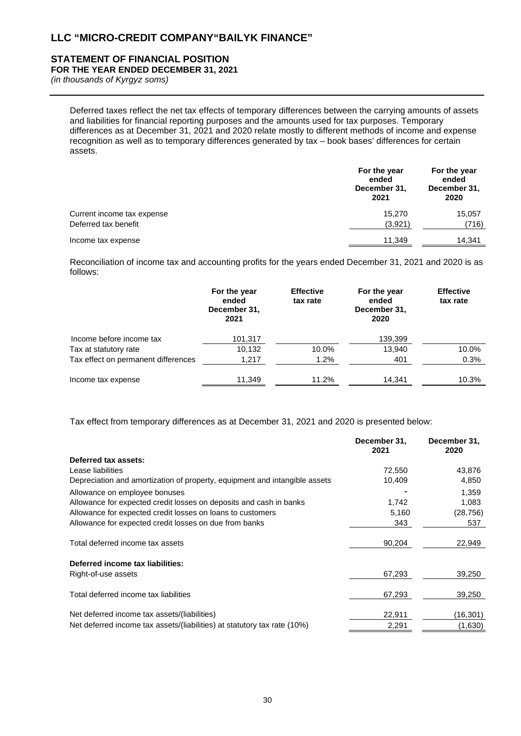# **STATEMENT OF FINANCIAL POSITION**

**FOR THE YEAR ENDED DECEMBER 31, 2021**

*(in thousands of Kyrgyz soms)*

Deferred taxes reflect the net tax effects of temporary differences between the carrying amounts of assets and liabilities for financial reporting purposes and the amounts used for tax purposes. Temporary differences as at December 31, 2021 and 2020 relate mostly to different methods of income and expense recognition as well as to temporary differences generated by tax – book bases' differences for certain assets.

|                            | For the year<br>ended<br>December 31,<br>2021 | For the year<br>ended<br>December 31,<br>2020 |
|----------------------------|-----------------------------------------------|-----------------------------------------------|
| Current income tax expense | 15.270                                        | 15,057                                        |
| Deferred tax benefit       | (3,921)                                       | (716)                                         |
| Income tax expense         | 11,349                                        | 14,341                                        |

Reconciliation of income tax and accounting profits for the years ended December 31, 2021 and 2020 is as follows:

|                                     | For the year<br>ended<br>December 31,<br>2021 | <b>Effective</b><br>tax rate | For the year<br>ended<br>December 31,<br>2020 | <b>Effective</b><br>tax rate |
|-------------------------------------|-----------------------------------------------|------------------------------|-----------------------------------------------|------------------------------|
| Income before income tax            | 101,317                                       |                              | 139,399                                       |                              |
| Tax at statutory rate               | 10.132                                        | 10.0%                        | 13.940                                        | 10.0%                        |
| Tax effect on permanent differences | 1,217                                         | $1.2\%$                      | 401                                           | 0.3%                         |
| Income tax expense                  | 11,349                                        | 11.2%                        | 14.341                                        | 10.3%                        |

Tax effect from temporary differences as at December 31, 2021 and 2020 is presented below:

|                                                                            | December 31,<br>2021 | December 31,<br>2020 |
|----------------------------------------------------------------------------|----------------------|----------------------|
| Deferred tax assets:                                                       |                      |                      |
| Lease liabilities                                                          | 72,550               | 43,876               |
| Depreciation and amortization of property, equipment and intangible assets | 10,409               | 4,850                |
| Allowance on employee bonuses                                              |                      | 1,359                |
| Allowance for expected credit losses on deposits and cash in banks         | 1,742                | 1,083                |
| Allowance for expected credit losses on loans to customers                 | 5,160                | (28, 756)            |
| Allowance for expected credit losses on due from banks                     | 343                  | 537                  |
| Total deferred income tax assets                                           | 90,204               | 22,949               |
| Deferred income tax liabilities:                                           |                      |                      |
| Right-of-use assets                                                        | 67,293               | 39,250               |
| Total deferred income tax liabilities                                      | 67,293               | 39,250               |
| Net deferred income tax assets/(liabilities)                               | 22,911               | (16,301)             |
| Net deferred income tax assets/(liabilities) at statutory tax rate (10%)   | 2,291                | (1,630)              |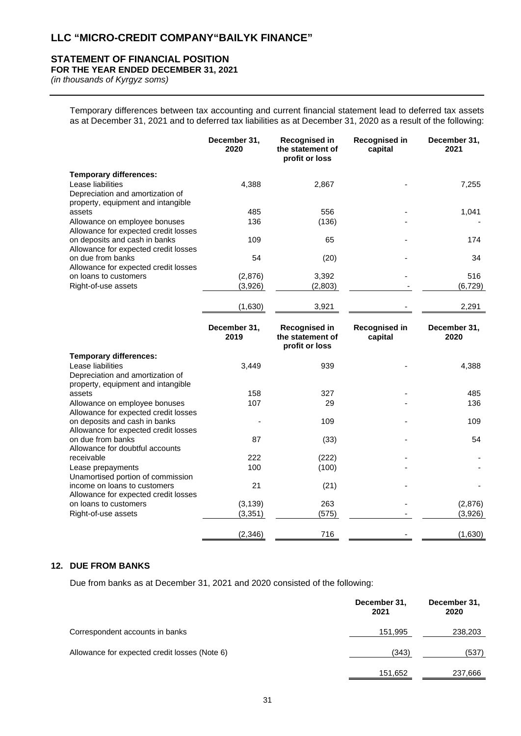# **STATEMENT OF FINANCIAL POSITION**

**FOR THE YEAR ENDED DECEMBER 31, 2021**

*(in thousands of Kyrgyz soms)*

Temporary differences between tax accounting and current financial statement lead to deferred tax assets as at December 31, 2021 and to deferred tax liabilities as at December 31, 2020 as a result of the following:

|                                                                                             | December 31,<br>2020 | <b>Recognised in</b><br>the statement of<br>profit or loss | Recognised in<br>capital | December 31,<br>2021 |
|---------------------------------------------------------------------------------------------|----------------------|------------------------------------------------------------|--------------------------|----------------------|
| <b>Temporary differences:</b>                                                               |                      |                                                            |                          |                      |
| Lease liabilities<br>Depreciation and amortization of<br>property, equipment and intangible | 4,388                | 2,867                                                      |                          | 7,255                |
| assets                                                                                      | 485                  | 556                                                        |                          | 1,041                |
| Allowance on employee bonuses<br>Allowance for expected credit losses                       | 136                  | (136)                                                      |                          |                      |
| on deposits and cash in banks<br>Allowance for expected credit losses                       | 109                  | 65                                                         |                          | 174                  |
| on due from banks<br>Allowance for expected credit losses                                   | 54                   | (20)                                                       |                          | 34                   |
| on loans to customers                                                                       | (2,876)              | 3,392                                                      |                          | 516                  |
| Right-of-use assets                                                                         | (3,926)              | (2,803)                                                    |                          | (6, 729)             |
|                                                                                             | (1,630)              | 3,921                                                      |                          | 2,291                |
|                                                                                             | December 31,<br>2019 | Recognised in<br>the statement of<br>profit or loss        | Recognised in<br>capital | December 31,<br>2020 |
| <b>Temporary differences:</b>                                                               |                      |                                                            |                          |                      |
| Lease liabilities<br>Depreciation and amortization of<br>property, equipment and intangible | 3,449                | 939                                                        |                          | 4,388                |
| assets                                                                                      | 158                  | 327                                                        |                          | 485                  |
| Allowance on employee bonuses<br>Allowance for expected credit losses                       | 107                  | 29                                                         |                          | 136                  |
| on deposits and cash in banks<br>Allowance for expected credit losses                       |                      | 109                                                        |                          | 109                  |
| on due from banks<br>Allowance for doubtful accounts                                        | 87                   | (33)                                                       |                          | 54                   |
| receivable                                                                                  | 222                  | (222)                                                      |                          |                      |
| Lease prepayments<br>Unamortised portion of commission                                      | 100                  | (100)                                                      |                          |                      |
| income on loans to customers<br>Allowance for expected credit losses                        | 21                   | (21)                                                       |                          |                      |
| on loans to customers                                                                       | (3, 139)             | 263                                                        |                          | (2,876)              |
| Right-of-use assets                                                                         | (3, 351)             | (575)                                                      |                          | (3,926)              |
|                                                                                             | (2, 346)             | 716                                                        |                          | (1,630)              |

## **12. DUE FROM BANKS**

Due from banks as at December 31, 2021 and 2020 consisted of the following:

|                                               | December 31,<br>2021 | December 31,<br>2020 |
|-----------------------------------------------|----------------------|----------------------|
| Correspondent accounts in banks               | 151,995              | 238,203              |
| Allowance for expected credit losses (Note 6) | (343)                | (537)                |
|                                               | 151,652              | 237,666              |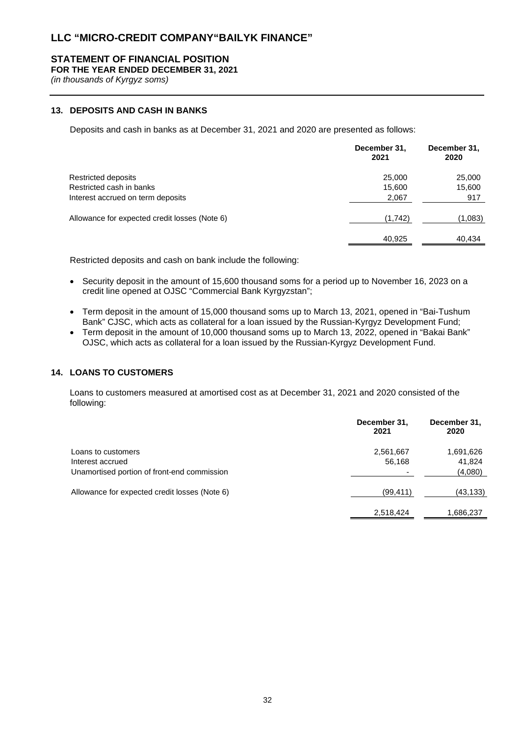## **STATEMENT OF FINANCIAL POSITION**

**FOR THE YEAR ENDED DECEMBER 31, 2021**

*(in thousands of Kyrgyz soms)*

## **13. DEPOSITS AND CASH IN BANKS**

Deposits and cash in banks as at December 31, 2021 and 2020 are presented as follows:

|                                               | December 31,<br>2021 | December 31,<br>2020 |
|-----------------------------------------------|----------------------|----------------------|
| <b>Restricted deposits</b>                    | 25,000               | 25,000               |
| Restricted cash in banks                      | 15,600               | 15,600               |
| Interest accrued on term deposits             | 2,067                | 917                  |
| Allowance for expected credit losses (Note 6) | (1,742)              | (1,083)              |
|                                               | 40,925               | 40,434               |

Restricted deposits and cash on bank include the following:

- Security deposit in the amount of 15,600 thousand soms for a period up to November 16, 2023 on a credit line opened at OJSC "Commercial Bank Kyrgyzstan";
- Term deposit in the amount of 15,000 thousand soms up to March 13, 2021, opened in "Bai-Tushum Bank" CJSC, which acts as collateral for a loan issued by the Russian-Kyrgyz Development Fund;
- Term deposit in the amount of 10,000 thousand soms up to March 13, 2022, opened in "Bakai Bank" OJSC, which acts as collateral for a loan issued by the Russian-Kyrgyz Development Fund.

## **14. LOANS TO CUSTOMERS**

Loans to customers measured at amortised cost as at December 31, 2021 and 2020 consisted of the following:

|                                               | December 31,<br>2021 | December 31,<br>2020 |
|-----------------------------------------------|----------------------|----------------------|
| Loans to customers                            | 2,561,667            | 1,691,626            |
| Interest accrued                              | 56,168               | 41,824               |
| Unamortised portion of front-end commission   |                      | (4,080)              |
| Allowance for expected credit losses (Note 6) | (99, 411)            | (43, 133)            |
|                                               | 2,518,424            | 1,686,237            |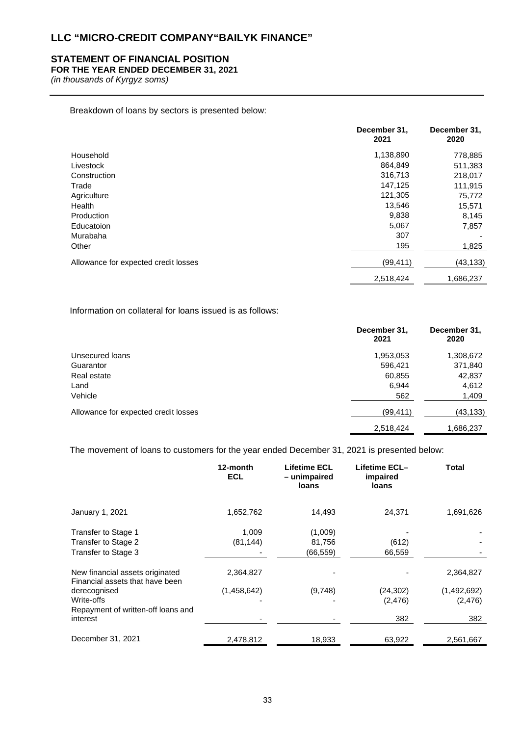## **STATEMENT OF FINANCIAL POSITION**

## **FOR THE YEAR ENDED DECEMBER 31, 2021**

*(in thousands of Kyrgyz soms)*

Breakdown of loans by sectors is presented below:

|                                      | December 31,<br>2021 | December 31,<br>2020 |
|--------------------------------------|----------------------|----------------------|
| Household                            | 1,138,890            | 778,885              |
| Livestock                            | 864,849              | 511,383              |
| Construction                         | 316,713              | 218,017              |
| Trade                                | 147,125              | 111,915              |
| Agriculture                          | 121,305              | 75,772               |
| Health                               | 13,546               | 15,571               |
| Production                           | 9,838                | 8,145                |
| Educatoion                           | 5,067                | 7,857                |
| Murabaha                             | 307                  |                      |
| Other                                | 195                  | 1,825                |
| Allowance for expected credit losses | (99, 411)            | (43, 133)            |
|                                      | 2,518,424            | 1,686,237            |

Information on collateral for loans issued is as follows:

|                                      | December 31,<br>2021 | December 31,<br>2020 |
|--------------------------------------|----------------------|----------------------|
| Unsecured loans                      | 1,953,053            | 1,308,672            |
| Guarantor                            | 596,421              | 371,840              |
| Real estate                          | 60,855               | 42,837               |
| Land                                 | 6,944                | 4,612                |
| Vehicle                              | 562                  | 1,409                |
| Allowance for expected credit losses | (99, 411)            | (43, 133)            |
|                                      | 2,518,424            | 1,686,237            |

The movement of loans to customers for the year ended December 31, 2021 is presented below:

|                                                                    | 12-month<br><b>ECL</b> | <b>Lifetime ECL</b><br>- unimpaired<br>loans | Lifetime ECL-<br>impaired<br>loans | <b>Total</b> |
|--------------------------------------------------------------------|------------------------|----------------------------------------------|------------------------------------|--------------|
| January 1, 2021                                                    | 1,652,762              | 14,493                                       | 24,371                             | 1,691,626    |
| Transfer to Stage 1                                                | 1,009                  | (1,009)                                      |                                    |              |
| Transfer to Stage 2                                                | (81, 144)              | 81,756                                       | (612)                              |              |
| Transfer to Stage 3                                                |                        | (66,559)                                     | 66,559                             |              |
| New financial assets originated<br>Financial assets that have been | 2,364,827              |                                              |                                    | 2,364,827    |
| derecognised                                                       | (1,458,642)            | (9,748)                                      | (24, 302)                          | (1,492,692)  |
| Write-offs                                                         |                        |                                              | (2, 476)                           | (2, 476)     |
| Repayment of written-off loans and                                 |                        |                                              |                                    |              |
| interest                                                           |                        |                                              | 382                                | 382          |
| December 31, 2021                                                  | 2,478,812              | 18,933                                       | 63,922                             | 2,561,667    |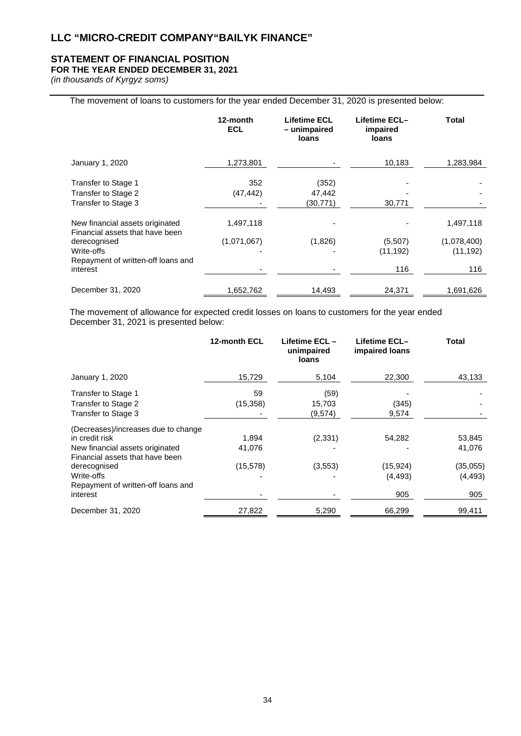## **STATEMENT OF FINANCIAL POSITION**

## **FOR THE YEAR ENDED DECEMBER 31, 2021**

*(in thousands of Kyrgyz soms)*

## The movement of loans to customers for the year ended December 31, 2020 is presented below:

|                                                                                                                                                    | 12-month<br><b>ECL</b>   | Lifetime ECL<br>- unimpaired<br><b>loans</b> | Lifetime ECL-<br>impaired<br>loans | Total                                        |
|----------------------------------------------------------------------------------------------------------------------------------------------------|--------------------------|----------------------------------------------|------------------------------------|----------------------------------------------|
| January 1, 2020                                                                                                                                    | 1,273,801                |                                              | 10,183                             | 1,283,984                                    |
| Transfer to Stage 1<br>Transfer to Stage 2<br>Transfer to Stage 3                                                                                  | 352<br>(47,442)          | (352)<br>47,442<br>(30, 771)                 | 30,771                             |                                              |
| New financial assets originated<br>Financial assets that have been<br>derecognised<br>Write-offs<br>Repayment of written-off loans and<br>interest | 1,497,118<br>(1,071,067) | (1,826)                                      | (5,507)<br>(11, 192)<br>116        | 1,497,118<br>(1,078,400)<br>(11, 192)<br>116 |
| December 31, 2020                                                                                                                                  | 1,652,762                | 14,493                                       | 24,371                             | 1,691,626                                    |

The movement of allowance for expected credit losses on loans to customers for the year ended December 31, 2021 is presented below:

|                                                                    | 12-month ECL | Lifetime ECL –<br>unimpaired<br>loans | Lifetime ECL-<br>impaired loans | <b>Total</b> |
|--------------------------------------------------------------------|--------------|---------------------------------------|---------------------------------|--------------|
| January 1, 2020                                                    | 15,729       | 5,104                                 | 22,300                          | 43,133       |
| Transfer to Stage 1                                                | 59           | (59)                                  |                                 |              |
| Transfer to Stage 2                                                | (15, 358)    | 15,703                                | (345)                           |              |
| Transfer to Stage 3                                                |              | (9,574)                               | 9,574                           |              |
| (Decreases)/increases due to change                                |              |                                       |                                 |              |
| in credit risk                                                     | 1,894        | (2, 331)                              | 54,282                          | 53,845       |
| New financial assets originated<br>Financial assets that have been | 41,076       |                                       |                                 | 41,076       |
| derecognised                                                       | (15, 578)    | (3, 553)                              | (15, 924)                       | (35,055)     |
| Write-offs                                                         |              |                                       | (4, 493)                        | (4, 493)     |
| Repayment of written-off loans and                                 |              |                                       |                                 |              |
| interest                                                           |              |                                       | 905                             | 905          |
| December 31, 2020                                                  | 27,822       | 5,290                                 | 66,299                          | 99,411       |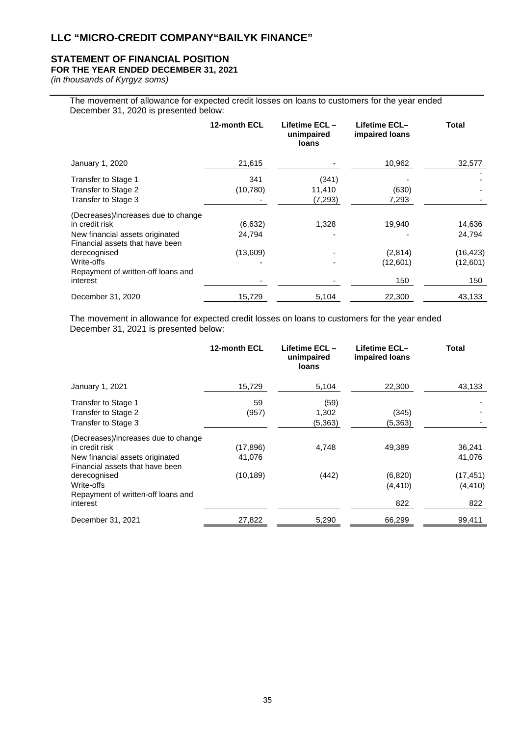## **STATEMENT OF FINANCIAL POSITION**

## **FOR THE YEAR ENDED DECEMBER 31, 2021**

*(in thousands of Kyrgyz soms)*

The movement of allowance for expected credit losses on loans to customers for the year ended December 31, 2020 is presented below:

|                                                                                                                                                                                                             | 12-month ECL                  | Lifetime ECL -<br>unimpaired<br>loans | Lifetime ECL-<br>impaired loans      | Total                                            |
|-------------------------------------------------------------------------------------------------------------------------------------------------------------------------------------------------------------|-------------------------------|---------------------------------------|--------------------------------------|--------------------------------------------------|
| January 1, 2020                                                                                                                                                                                             | 21,615                        |                                       | 10,962                               | 32,577                                           |
| Transfer to Stage 1<br>Transfer to Stage 2<br>Transfer to Stage 3                                                                                                                                           | 341<br>(10, 780)              | (341)<br>11,410<br>(7, 293)           | (630)<br>7,293                       |                                                  |
| (Decreases)/increases due to change<br>in credit risk<br>New financial assets originated<br>Financial assets that have been<br>derecognised<br>Write-offs<br>Repayment of written-off loans and<br>interest | (6,632)<br>24,794<br>(13,609) | 1,328                                 | 19,940<br>(2,814)<br>(12,601)<br>150 | 14,636<br>24,794<br>(16, 423)<br>(12,601)<br>150 |
| December 31, 2020                                                                                                                                                                                           | 15,729                        | 5,104                                 | 22,300                               | 43,133                                           |

The movement in allowance for expected credit losses on loans to customers for the year ended December 31, 2021 is presented below:

|                                                                    | 12-month ECL | Lifetime ECL-<br>unimpaired<br><b>loans</b> | Lifetime ECL–<br>impaired loans | <b>Total</b> |
|--------------------------------------------------------------------|--------------|---------------------------------------------|---------------------------------|--------------|
| January 1, 2021                                                    | 15,729       | 5,104                                       | 22,300                          | 43,133       |
| Transfer to Stage 1                                                | 59           | (59)                                        |                                 |              |
| Transfer to Stage 2                                                | (957)        | 1,302                                       | (345)                           |              |
| Transfer to Stage 3                                                |              | (5, 363)                                    | (5,363)                         |              |
| (Decreases)/increases due to change                                |              |                                             |                                 |              |
| in credit risk                                                     | (17, 896)    | 4,748                                       | 49,389                          | 36,241       |
| New financial assets originated<br>Financial assets that have been | 41,076       |                                             |                                 | 41,076       |
| derecognised                                                       | (10, 189)    | (442)                                       | (6,820)                         | (17, 451)    |
| Write-offs                                                         |              |                                             | (4, 410)                        | (4, 410)     |
| Repayment of written-off loans and<br>interest                     |              |                                             | 822                             | 822          |
| December 31, 2021                                                  | 27,822       | 5,290                                       | 66,299                          | 99,411       |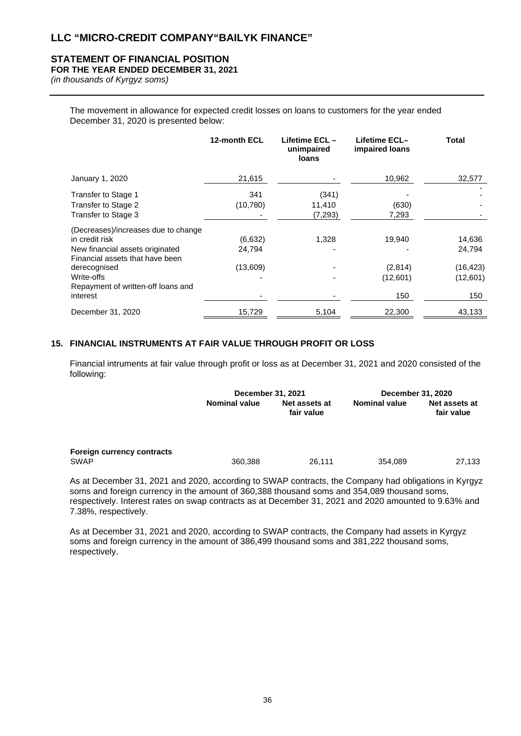## **STATEMENT OF FINANCIAL POSITION**

## **FOR THE YEAR ENDED DECEMBER 31, 2021**

*(in thousands of Kyrgyz soms)*

The movement in allowance for expected credit losses on loans to customers for the year ended December 31, 2020 is presented below:

|                                                                    | 12-month ECL | Lifetime ECL-<br>unimpaired<br>loans | Lifetime ECL-<br>impaired loans | Total     |
|--------------------------------------------------------------------|--------------|--------------------------------------|---------------------------------|-----------|
| January 1, 2020                                                    | 21,615       |                                      | 10,962                          | 32,577    |
| Transfer to Stage 1                                                | 341          | (341)                                |                                 |           |
| Transfer to Stage 2                                                | (10, 780)    | 11,410                               | (630)                           |           |
| Transfer to Stage 3                                                |              | (7, 293)                             | 7,293                           |           |
| (Decreases)/increases due to change                                |              |                                      |                                 |           |
| in credit risk                                                     | (6,632)      | 1,328                                | 19,940                          | 14,636    |
| New financial assets originated<br>Financial assets that have been | 24,794       |                                      |                                 | 24,794    |
| derecognised                                                       | (13,609)     |                                      | (2,814)                         | (16, 423) |
| Write-offs                                                         |              |                                      | (12,601)                        | (12,601)  |
| Repayment of written-off loans and<br>interest                     |              |                                      | 150                             | 150       |
| December 31, 2020                                                  | 15,729       | 5,104                                | 22,300                          | 43,133    |

## **15. FINANCIAL INSTRUMENTS AT FAIR VALUE THROUGH PROFIT OR LOSS**

Financial intruments at fair value through profit or loss as at December 31, 2021 and 2020 consisted of the following:

|                            | <b>December 31, 2021</b> |                             | December 31, 2020    |                             |
|----------------------------|--------------------------|-----------------------------|----------------------|-----------------------------|
|                            | <b>Nominal value</b>     | Net assets at<br>fair value | <b>Nominal value</b> | Net assets at<br>fair value |
| Foreign currency contracts |                          |                             |                      |                             |
| <b>SWAP</b>                | 360,388                  | 26.111                      | 354,089              | 27,133                      |

As at December 31, 2021 and 2020, according to SWAP contracts, the Company had obligations in Kyrgyz soms and foreign currency in the amount of 360,388 thousand soms and 354,089 thousand soms, respectively. Interest rates on swap contracts as at December 31, 2021 and 2020 amounted to 9.63% and 7.38%, respectively.

As at December 31, 2021 and 2020, according to SWAP contracts, the Company had assets in Kyrgyz soms and foreign currency in the amount of 386,499 thousand soms and 381,222 thousand soms, respectively.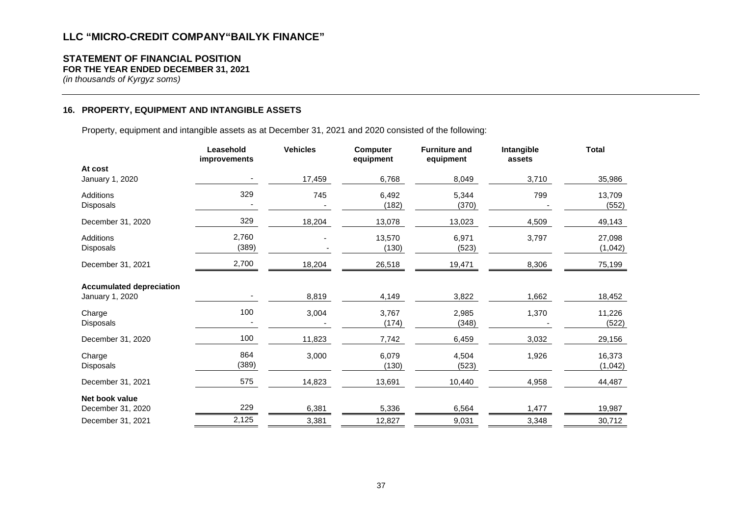#### **STATEMENT OF FINANCIAL POSITION FOR THE YEAR ENDED DECEMBER 31, 2021**

*(in thousands of Kyrgyz soms)*

## **16. PROPERTY, EQUIPMENT AND INTANGIBLE ASSETS**

Property, equipment and intangible assets as at December 31, 2021 and 2020 consisted of the following:

|                                                    | Leasehold<br>improvements | <b>Vehicles</b> | <b>Computer</b><br>equipment | <b>Furniture and</b><br>equipment | Intangible<br>assets | <b>Total</b>      |
|----------------------------------------------------|---------------------------|-----------------|------------------------------|-----------------------------------|----------------------|-------------------|
| At cost<br>January 1, 2020                         |                           | 17,459          | 6,768                        | 8,049                             | 3,710                | 35,986            |
| Additions<br>Disposals                             | 329                       | 745             | 6,492<br>(182)               | 5,344<br>(370)                    | 799                  | 13,709<br>(552)   |
| December 31, 2020                                  | 329                       | 18,204          | 13,078                       | 13,023                            | 4,509                | 49,143            |
| Additions<br>Disposals                             | 2,760<br>(389)            |                 | 13,570<br>(130)              | 6,971<br>(523)                    | 3,797                | 27,098<br>(1,042) |
| December 31, 2021                                  | 2,700                     | 18,204          | 26,518                       | 19,471                            | 8,306                | 75,199            |
| <b>Accumulated depreciation</b><br>January 1, 2020 |                           | 8,819           | 4,149                        | 3,822                             | 1,662                | 18,452            |
| Charge<br>Disposals                                | 100                       | 3,004           | 3,767<br>(174)               | 2,985<br>(348)                    | 1,370                | 11,226<br>(522)   |
| December 31, 2020                                  | 100                       | 11,823          | 7,742                        | 6,459                             | 3,032                | 29,156            |
| Charge<br>Disposals                                | 864<br>(389)              | 3,000           | 6,079<br>(130)               | 4,504<br>(523)                    | 1,926                | 16,373<br>(1,042) |
| December 31, 2021                                  | 575                       | 14,823          | 13,691                       | 10,440                            | 4,958                | 44,487            |
| Net book value<br>December 31, 2020                | 229                       | 6,381           | 5,336                        | 6,564                             | 1,477                | 19,987            |
| December 31, 2021                                  | 2,125                     | 3,381           | 12,827                       | 9,031                             | 3,348                | 30,712            |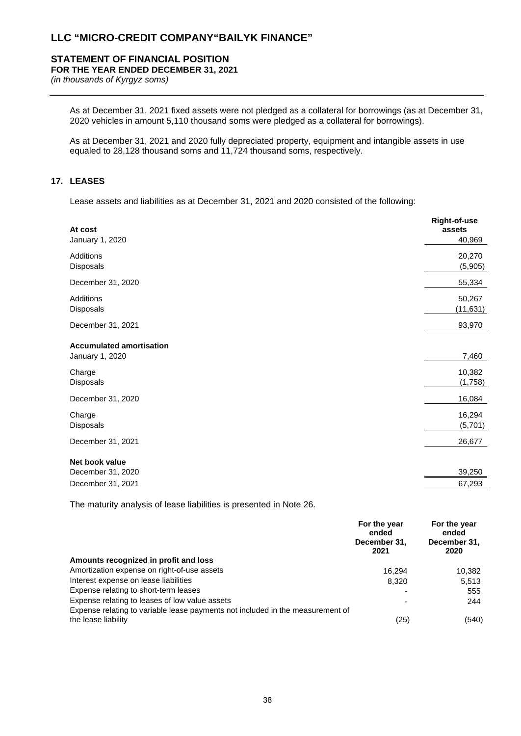## **STATEMENT OF FINANCIAL POSITION**

**FOR THE YEAR ENDED DECEMBER 31, 2021**

*(in thousands of Kyrgyz soms)*

As at December 31, 2021 fixed assets were not pledged as a collateral for borrowings (as at December 31, 2020 vehicles in amount 5,110 thousand soms were pledged as a collateral for borrowings).

As at December 31, 2021 and 2020 fully depreciated property, equipment and intangible assets in use equaled to 28,128 thousand soms and 11,724 thousand soms, respectively.

## **17. LEASES**

Lease assets and liabilities as at December 31, 2021 and 2020 consisted of the following:

| At cost<br>January 1, 2020                         | Right-of-use<br>assets<br>40,969 |
|----------------------------------------------------|----------------------------------|
| Additions<br>Disposals                             | 20,270<br>(5,905)                |
| December 31, 2020                                  | 55,334                           |
| Additions<br>Disposals                             | 50,267<br>(11, 631)              |
| December 31, 2021                                  | 93,970                           |
| <b>Accumulated amortisation</b><br>January 1, 2020 | 7,460                            |
| Charge<br>Disposals                                | 10,382<br>(1,758)                |
| December 31, 2020                                  | 16,084                           |
| Charge<br>Disposals                                | 16,294<br>(5,701)                |
| December 31, 2021                                  | 26,677                           |
| Net book value<br>December 31, 2020                | 39,250                           |
| December 31, 2021                                  | 67,293                           |

The maturity analysis of lease liabilities is presented in Note 26.

|                                                                                                       | For the year<br>ended<br>December 31,<br>2021 | For the year<br>ended<br>December 31,<br>2020 |
|-------------------------------------------------------------------------------------------------------|-----------------------------------------------|-----------------------------------------------|
| Amounts recognized in profit and loss                                                                 |                                               |                                               |
| Amortization expense on right-of-use assets                                                           | 16.294                                        | 10,382                                        |
| Interest expense on lease liabilities                                                                 | 8.320                                         | 5,513                                         |
| Expense relating to short-term leases                                                                 |                                               | 555                                           |
| Expense relating to leases of low value assets                                                        |                                               | 244                                           |
| Expense relating to variable lease payments not included in the measurement of<br>the lease liability | (25)                                          | (540)                                         |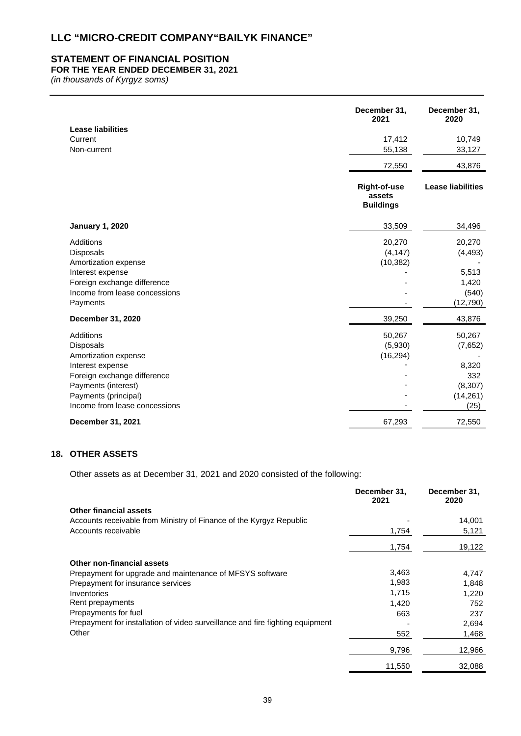## **STATEMENT OF FINANCIAL POSITION**

## **FOR THE YEAR ENDED DECEMBER 31, 2021**

*(in thousands of Kyrgyz soms)*

| <b>Lease liabilities</b>                                                                                                                                                                 | December 31,<br>2021                              | December 31,<br>2020                                               |
|------------------------------------------------------------------------------------------------------------------------------------------------------------------------------------------|---------------------------------------------------|--------------------------------------------------------------------|
| Current<br>Non-current                                                                                                                                                                   | 17,412<br>55,138                                  | 10,749<br>33,127                                                   |
|                                                                                                                                                                                          | 72,550                                            | 43,876                                                             |
|                                                                                                                                                                                          | <b>Right-of-use</b><br>assets<br><b>Buildings</b> | <b>Lease liabilities</b>                                           |
| <b>January 1, 2020</b>                                                                                                                                                                   | 33,509                                            | 34,496                                                             |
| Additions<br><b>Disposals</b><br>Amortization expense<br>Interest expense<br>Foreign exchange difference<br>Income from lease concessions<br>Payments                                    | 20,270<br>(4, 147)<br>(10, 382)                   | 20,270<br>(4, 493)<br>5,513<br>1,420<br>(540)<br>(12, 790)         |
| December 31, 2020                                                                                                                                                                        | 39,250                                            | 43,876                                                             |
| Additions<br><b>Disposals</b><br>Amortization expense<br>Interest expense<br>Foreign exchange difference<br>Payments (interest)<br>Payments (principal)<br>Income from lease concessions | 50,267<br>(5,930)<br>(16, 294)                    | 50,267<br>(7,652)<br>8,320<br>332<br>(8, 307)<br>(14, 261)<br>(25) |
| December 31, 2021                                                                                                                                                                        | 67,293                                            | 72,550                                                             |

## **18. OTHER ASSETS**

Other assets as at December 31, 2021 and 2020 consisted of the following:

|                                                                               | December 31,<br>2021 | December 31,<br>2020 |
|-------------------------------------------------------------------------------|----------------------|----------------------|
| <b>Other financial assets</b>                                                 |                      |                      |
| Accounts receivable from Ministry of Finance of the Kyrgyz Republic           |                      | 14,001               |
| Accounts receivable                                                           | 1,754                | 5,121                |
|                                                                               | 1,754                | 19,122               |
| Other non-financial assets                                                    |                      |                      |
| Prepayment for upgrade and maintenance of MFSYS software                      | 3,463                | 4,747                |
| Prepayment for insurance services                                             | 1,983                | 1.848                |
| Inventories                                                                   | 1,715                | 1,220                |
| Rent prepayments                                                              | 1,420                | 752                  |
| Prepayments for fuel                                                          | 663                  | 237                  |
| Prepayment for installation of video surveillance and fire fighting equipment |                      | 2,694                |
| Other                                                                         | 552                  | 1,468                |
|                                                                               | 9,796                | 12,966               |
|                                                                               | 11,550               | 32,088               |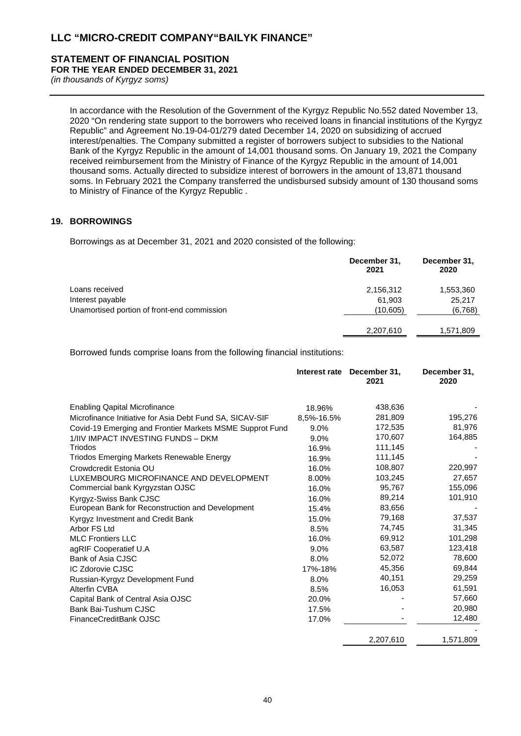#### **STATEMENT OF FINANCIAL POSITION FOR THE YEAR ENDED DECEMBER 31, 2021**

*(in thousands of Kyrgyz soms)*

In accordance with the Resolution of the Government of the Kyrgyz Republic No.552 dated November 13, 2020 "On rendering state support to the borrowers who received loans in financial institutions of the Kyrgyz Republic" and Agreement No.19-04-01/279 dated December 14, 2020 on subsidizing of accrued interest/penalties. The Company submitted a register of borrowers subject to subsidies to the National Bank of the Kyrgyz Republic in the amount of 14,001 thousand soms. On January 19, 2021 the Company received reimbursement from the Ministry of Finance of the Kyrgyz Republic in the amount of 14,001 thousand soms. Actually directed to subsidize interest of borrowers in the amount of 13,871 thousand soms. In February 2021 the Company transferred the undisbursed subsidy amount of 130 thousand soms to Ministry of Finance of the Kyrgyz Republic .

## **19. BORROWINGS**

Borrowings as at December 31, 2021 and 2020 consisted of the following:

|                                             | December 31,<br>2021 | December 31,<br>2020 |
|---------------------------------------------|----------------------|----------------------|
| Loans received                              | 2,156,312            | 1,553,360            |
| Interest payable                            | 61,903               | 25,217               |
| Unamortised portion of front-end commission | (10, 605)            | (6,768)              |
|                                             | 2,207,610            | 1,571,809            |
|                                             |                      |                      |

Borrowed funds comprise loans from the following financial institutions:

|                                                          | Interest rate | December 31,<br>2021 | December 31,<br>2020 |
|----------------------------------------------------------|---------------|----------------------|----------------------|
| <b>Enabling Qapital Microfinance</b>                     | 18.96%        | 438,636              |                      |
| Microfinance Initiative for Asia Debt Fund SA, SICAV-SIF | 8,5%-16.5%    | 281,809              | 195,276              |
| Covid-19 Emerging and Frontier Markets MSME Supprot Fund | 9.0%          | 172,535              | 81,976               |
| 1/IIV IMPACT INVESTING FUNDS - DKM                       | 9.0%          | 170,607              | 164,885              |
| Triodos                                                  | 16.9%         | 111,145              |                      |
| Triodos Emerging Markets Renewable Energy                | 16.9%         | 111,145              |                      |
| Crowdcredit Estonia OU                                   | 16.0%         | 108,807              | 220,997              |
| LUXEMBOURG MICROFINANCE AND DEVELOPMENT                  | 8.00%         | 103,245              | 27,657               |
| Commercial bank Kyrgyzstan OJSC                          | 16.0%         | 95,767               | 155,096              |
| Kyrgyz-Swiss Bank CJSC                                   | 16.0%         | 89,214               | 101,910              |
| European Bank for Reconstruction and Development         | 15.4%         | 83,656               |                      |
| Kyrgyz Investment and Credit Bank                        | 15.0%         | 79,168               | 37,537               |
| Arbor FS Ltd                                             | 8.5%          | 74,745               | 31,345               |
| <b>MLC Frontiers LLC</b>                                 | 16.0%         | 69,912               | 101,298              |
| agRIF Cooperatief U.A                                    | 9.0%          | 63,587               | 123,418              |
| Bank of Asia CJSC                                        | 8.0%          | 52,072               | 78,600               |
| <b>IC Zdorovie CJSC</b>                                  | 17%-18%       | 45,356               | 69,844               |
| Russian-Kyrgyz Development Fund                          | 8.0%          | 40,151               | 29,259               |
| Alterfin CVBA                                            | 8.5%          | 16,053               | 61,591               |
| Capital Bank of Central Asia OJSC                        | 20.0%         |                      | 57,660               |
| Bank Bai-Tushum CJSC                                     | 17.5%         |                      | 20,980               |
| FinanceCreditBank OJSC                                   | 17.0%         |                      | 12,480               |
|                                                          |               |                      |                      |
|                                                          |               | 2,207,610            | 1,571,809            |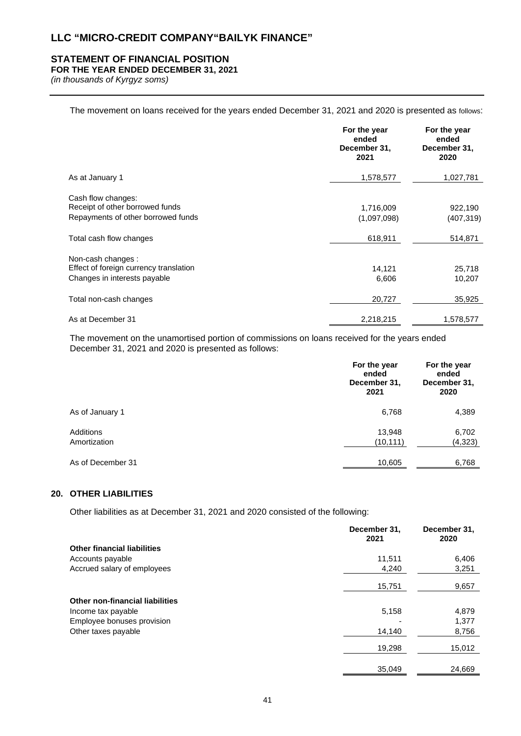## **STATEMENT OF FINANCIAL POSITION**

## **FOR THE YEAR ENDED DECEMBER 31, 2021**

*(in thousands of Kyrgyz soms)*

The movement on loans received for the years ended December 31, 2021 and 2020 is presented as follows:

|                                                                                             | For the year<br>ended<br>December 31,<br>2021 | For the year<br>ended<br>December 31,<br>2020 |
|---------------------------------------------------------------------------------------------|-----------------------------------------------|-----------------------------------------------|
| As at January 1                                                                             | 1,578,577                                     | 1,027,781                                     |
| Cash flow changes:<br>Receipt of other borrowed funds<br>Repayments of other borrowed funds | 1,716,009<br>(1,097,098)                      | 922,190<br>(407, 319)                         |
| Total cash flow changes                                                                     | 618,911                                       | 514,871                                       |
| Non-cash changes:<br>Effect of foreign currency translation<br>Changes in interests payable | 14,121<br>6,606                               | 25,718<br>10,207                              |
| Total non-cash changes                                                                      | 20,727                                        | 35,925                                        |
| As at December 31                                                                           | 2,218,215                                     | 1,578,577                                     |

The movement on the unamortised portion of commissions on loans received for the years ended December 31, 2021 and 2020 is presented as follows:

|                           | For the year<br>ended<br>December 31,<br>2021 | For the year<br>ended<br>December 31,<br>2020 |
|---------------------------|-----------------------------------------------|-----------------------------------------------|
| As of January 1           | 6,768                                         | 4,389                                         |
| Additions<br>Amortization | 13,948<br>(10, 111)                           | 6,702<br>(4, 323)                             |
| As of December 31         | 10,605                                        | 6,768                                         |

## **20. OTHER LIABILITIES**

Other liabilities as at December 31, 2021 and 2020 consisted of the following:

|                                        | December 31,<br>2021 | December 31,<br>2020 |
|----------------------------------------|----------------------|----------------------|
| <b>Other financial liabilities</b>     |                      |                      |
| Accounts payable                       | 11,511               | 6,406                |
| Accrued salary of employees            | 4,240                | 3,251                |
|                                        | 15,751               | 9,657                |
| <b>Other non-financial liabilities</b> |                      |                      |
| Income tax payable                     | 5,158                | 4,879                |
| Employee bonuses provision             |                      | 1,377                |
| Other taxes payable                    | 14,140               | 8,756                |
|                                        | 19,298               | 15,012               |
|                                        | 35,049               | 24,669               |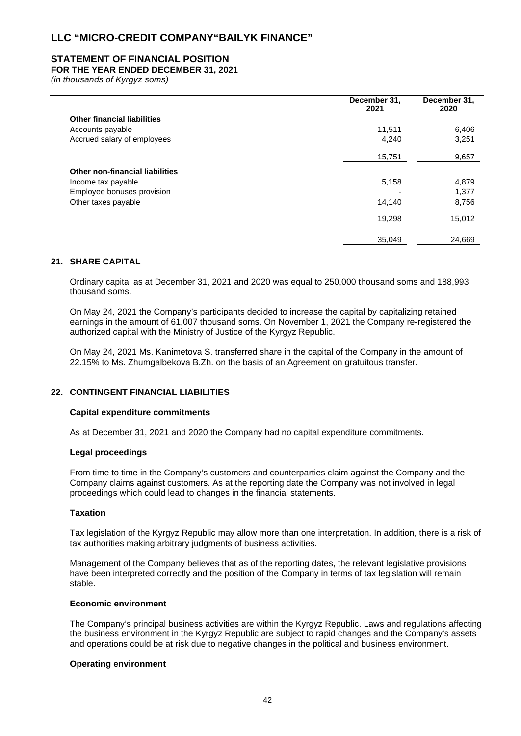## **STATEMENT OF FINANCIAL POSITION**

## **FOR THE YEAR ENDED DECEMBER 31, 2021**

*(in thousands of Kyrgyz soms)*

|                                    | December 31,<br>2021 | December 31,<br>2020 |
|------------------------------------|----------------------|----------------------|
| <b>Other financial liabilities</b> |                      |                      |
| Accounts payable                   | 11,511               | 6,406                |
| Accrued salary of employees        | 4,240                | 3,251                |
|                                    | 15,751               | 9,657                |
| Other non-financial liabilities    |                      |                      |
| Income tax payable                 | 5,158                | 4,879                |
| Employee bonuses provision         |                      | 1,377                |
| Other taxes payable                | 14,140               | 8,756                |
|                                    | 19,298               | 15,012               |
|                                    | 35,049               | 24,669               |

#### **21. SHARE CAPITAL**

Ordinary capital as at December 31, 2021 and 2020 was equal to 250,000 thousand soms and 188,993 thousand soms.

On May 24, 2021 the Company's participants decided to increase the capital by capitalizing retained earnings in the amount of 61,007 thousand soms. On November 1, 2021 the Company re-registered the authorized capital with the Ministry of Justice of the Kyrgyz Republic.

On May 24, 2021 Ms. Kanimetova S. transferred share in the capital of the Company in the amount of 22.15% to Ms. Zhumgalbekova B.Zh. on the basis of an Agreement on gratuitous transfer.

#### **22. CONTINGENT FINANCIAL LIABILITIES**

#### **Capital expenditure commitments**

As at December 31, 2021 and 2020 the Company had no capital expenditure commitments.

#### **Legal proceedings**

From time to time in the Company's customers and counterparties claim against the Company and the Company claims against customers. As at the reporting date the Company was not involved in legal proceedings which could lead to changes in the financial statements.

### **Taxation**

Tax legislation of the Kyrgyz Republic may allow more than one interpretation. In addition, there is a risk of tax authorities making arbitrary judgments of business activities.

Management of the Company believes that as of the reporting dates, the relevant legislative provisions have been interpreted correctly and the position of the Company in terms of tax legislation will remain stable.

#### **Economic environment**

The Company's principal business activities are within the Kyrgyz Republic. Laws and regulations affecting the business environment in the Kyrgyz Republic are subject to rapid changes and the Company's assets and operations could be at risk due to negative changes in the political and business environment.

#### **Operating environment**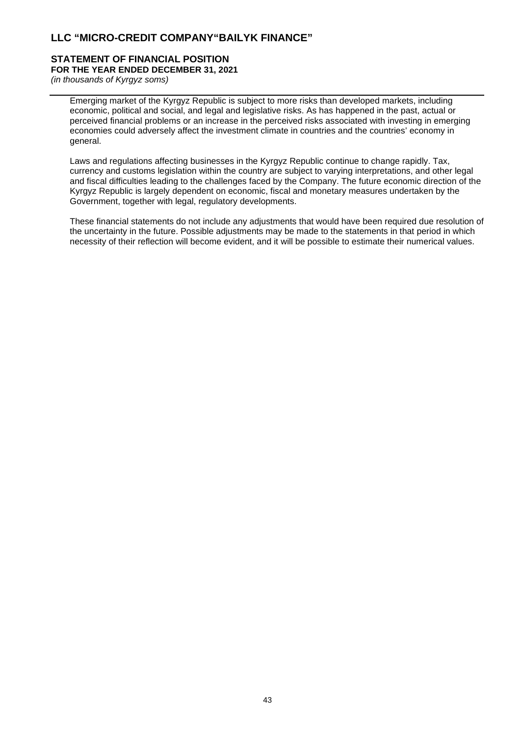#### **STATEMENT OF FINANCIAL POSITION FOR THE YEAR ENDED DECEMBER 31, 2021**

*(in thousands of Kyrgyz soms)*

Emerging market of the Kyrgyz Republic is subject to more risks than developed markets, including economic, political and social, and legal and legislative risks. As has happened in the past, actual or perceived financial problems or an increase in the perceived risks associated with investing in emerging economies could adversely affect the investment climate in countries and the countries' economy in general.

Laws and regulations affecting businesses in the Kyrgyz Republic continue to change rapidly. Tax, currency and customs legislation within the country are subject to varying interpretations, and other legal and fiscal difficulties leading to the challenges faced by the Company. The future economic direction of the Kyrgyz Republic is largely dependent on economic, fiscal and monetary measures undertaken by the Government, together with legal, regulatory developments.

These financial statements do not include any adjustments that would have been required due resolution of the uncertainty in the future. Possible adjustments may be made to the statements in that period in which necessity of their reflection will become evident, and it will be possible to estimate their numerical values.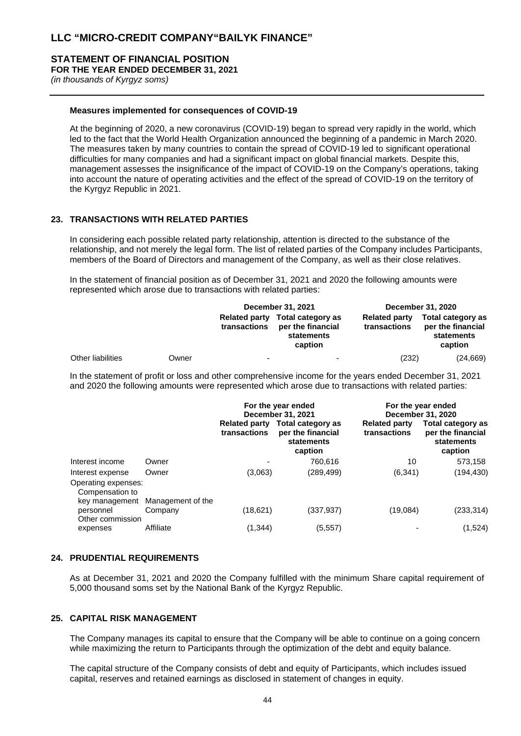# **STATEMENT OF FINANCIAL POSITION**

**FOR THE YEAR ENDED DECEMBER 31, 2021**

*(in thousands of Kyrgyz soms)*

#### **Measures implemented for consequences of COVID-19**

At the beginning of 2020, a new coronavirus (COVID-19) began to spread very rapidly in the world, which led to the fact that the World Health Organization announced the beginning of a pandemic in March 2020. The measures taken by many countries to contain the spread of COVID-19 led to significant operational difficulties for many companies and had a significant impact on global financial markets. Despite this, management assesses the insignificance of the impact of COVID-19 on the Company's operations, taking into account the nature of operating activities and the effect of the spread of COVID-19 on the territory of the Kyrgyz Republic in 2021.

## **23. TRANSACTIONS WITH RELATED PARTIES**

In considering each possible related party relationship, attention is directed to the substance of the relationship, and not merely the legal form. The list of related parties of the Company includes Participants, members of the Board of Directors and management of the Company, as well as their close relatives.

In the statement of financial position as of December 31, 2021 and 2020 the following amounts were represented which arose due to transactions with related parties:

|                   |       | December 31, 2021                    |                                                                 | December 31, 2020                    |                                                                 |
|-------------------|-------|--------------------------------------|-----------------------------------------------------------------|--------------------------------------|-----------------------------------------------------------------|
|                   |       | <b>Related party</b><br>transactions | Total category as<br>per the financial<br>statements<br>caption | <b>Related party</b><br>transactions | Total category as<br>per the financial<br>statements<br>caption |
| Other liabilities | Owner | -                                    | $\overline{\phantom{0}}$                                        | (232)                                | (24, 669)                                                       |

In the statement of profit or loss and other comprehensive income for the years ended December 31, 2021 and 2020 the following amounts were represented which arose due to transactions with related parties:

|                                        |                   | For the year ended<br>December 31, 2021 |                                                                 | For the year ended                   | December 31, 2020                                               |
|----------------------------------------|-------------------|-----------------------------------------|-----------------------------------------------------------------|--------------------------------------|-----------------------------------------------------------------|
|                                        |                   | <b>Related party</b><br>transactions    | Total category as<br>per the financial<br>statements<br>caption | <b>Related party</b><br>transactions | Total category as<br>per the financial<br>statements<br>caption |
| Interest income                        | Owner             | $\overline{\phantom{0}}$                | 760.616                                                         | 10                                   | 573,158                                                         |
| Interest expense                       | Owner             | (3,063)                                 | (289, 499)                                                      | (6, 341)                             | (194,430)                                                       |
| Operating expenses:<br>Compensation to |                   |                                         |                                                                 |                                      |                                                                 |
| key management                         | Management of the |                                         |                                                                 |                                      |                                                                 |
| personnel                              | Company           | (18, 621)                               | (337, 937)                                                      | (19,084)                             | (233, 314)                                                      |
| Other commission<br>expenses           | Affiliate         | (1, 344)                                | (5, 557)                                                        |                                      | (1,524)                                                         |

#### **24. PRUDENTIAL REQUIREMENTS**

As at December 31, 2021 and 2020 the Company fulfilled with the minimum Share capital requirement of 5,000 thousand soms set by the National Bank of the Kyrgyz Republic.

## **25. CAPITAL RISK MANAGEMENT**

The Company manages its capital to ensure that the Company will be able to continue on a going concern while maximizing the return to Participants through the optimization of the debt and equity balance.

The capital structure of the Company consists of debt and equity of Participants, which includes issued capital, reserves and retained earnings as disclosed in statement of changes in equity.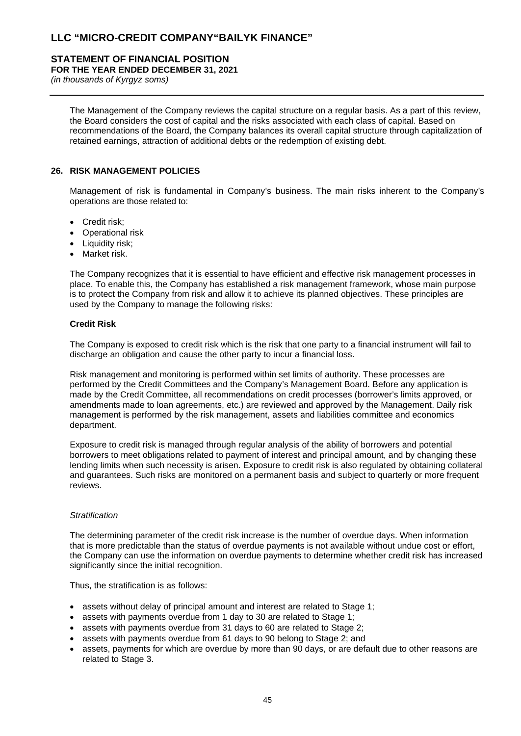## **STATEMENT OF FINANCIAL POSITION**

## **FOR THE YEAR ENDED DECEMBER 31, 2021**

*(in thousands of Kyrgyz soms)*

The Management of the Company reviews the capital structure on a regular basis. As a part of this review, the Board considers the cost of capital and the risks associated with each class of capital. Based on recommendations of the Board, the Company balances its overall capital structure through capitalization of retained earnings, attraction of additional debts or the redemption of existing debt.

## **26. RISK MANAGEMENT POLICIES**

Management of risk is fundamental in Company's business. The main risks inherent to the Company's operations are those related to:

- Credit risk;
- Operational risk
- Liquidity risk;
- Market risk.

The Company recognizes that it is essential to have efficient and effective risk management processes in place. To enable this, the Company has established a risk management framework, whose main purpose is to protect the Company from risk and allow it to achieve its planned objectives. These principles are used by the Company to manage the following risks:

## **Credit Risk**

The Company is exposed to credit risk which is the risk that one party to a financial instrument will fail to discharge an obligation and cause the other party to incur a financial loss.

Risk management and monitoring is performed within set limits of authority. These processes are performed by the Credit Committees and the Company's Management Board. Before any application is made by the Credit Committee, all recommendations on credit processes (borrower's limits approved, or amendments made to loan agreements, etc.) are reviewed and approved by the Management. Daily risk management is performed by the risk management, assets and liabilities committee and economics department.

Exposure to credit risk is managed through regular analysis of the ability of borrowers and potential borrowers to meet obligations related to payment of interest and principal amount, and by changing these lending limits when such necessity is arisen. Exposure to credit risk is also regulated by obtaining collateral and guarantees. Such risks are monitored on a permanent basis and subject to quarterly or more frequent reviews.

#### *Stratification*

The determining parameter of the credit risk increase is the number of overdue days. When information that is more predictable than the status of overdue payments is not available without undue cost or effort, the Company can use the information on overdue payments to determine whether credit risk has increased significantly since the initial recognition.

Thus, the stratification is as follows:

- assets without delay of principal amount and interest are related to Stage 1;
- assets with payments overdue from 1 day to 30 are related to Stage 1;
- assets with payments overdue from 31 days to 60 are related to Stage 2;
- assets with payments overdue from 61 days to 90 belong to Stage 2; and
- assets, payments for which are overdue by more than 90 days, or are default due to other reasons are related to Stage 3.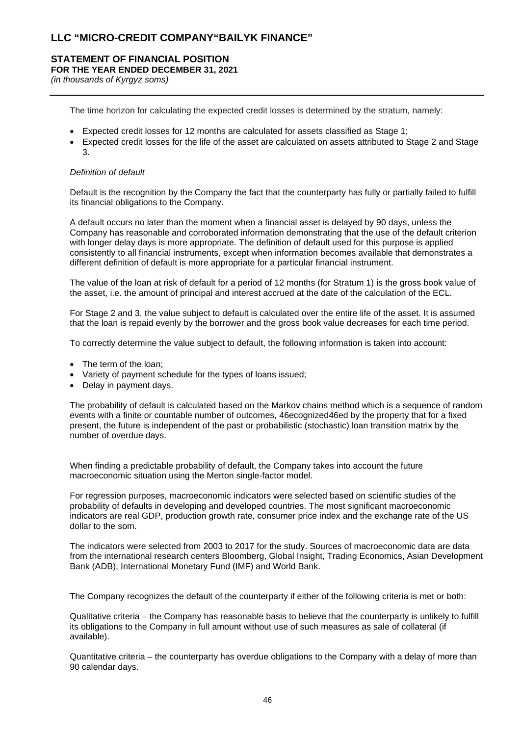## **STATEMENT OF FINANCIAL POSITION FOR THE YEAR ENDED DECEMBER 31, 2021**

*(in thousands of Kyrgyz soms)*

The time horizon for calculating the expected credit losses is determined by the stratum, namely:

- Expected credit losses for 12 months are calculated for assets classified as Stage 1;
- Expected credit losses for the life of the asset are calculated on assets attributed to Stage 2 and Stage 3.

#### *Definition of default*

Default is the recognition by the Company the fact that the counterparty has fully or partially failed to fulfill its financial obligations to the Company.

A default occurs no later than the moment when a financial asset is delayed by 90 days, unless the Company has reasonable and corroborated information demonstrating that the use of the default criterion with longer delay days is more appropriate. The definition of default used for this purpose is applied consistently to all financial instruments, except when information becomes available that demonstrates a different definition of default is more appropriate for a particular financial instrument.

The value of the loan at risk of default for a period of 12 months (for Stratum 1) is the gross book value of the asset, i.e. the amount of principal and interest accrued at the date of the calculation of the ECL.

For Stage 2 and 3, the value subject to default is calculated over the entire life of the asset. It is assumed that the loan is repaid evenly by the borrower and the gross book value decreases for each time period.

To correctly determine the value subject to default, the following information is taken into account:

- The term of the loan:
- Variety of payment schedule for the types of loans issued;
- Delay in payment days.

The probability of default is calculated based on the Markov chains method which is a sequence of random events with a finite or countable number of outcomes, 46ecognized46ed by the property that for a fixed present, the future is independent of the past or probabilistic (stochastic) loan transition matrix by the number of overdue days.

When finding a predictable probability of default, the Company takes into account the future macroeconomic situation using the Merton single-factor model.

For regression purposes, macroeconomic indicators were selected based on scientific studies of the probability of defaults in developing and developed countries. The most significant macroeconomic indicators are real GDP, production growth rate, consumer price index and the exchange rate of the US dollar to the som.

The indicators were selected from 2003 to 2017 for the study. Sources of macroeconomic data are data from the international research centers Bloomberg, Global Insight, Trading Economics, Asian Development Bank (ADB), International Monetary Fund (IMF) and World Bank.

The Company recognizes the default of the counterparty if either of the following criteria is met or both:

Qualitative criteria – the Company has reasonable basis to believe that the counterparty is unlikely to fulfill its obligations to the Company in full amount without use of such measures as sale of collateral (if available).

Quantitative criteria – the counterparty has overdue obligations to the Company with a delay of more than 90 calendar days.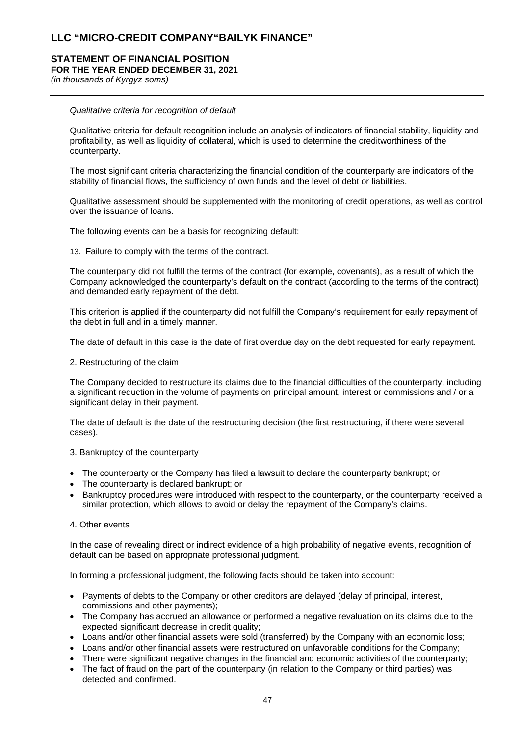#### **STATEMENT OF FINANCIAL POSITION FOR THE YEAR ENDED DECEMBER 31, 2021**

*(in thousands of Kyrgyz soms)*

#### *Qualitative criteria for recognition of default*

Qualitative criteria for default recognition include an analysis of indicators of financial stability, liquidity and profitability, as well as liquidity of collateral, which is used to determine the creditworthiness of the counterparty.

The most significant criteria characterizing the financial condition of the counterparty are indicators of the stability of financial flows, the sufficiency of own funds and the level of debt or liabilities.

Qualitative assessment should be supplemented with the monitoring of credit operations, as well as control over the issuance of loans.

The following events can be a basis for recognizing default:

13. Failure to comply with the terms of the contract.

The counterparty did not fulfill the terms of the contract (for example, covenants), as a result of which the Company acknowledged the counterparty's default on the contract (according to the terms of the contract) and demanded early repayment of the debt.

This criterion is applied if the counterparty did not fulfill the Company's requirement for early repayment of the debt in full and in a timely manner.

The date of default in this case is the date of first overdue day on the debt requested for early repayment.

2. Restructuring of the claim

The Company decided to restructure its claims due to the financial difficulties of the counterparty, including a significant reduction in the volume of payments on principal amount, interest or commissions and / or a significant delay in their payment.

The date of default is the date of the restructuring decision (the first restructuring, if there were several cases).

3. Bankruptcy of the counterparty

- The counterparty or the Company has filed a lawsuit to declare the counterparty bankrupt; or
- The counterparty is declared bankrupt; or
- Bankruptcy procedures were introduced with respect to the counterparty, or the counterparty received a similar protection, which allows to avoid or delay the repayment of the Company's claims.

#### 4. Other events

In the case of revealing direct or indirect evidence of a high probability of negative events, recognition of default can be based on appropriate professional judgment.

In forming a professional judgment, the following facts should be taken into account:

- Payments of debts to the Company or other creditors are delayed (delay of principal, interest, commissions and other payments);
- The Company has accrued an allowance or performed a negative revaluation on its claims due to the expected significant decrease in credit quality;
- Loans and/or other financial assets were sold (transferred) by the Company with an economic loss;
- Loans and/or other financial assets were restructured on unfavorable conditions for the Company;
- There were significant negative changes in the financial and economic activities of the counterparty;
- The fact of fraud on the part of the counterparty (in relation to the Company or third parties) was detected and confirmed.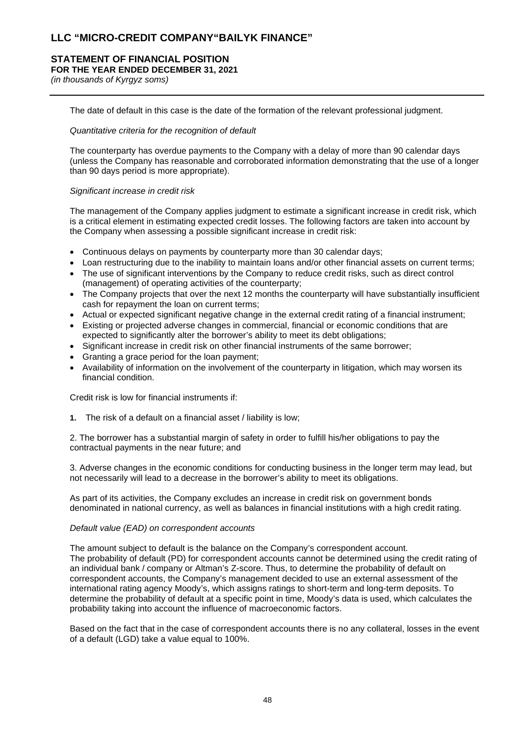# **STATEMENT OF FINANCIAL POSITION**

**FOR THE YEAR ENDED DECEMBER 31, 2021**

*(in thousands of Kyrgyz soms)*

The date of default in this case is the date of the formation of the relevant professional judgment.

#### *Quantitative criteria for the recognition of default*

The counterparty has overdue payments to the Company with a delay of more than 90 calendar days (unless the Company has reasonable and corroborated information demonstrating that the use of a longer than 90 days period is more appropriate).

## *Significant increase in credit risk*

The management of the Company applies judgment to estimate a significant increase in credit risk, which is a critical element in estimating expected credit losses. The following factors are taken into account by the Company when assessing a possible significant increase in credit risk:

- Continuous delays on payments by counterparty more than 30 calendar days;
- Loan restructuring due to the inability to maintain loans and/or other financial assets on current terms;
- The use of significant interventions by the Company to reduce credit risks, such as direct control (management) of operating activities of the counterparty;
- The Company projects that over the next 12 months the counterparty will have substantially insufficient cash for repayment the loan on current terms;
- Actual or expected significant negative change in the external credit rating of a financial instrument;
- Existing or projected adverse changes in commercial, financial or economic conditions that are expected to significantly alter the borrower's ability to meet its debt obligations;
- Significant increase in credit risk on other financial instruments of the same borrower;
- Granting a grace period for the loan payment;
- Availability of information on the involvement of the counterparty in litigation, which may worsen its financial condition.

Credit risk is low for financial instruments if:

**1.** The risk of a default on a financial asset / liability is low;

2. The borrower has a substantial margin of safety in order to fulfill his/her obligations to pay the contractual payments in the near future; and

3. Adverse changes in the economic conditions for conducting business in the longer term may lead, but not necessarily will lead to a decrease in the borrower's ability to meet its obligations.

As part of its activities, the Company excludes an increase in credit risk on government bonds denominated in national currency, as well as balances in financial institutions with a high credit rating.

#### *Default value (EAD) on correspondent accounts*

The amount subject to default is the balance on the Company's correspondent account. The probability of default (PD) for correspondent accounts cannot be determined using the credit rating of an individual bank / company or Altman's Z-score. Thus, to determine the probability of default on correspondent accounts, the Company's management decided to use an external assessment of the international rating agency Moody's, which assigns ratings to short-term and long-term deposits. To determine the probability of default at a specific point in time, Moody's data is used, which calculates the probability taking into account the influence of macroeconomic factors.

Based on the fact that in the case of correspondent accounts there is no any collateral, losses in the event of a default (LGD) take a value equal to 100%.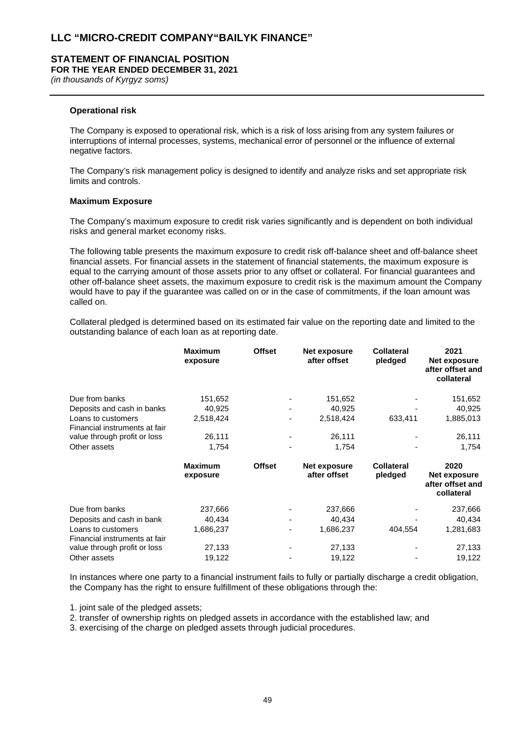#### **STATEMENT OF FINANCIAL POSITION FOR THE YEAR ENDED DECEMBER 31, 2021**

*(in thousands of Kyrgyz soms)*

#### **Operational risk**

The Company is exposed to operational risk, which is a risk of loss arising from any system failures or interruptions of internal processes, systems, mechanical error of personnel or the influence of external negative factors.

The Company's risk management policy is designed to identify and analyze risks and set appropriate risk limits and controls.

#### **Maximum Exposure**

The Company's maximum exposure to credit risk varies significantly and is dependent on both individual risks and general market economy risks.

The following table presents the maximum exposure to credit risk off-balance sheet and off-balance sheet financial assets. For financial assets in the statement of financial statements, the maximum exposure is equal to the carrying amount of those assets prior to any offset or collateral. For financial guarantees and other off-balance sheet assets, the maximum exposure to credit risk is the maximum amount the Company would have to pay if the guarantee was called on or in the case of commitments, if the loan amount was called on.

Collateral pledged is determined based on its estimated fair value on the reporting date and limited to the outstanding balance of each loan as at reporting date.

|                                                     | <b>Maximum</b><br>exposure | <b>Offset</b> | Net exposure<br>after offset | <b>Collateral</b><br>pledged | 2021<br>Net exposure<br>after offset and<br>collateral |
|-----------------------------------------------------|----------------------------|---------------|------------------------------|------------------------------|--------------------------------------------------------|
| Due from banks                                      | 151,652                    |               | 151,652                      |                              | 151,652                                                |
| Deposits and cash in banks                          | 40,925                     |               | 40,925                       |                              | 40,925                                                 |
| Loans to customers<br>Financial instruments at fair | 2,518,424                  |               | 2,518,424                    | 633,411                      | 1,885,013                                              |
| value through profit or loss                        | 26,111                     |               | 26,111                       |                              | 26,111                                                 |
| Other assets                                        | 1,754                      |               | 1,754                        |                              | 1,754                                                  |
|                                                     | <b>Maximum</b><br>exposure | <b>Offset</b> | Net exposure<br>after offset | <b>Collateral</b><br>pledged | 2020<br>Net exposure<br>after offset and<br>collateral |
| Due from banks                                      | 237,666                    |               | 237,666                      |                              | 237,666                                                |
| Deposits and cash in bank                           | 40,434                     |               | 40,434                       |                              | 40,434                                                 |
| Loans to customers<br>Financial instruments at fair | 1,686,237                  |               | 1,686,237                    | 404,554                      | 1,281,683                                              |
|                                                     |                            |               |                              |                              |                                                        |
| value through profit or loss                        | 27,133                     |               | 27,133                       |                              | 27,133                                                 |

In instances where one party to a financial instrument fails to fully or partially discharge a credit obligation, the Company has the right to ensure fulfillment of these obligations through the:

1. joint sale of the pledged assets;

2. transfer of ownership rights on pledged assets in accordance with the established law; and

3. exercising of the charge on pledged assets through judicial procedures.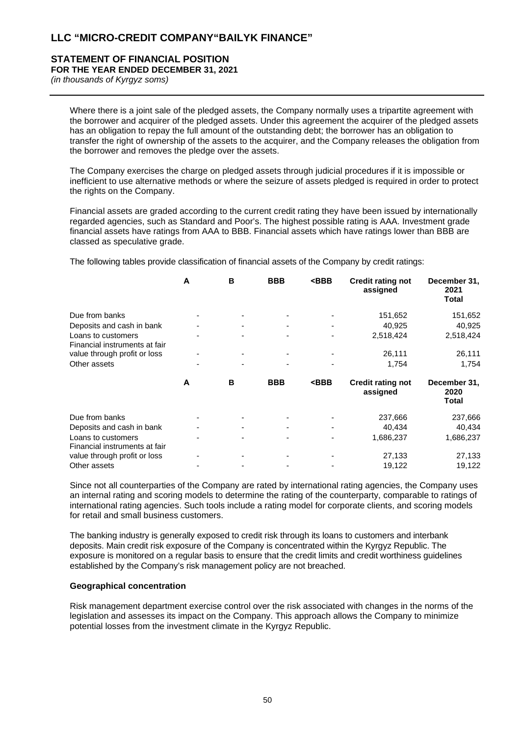## **STATEMENT OF FINANCIAL POSITION FOR THE YEAR ENDED DECEMBER 31, 2021**

*(in thousands of Kyrgyz soms)*

Where there is a joint sale of the pledged assets, the Company normally uses a tripartite agreement with the borrower and acquirer of the pledged assets. Under this agreement the acquirer of the pledged assets has an obligation to repay the full amount of the outstanding debt; the borrower has an obligation to transfer the right of ownership of the assets to the acquirer, and the Company releases the obligation from the borrower and removes the pledge over the assets.

The Company exercises the charge on pledged assets through judicial procedures if it is impossible or inefficient to use alternative methods or where the seizure of assets pledged is required in order to protect the rights on the Company.

Financial assets are graded according to the current credit rating they have been issued by internationally regarded agencies, such as Standard and Poor's. The highest possible rating is AAA. Investment grade financial assets have ratings from AAA to BBB. Financial assets which have ratings lower than BBB are classed as speculative grade.

The following tables provide classification of financial assets of the Company by credit ratings:

|                                                               | A | B | <b>BBB</b> | $<$ BBB                                                                   | <b>Credit rating not</b><br>assigned | December 31,<br>2021<br>Total |
|---------------------------------------------------------------|---|---|------------|---------------------------------------------------------------------------|--------------------------------------|-------------------------------|
| Due from banks                                                |   |   |            |                                                                           | 151,652                              | 151,652                       |
| Deposits and cash in bank                                     |   |   |            |                                                                           | 40,925                               | 40,925                        |
| Loans to customers<br>Financial instruments at fair           |   |   |            |                                                                           | 2,518,424                            | 2,518,424                     |
| value through profit or loss                                  |   |   |            |                                                                           | 26,111                               | 26,111                        |
| Other assets                                                  |   |   |            |                                                                           | 1,754                                | 1,754                         |
|                                                               | A | в | <b>BBB</b> | <bbb< td=""><td><b>Credit rating not</b></td><td>December 31,</td></bbb<> | <b>Credit rating not</b>             | December 31,                  |
|                                                               |   |   |            |                                                                           | assigned                             | 2020<br>Total                 |
| Due from banks                                                |   |   |            |                                                                           | 237,666                              | 237,666                       |
| Deposits and cash in bank                                     |   |   |            |                                                                           | 40,434                               | 40,434                        |
| Loans to customers                                            |   |   |            |                                                                           | 1,686,237                            | 1,686,237                     |
| Financial instruments at fair<br>value through profit or loss |   |   |            |                                                                           | 27,133                               | 27,133                        |

Since not all counterparties of the Company are rated by international rating agencies, the Company uses an internal rating and scoring models to determine the rating of the counterparty, comparable to ratings of international rating agencies. Such tools include a rating model for corporate clients, and scoring models for retail and small business customers.

The banking industry is generally exposed to credit risk through its loans to customers and interbank deposits. Main credit risk exposure of the Company is concentrated within the Kyrgyz Republic. The exposure is monitored on a regular basis to ensure that the credit limits and credit worthiness guidelines established by the Company's risk management policy are not breached.

#### **Geographical concentration**

Risk management department exercise control over the risk associated with changes in the norms of the legislation and assesses its impact on the Company. This approach allows the Company to minimize potential losses from the investment climate in the Kyrgyz Republic.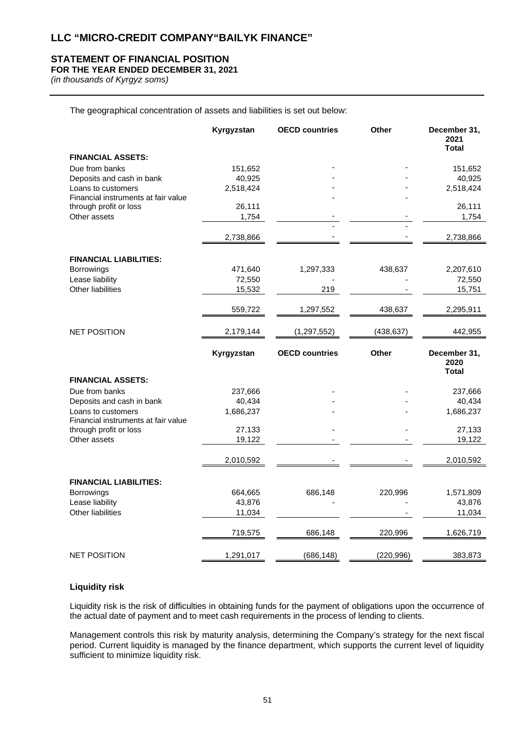## **STATEMENT OF FINANCIAL POSITION**

## **FOR THE YEAR ENDED DECEMBER 31, 2021**

*(in thousands of Kyrgyz soms)*

The geographical concentration of assets and liabilities is set out below:

|                                        | Kyrgyzstan | <b>OECD countries</b> | <b>Other</b> | December 31,<br>2021<br><b>Total</b> |
|----------------------------------------|------------|-----------------------|--------------|--------------------------------------|
| <b>FINANCIAL ASSETS:</b>               |            |                       |              |                                      |
| Due from banks                         | 151,652    |                       |              | 151,652                              |
| Deposits and cash in bank              | 40,925     |                       |              | 40,925                               |
| Loans to customers                     | 2,518,424  |                       |              | 2,518,424                            |
| Financial instruments at fair value    |            |                       |              |                                      |
| through profit or loss                 | 26,111     |                       |              | 26,111                               |
| Other assets                           | 1,754      |                       |              | 1,754                                |
|                                        | 2,738,866  |                       |              | 2,738,866                            |
| <b>FINANCIAL LIABILITIES:</b>          |            |                       |              |                                      |
| <b>Borrowings</b>                      | 471,640    | 1,297,333             | 438,637      | 2,207,610                            |
| Lease liability                        | 72,550     |                       |              | 72,550                               |
| <b>Other liabilities</b>               | 15,532     | 219                   |              | 15,751                               |
|                                        | 559,722    | 1,297,552             | 438,637      | 2,295,911                            |
| <b>NET POSITION</b>                    | 2,179,144  | (1, 297, 552)         | (438, 637)   | 442,955                              |
|                                        |            |                       |              |                                      |
|                                        | Kyrgyzstan | <b>OECD countries</b> | <b>Other</b> | December 31,<br>2020                 |
|                                        |            |                       |              | <b>Total</b>                         |
| <b>FINANCIAL ASSETS:</b>               |            |                       |              |                                      |
| Due from banks                         | 237,666    |                       |              | 237,666                              |
| Deposits and cash in bank              | 40,434     |                       |              | 40,434                               |
| Loans to customers                     | 1,686,237  |                       |              | 1,686,237                            |
| Financial instruments at fair value    | 27,133     |                       |              | 27,133                               |
| through profit or loss<br>Other assets | 19,122     |                       |              | 19,122                               |
|                                        | 2,010,592  |                       |              | 2,010,592                            |
|                                        |            |                       |              |                                      |
| <b>FINANCIAL LIABILITIES:</b>          |            |                       |              |                                      |
| <b>Borrowings</b>                      | 664,665    | 686,148               | 220,996      | 1,571,809                            |
| Lease liability                        | 43,876     |                       |              | 43,876                               |
| <b>Other liabilities</b>               | 11,034     |                       |              | 11,034                               |
|                                        | 719,575    | 686,148               | 220,996      | 1,626,719                            |

## **Liquidity risk**

Liquidity risk is the risk of difficulties in obtaining funds for the payment of obligations upon the occurrence of the actual date of payment and to meet cash requirements in the process of lending to clients.

Management controls this risk by maturity analysis, determining the Company's strategy for the next fiscal period. Current liquidity is managed by the finance department, which supports the current level of liquidity sufficient to minimize liquidity risk.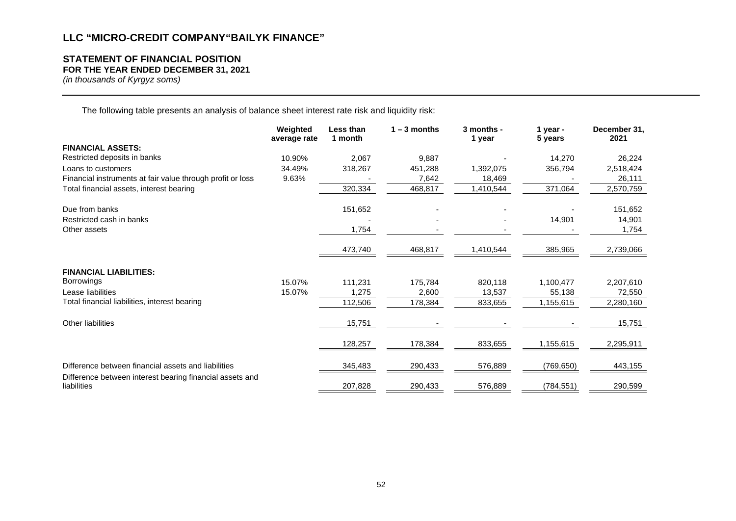# **STATEMENT OF FINANCIAL POSITION**

**FOR THE YEAR ENDED DECEMBER 31, 2021**

*(in thousands of Kyrgyz soms)*

The following table presents an analysis of balance sheet interest rate risk and liquidity risk:

|                                                                         | Weighted<br>average rate | Less than<br>1 month | $1 - 3$ months | 3 months -<br>1 year | 1 year -<br>5 years | December 31,<br>2021 |
|-------------------------------------------------------------------------|--------------------------|----------------------|----------------|----------------------|---------------------|----------------------|
| <b>FINANCIAL ASSETS:</b>                                                |                          |                      |                |                      |                     |                      |
| Restricted deposits in banks                                            | 10.90%                   | 2,067                | 9,887          |                      | 14,270              | 26,224               |
| Loans to customers                                                      | 34.49%                   | 318,267              | 451,288        | 1,392,075            | 356,794             | 2,518,424            |
| Financial instruments at fair value through profit or loss              | 9.63%                    |                      | 7,642          | 18,469               |                     | 26,111               |
| Total financial assets, interest bearing                                |                          | 320,334              | 468,817        | 1,410,544            | 371,064             | 2,570,759            |
| Due from banks                                                          |                          | 151,652              |                |                      |                     | 151,652              |
| Restricted cash in banks                                                |                          |                      |                |                      | 14,901              | 14,901               |
| Other assets                                                            |                          | 1,754                |                |                      |                     | 1,754                |
|                                                                         |                          | 473,740              | 468,817        | 1,410,544            | 385,965             | 2,739,066            |
| <b>FINANCIAL LIABILITIES:</b>                                           |                          |                      |                |                      |                     |                      |
| <b>Borrowings</b>                                                       | 15.07%                   | 111,231              | 175,784        | 820,118              | 1,100,477           | 2,207,610            |
| Lease liabilities                                                       | 15.07%                   | 1,275                | 2,600          | 13,537               | 55,138              | 72,550               |
| Total financial liabilities, interest bearing                           |                          | 112,506              | 178,384        | 833,655              | 1,155,615           | 2,280,160            |
| Other liabilities                                                       |                          | 15,751               |                |                      |                     | 15,751               |
|                                                                         |                          | 128,257              | 178,384        | 833,655              | 1,155,615           | 2,295,911            |
| Difference between financial assets and liabilities                     |                          | 345,483              | 290,433        | 576,889              | (769, 650)          | 443,155              |
| Difference between interest bearing financial assets and<br>liabilities |                          | 207,828              | 290,433        | 576,889              | (784, 551)          | 290,599              |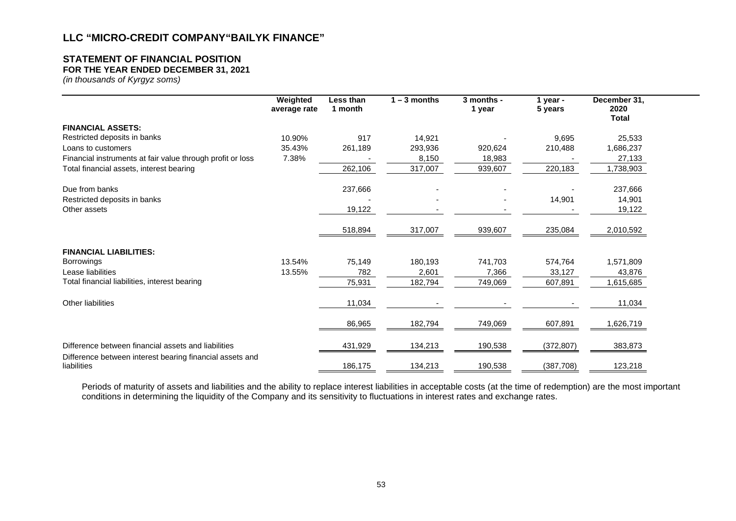## **STATEMENT OF FINANCIAL POSITION**

**FOR THE YEAR ENDED DECEMBER 31, 2021**

*(in thousands of Kyrgyz soms)*

|                                                                         | Weighted<br>average rate | Less than<br>1 month | $1 - 3$ months | 3 months -<br>1 year | 1 year -<br>5 years | December 31,<br>2020<br><b>Total</b> |  |
|-------------------------------------------------------------------------|--------------------------|----------------------|----------------|----------------------|---------------------|--------------------------------------|--|
| <b>FINANCIAL ASSETS:</b>                                                |                          |                      |                |                      |                     |                                      |  |
| Restricted deposits in banks                                            | 10.90%                   | 917                  | 14,921         |                      | 9,695               | 25,533                               |  |
| Loans to customers                                                      | 35.43%                   | 261,189              | 293,936        | 920,624              | 210,488             | 1,686,237                            |  |
| Financial instruments at fair value through profit or loss              | 7.38%                    |                      | 8,150          | 18,983               |                     | 27,133                               |  |
| Total financial assets, interest bearing                                |                          | 262,106              | 317,007        | 939,607              | 220,183             | 1,738,903                            |  |
| Due from banks                                                          |                          | 237,666              |                |                      |                     | 237,666                              |  |
| Restricted deposits in banks                                            |                          |                      |                |                      | 14,901              | 14,901                               |  |
| Other assets                                                            |                          | 19,122               |                |                      |                     | 19,122                               |  |
|                                                                         |                          | 518,894              | 317,007        | 939,607              | 235,084             | 2,010,592                            |  |
| <b>FINANCIAL LIABILITIES:</b>                                           |                          |                      |                |                      |                     |                                      |  |
| <b>Borrowings</b>                                                       | 13.54%                   | 75,149               | 180,193        | 741,703              | 574,764             | 1,571,809                            |  |
| Lease liabilities                                                       | 13.55%                   | 782                  | 2,601          | 7,366                | 33,127              | 43,876                               |  |
| Total financial liabilities, interest bearing                           |                          | 75,931               | 182,794        | 749,069              | 607,891             | 1,615,685                            |  |
| Other liabilities                                                       |                          | 11,034               |                |                      |                     | 11,034                               |  |
|                                                                         |                          | 86,965               | 182,794        | 749,069              | 607,891             | 1,626,719                            |  |
| Difference between financial assets and liabilities                     |                          | 431,929              | 134,213        | 190,538              | (372, 807)          | 383,873                              |  |
| Difference between interest bearing financial assets and<br>liabilities |                          | 186,175              | 134,213        | 190,538              | (387,708)           | 123,218                              |  |

Periods of maturity of assets and liabilities and the ability to replace interest liabilities in acceptable costs (at the time of redemption) are the most important conditions in determining the liquidity of the Company and its sensitivity to fluctuations in interest rates and exchange rates.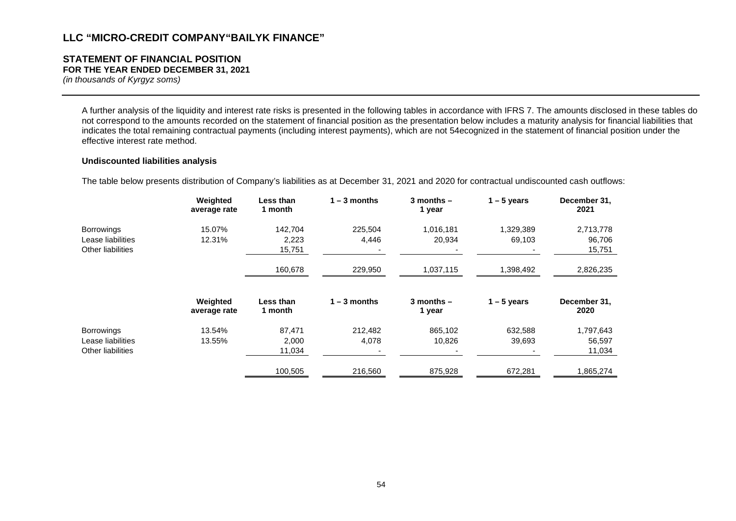#### **STATEMENT OF FINANCIAL POSITION FOR THE YEAR ENDED DECEMBER 31, 2021**

*(in thousands of Kyrgyz soms)*

A further analysis of the liquidity and interest rate risks is presented in the following tables in accordance with IFRS 7. The amounts disclosed in these tables do not correspond to the amounts recorded on the statement of financial position as the presentation below includes a maturity analysis for financial liabilities that indicates the total remaining contractual payments (including interest payments), which are not 54ecognized in the statement of financial position under the effective interest rate method.

#### **Undiscounted liabilities analysis**

The table below presents distribution of Company's liabilities as at December 31, 2021 and 2020 for contractual undiscounted cash outflows:

|                          | Weighted<br>average rate | Less than<br>1 month | $1 - 3$ months | $3$ months $-$<br>1 year | $1 - 5$ years | December 31,<br>2021 |
|--------------------------|--------------------------|----------------------|----------------|--------------------------|---------------|----------------------|
| <b>Borrowings</b>        | 15.07%                   | 142,704              | 225,504        | 1,016,181                | 1,329,389     | 2,713,778            |
| Lease liabilities        | 12.31%                   | 2,223                | 4,446          | 20,934                   | 69,103        | 96,706               |
| <b>Other liabilities</b> |                          | 15,751               |                |                          |               | 15,751               |
|                          |                          | 160,678              | 229,950        | 1,037,115                | 1,398,492     | 2,826,235            |
|                          | Weighted<br>average rate | Less than<br>1 month | $1 - 3$ months | $3$ months $-$<br>1 year | $1 - 5$ years | December 31,<br>2020 |
| <b>Borrowings</b>        | 13.54%                   | 87,471               | 212,482        | 865,102                  | 632,588       | 1,797,643            |
| Lease liabilities        | 13.55%                   | 2,000                | 4,078          | 10,826                   | 39,693        | 56,597               |
| <b>Other liabilities</b> |                          | 11,034               |                |                          |               | 11,034               |
|                          |                          | 100,505              | 216,560        | 875,928                  | 672,281       | 1,865,274            |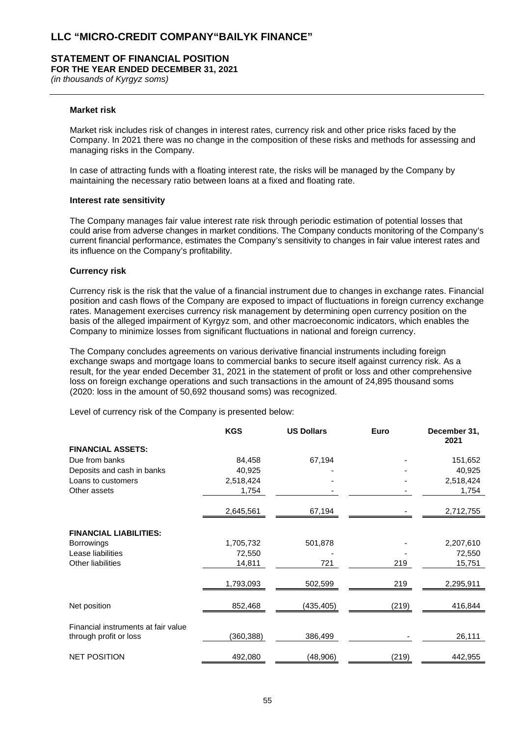# **STATEMENT OF FINANCIAL POSITION**

**FOR THE YEAR ENDED DECEMBER 31, 2021**

*(in thousands of Kyrgyz soms)*

#### **Market risk**

Market risk includes risk of changes in interest rates, currency risk and other price risks faced by the Company. In 2021 there was no change in the composition of these risks and methods for assessing and managing risks in the Company.

In case of attracting funds with a floating interest rate, the risks will be managed by the Company by maintaining the necessary ratio between loans at a fixed and floating rate.

#### **Interest rate sensitivity**

The Company manages fair value interest rate risk through periodic estimation of potential losses that could arise from adverse changes in market conditions. The Company conducts monitoring of the Company's current financial performance, estimates the Company's sensitivity to changes in fair value interest rates and its influence on the Company's profitability.

#### **Currency risk**

Currency risk is the risk that the value of a financial instrument due to changes in exchange rates. Financial position and cash flows of the Company are exposed to impact of fluctuations in foreign currency exchange rates. Management exercises currency risk management by determining open currency position on the basis of the alleged impairment of Kyrgyz som, and other macroeconomic indicators, which enables the Company to minimize losses from significant fluctuations in national and foreign currency.

The Company concludes agreements on various derivative financial instruments including foreign exchange swaps and mortgage loans to commercial banks to secure itself against currency risk. As a result, for the year ended December 31, 2021 in the statement of profit or loss and other comprehensive loss on foreign exchange operations and such transactions in the amount of 24,895 thousand soms (2020: loss in the amount of 50,692 thousand soms) was recognized.

Level of currency risk of the Company is presented below:

|                                                               | <b>KGS</b> | <b>US Dollars</b> | Euro  | December 31,<br>2021 |
|---------------------------------------------------------------|------------|-------------------|-------|----------------------|
| <b>FINANCIAL ASSETS:</b>                                      |            |                   |       |                      |
| Due from banks                                                | 84,458     | 67,194            |       | 151,652              |
| Deposits and cash in banks                                    | 40,925     |                   |       | 40,925               |
| Loans to customers                                            | 2,518,424  |                   |       | 2,518,424            |
| Other assets                                                  | 1,754      |                   |       | 1,754                |
|                                                               | 2,645,561  | 67,194            |       | 2,712,755            |
| <b>FINANCIAL LIABILITIES:</b>                                 |            |                   |       |                      |
| <b>Borrowings</b>                                             | 1,705,732  | 501,878           |       | 2,207,610            |
| Lease liabilities                                             | 72,550     |                   |       | 72,550               |
| Other liabilities                                             | 14,811     | 721               | 219   | 15,751               |
|                                                               | 1,793,093  | 502,599           | 219   | 2,295,911            |
| Net position                                                  | 852,468    | (435,405)         | (219) | 416,844              |
|                                                               |            |                   |       |                      |
| Financial instruments at fair value<br>through profit or loss | (360,388)  | 386,499           |       | 26,111               |
| <b>NET POSITION</b>                                           | 492,080    | (48,906)          | (219) | 442,955              |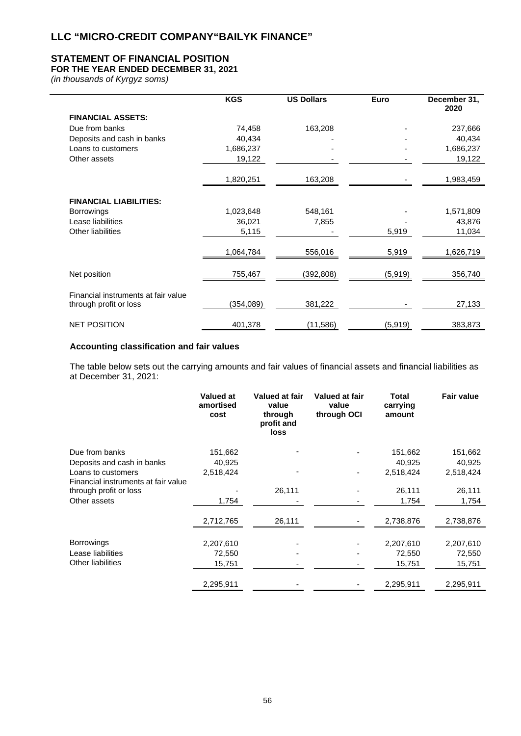## **STATEMENT OF FINANCIAL POSITION**

## **FOR THE YEAR ENDED DECEMBER 31, 2021**

*(in thousands of Kyrgyz soms)*

|                                                               | <b>KGS</b> | <b>US Dollars</b> | Euro     | December 31,<br>2020 |
|---------------------------------------------------------------|------------|-------------------|----------|----------------------|
| <b>FINANCIAL ASSETS:</b>                                      |            |                   |          |                      |
| Due from banks                                                | 74,458     | 163,208           |          | 237,666              |
| Deposits and cash in banks                                    | 40,434     |                   |          | 40,434               |
| Loans to customers                                            | 1,686,237  |                   |          | 1,686,237            |
| Other assets                                                  | 19,122     |                   |          | 19,122               |
|                                                               | 1,820,251  | 163,208           |          | 1,983,459            |
| <b>FINANCIAL LIABILITIES:</b>                                 |            |                   |          |                      |
| <b>Borrowings</b>                                             | 1,023,648  | 548,161           |          | 1,571,809            |
| Lease liabilities                                             | 36,021     | 7,855             |          | 43,876               |
| Other liabilities                                             | 5,115      |                   | 5,919    | 11,034               |
|                                                               | 1,064,784  | 556,016           | 5,919    | 1,626,719            |
| Net position                                                  | 755,467    | (392,808)         | (5, 919) | 356,740              |
|                                                               |            |                   |          |                      |
| Financial instruments at fair value<br>through profit or loss | (354,089)  | 381,222           |          | 27,133               |
| <b>NET POSITION</b>                                           | 401,378    | (11, 586)         | (5,919)  | 383,873              |

## **Accounting classification and fair values**

The table below sets out the carrying amounts and fair values of financial assets and financial liabilities as at December 31, 2021:

|                                                           | <b>Valued at</b><br>amortised<br>cost | Valued at fair<br>value<br>through<br>profit and<br>loss | Valued at fair<br>value<br>through OCI | <b>Total</b><br>carrying<br>amount | <b>Fair value</b> |
|-----------------------------------------------------------|---------------------------------------|----------------------------------------------------------|----------------------------------------|------------------------------------|-------------------|
| Due from banks                                            | 151,662                               |                                                          |                                        | 151,662                            | 151,662           |
| Deposits and cash in banks                                | 40,925                                |                                                          |                                        | 40,925                             | 40,925            |
| Loans to customers<br>Financial instruments at fair value | 2,518,424                             |                                                          |                                        | 2,518,424                          | 2,518,424         |
| through profit or loss                                    |                                       | 26,111                                                   |                                        | 26,111                             | 26,111            |
| Other assets                                              | 1,754                                 |                                                          |                                        | 1,754                              | 1,754             |
|                                                           | 2,712,765                             | 26,111                                                   |                                        | 2,738,876                          | 2,738,876         |
| <b>Borrowings</b>                                         | 2,207,610                             |                                                          |                                        | 2,207,610                          | 2,207,610         |
| Lease liabilities                                         | 72,550                                |                                                          |                                        | 72,550                             | 72,550            |
| Other liabilities                                         | 15,751                                |                                                          |                                        | 15,751                             | 15,751            |
|                                                           | 2,295,911                             |                                                          |                                        | 2,295,911                          | 2,295,911         |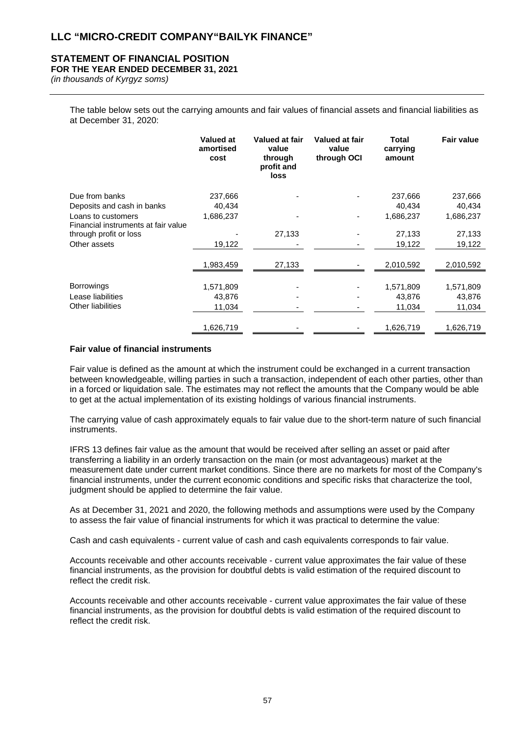## **STATEMENT OF FINANCIAL POSITION**

**FOR THE YEAR ENDED DECEMBER 31, 2021**

*(in thousands of Kyrgyz soms)*

The table below sets out the carrying amounts and fair values of financial assets and financial liabilities as at December 31, 2020:

|                                                           | Valued at<br>amortised<br>cost | Valued at fair<br>value<br>through<br>profit and<br>loss | <b>Valued at fair</b><br>value<br>through OCI | <b>Total</b><br>carrying<br>amount | <b>Fair value</b> |
|-----------------------------------------------------------|--------------------------------|----------------------------------------------------------|-----------------------------------------------|------------------------------------|-------------------|
| Due from banks                                            | 237,666                        |                                                          |                                               | 237,666                            | 237,666           |
| Deposits and cash in banks                                | 40,434                         |                                                          |                                               | 40,434                             | 40,434            |
| Loans to customers<br>Financial instruments at fair value | 1,686,237                      |                                                          |                                               | 1,686,237                          | 1,686,237         |
| through profit or loss                                    |                                | 27,133                                                   |                                               | 27,133                             | 27,133            |
| Other assets                                              | 19,122                         |                                                          |                                               | 19,122                             | 19,122            |
|                                                           | 1,983,459                      | 27,133                                                   |                                               | 2,010,592                          | 2,010,592         |
| <b>Borrowings</b>                                         | 1,571,809                      |                                                          |                                               | 1,571,809                          | 1,571,809         |
| Lease liabilities                                         | 43,876                         |                                                          |                                               | 43,876                             | 43,876            |
| <b>Other liabilities</b>                                  | 11,034                         |                                                          |                                               | 11,034                             | 11,034            |
|                                                           | 1,626,719                      |                                                          |                                               | 1,626,719                          | 1,626,719         |

#### **Fair value of financial instruments**

Fair value is defined as the amount at which the instrument could be exchanged in a current transaction between knowledgeable, willing parties in such a transaction, independent of each other parties, other than in a forced or liquidation sale. The estimates may not reflect the amounts that the Company would be able to get at the actual implementation of its existing holdings of various financial instruments.

The carrying value of cash approximately equals to fair value due to the short-term nature of such financial instruments.

IFRS 13 defines fair value as the amount that would be received after selling an asset or paid after transferring a liability in an orderly transaction on the main (or most advantageous) market at the measurement date under current market conditions. Since there are no markets for most of the Company's financial instruments, under the current economic conditions and specific risks that characterize the tool, judgment should be applied to determine the fair value.

As at December 31, 2021 and 2020, the following methods and assumptions were used by the Company to assess the fair value of financial instruments for which it was practical to determine the value:

Cash and cash equivalents - current value of cash and cash equivalents corresponds to fair value.

Accounts receivable and other accounts receivable - current value approximates the fair value of these financial instruments, as the provision for doubtful debts is valid estimation of the required discount to reflect the credit risk.

Accounts receivable and other accounts receivable - current value approximates the fair value of these financial instruments, as the provision for doubtful debts is valid estimation of the required discount to reflect the credit risk.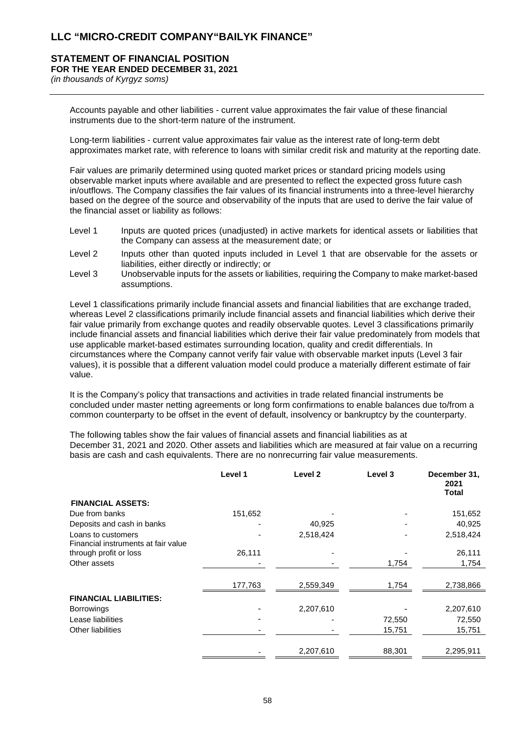#### **STATEMENT OF FINANCIAL POSITION FOR THE YEAR ENDED DECEMBER 31, 2021**

*(in thousands of Kyrgyz soms)*

Accounts payable and other liabilities - current value approximates the fair value of these financial instruments due to the short-term nature of the instrument.

Long-term liabilities - current value approximates fair value as the interest rate of long-term debt approximates market rate, with reference to loans with similar credit risk and maturity at the reporting date.

Fair values are primarily determined using quoted market prices or standard pricing models using observable market inputs where available and are presented to reflect the expected gross future cash in/outflows. The Company classifies the fair values of its financial instruments into a three-level hierarchy based on the degree of the source and observability of the inputs that are used to derive the fair value of the financial asset or liability as follows:

- Level 1 Inputs are quoted prices (unadjusted) in active markets for identical assets or liabilities that the Company can assess at the measurement date; or
- Level 2 Inputs other than quoted inputs included in Level 1 that are observable for the assets or liabilities, either directly or indirectly; or
- Level 3 Unobservable inputs for the assets or liabilities, requiring the Company to make market-based assumptions.

Level 1 classifications primarily include financial assets and financial liabilities that are exchange traded, whereas Level 2 classifications primarily include financial assets and financial liabilities which derive their fair value primarily from exchange quotes and readily observable quotes. Level 3 classifications primarily include financial assets and financial liabilities which derive their fair value predominately from models that use applicable market-based estimates surrounding location, quality and credit differentials. In circumstances where the Company cannot verify fair value with observable market inputs (Level 3 fair values), it is possible that a different valuation model could produce a materially different estimate of fair value.

It is the Company's policy that transactions and activities in trade related financial instruments be concluded under master netting agreements or long form confirmations to enable balances due to/from a common counterparty to be offset in the event of default, insolvency or bankruptcy by the counterparty.

The following tables show the fair values of financial assets and financial liabilities as at December 31, 2021 and 2020. Other assets and liabilities which are measured at fair value on a recurring basis are cash and cash equivalents. There are no nonrecurring fair value measurements.

|                                                           | Level 1 | Level <sub>2</sub> | Level 3 | December 31,<br>2021<br>Total |
|-----------------------------------------------------------|---------|--------------------|---------|-------------------------------|
| <b>FINANCIAL ASSETS:</b>                                  |         |                    |         |                               |
| Due from banks                                            | 151,652 |                    |         | 151,652                       |
| Deposits and cash in banks                                |         | 40,925             |         | 40,925                        |
| Loans to customers<br>Financial instruments at fair value |         | 2,518,424          |         | 2,518,424                     |
| through profit or loss                                    | 26,111  |                    |         | 26,111                        |
| Other assets                                              |         |                    | 1,754   | 1,754                         |
|                                                           | 177,763 | 2,559,349          | 1,754   | 2,738,866                     |
| <b>FINANCIAL LIABILITIES:</b>                             |         |                    |         |                               |
| <b>Borrowings</b>                                         |         | 2,207,610          |         | 2,207,610                     |
| Lease liabilities                                         |         |                    | 72,550  | 72,550                        |
| Other liabilities                                         |         |                    | 15,751  | 15,751                        |
|                                                           |         | 2,207,610          | 88,301  | 2,295,911                     |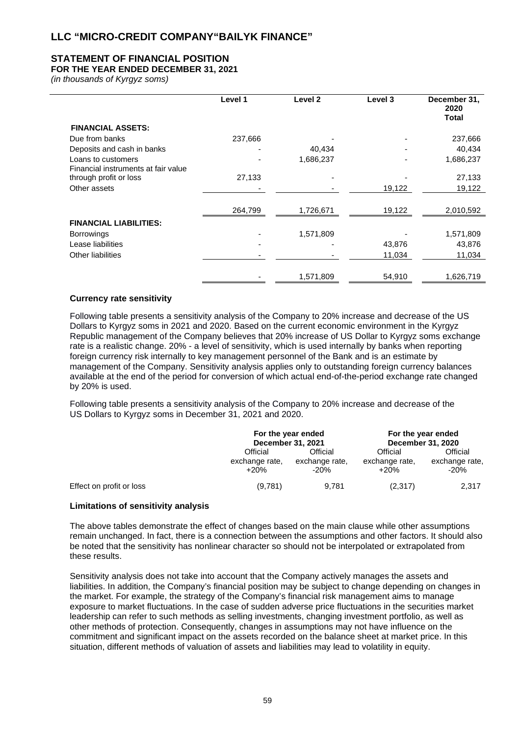## **STATEMENT OF FINANCIAL POSITION**

## **FOR THE YEAR ENDED DECEMBER 31, 2021**

*(in thousands of Kyrgyz soms)*

|                                                               | Level 1 | Level <sub>2</sub> | Level 3 | December 31,<br>2020<br>Total |
|---------------------------------------------------------------|---------|--------------------|---------|-------------------------------|
| <b>FINANCIAL ASSETS:</b>                                      |         |                    |         |                               |
| Due from banks                                                | 237,666 |                    |         | 237,666                       |
| Deposits and cash in banks                                    |         | 40,434             |         | 40,434                        |
| Loans to customers                                            |         | 1,686,237          |         | 1,686,237                     |
| Financial instruments at fair value<br>through profit or loss | 27,133  |                    |         | 27,133                        |
| Other assets                                                  |         |                    | 19,122  | 19,122                        |
|                                                               |         |                    |         |                               |
|                                                               | 264,799 | 1,726,671          | 19,122  | 2,010,592                     |
| <b>FINANCIAL LIABILITIES:</b>                                 |         |                    |         |                               |
| <b>Borrowings</b>                                             |         | 1,571,809          |         | 1,571,809                     |
| Lease liabilities                                             |         |                    | 43,876  | 43,876                        |
| Other liabilities                                             |         |                    | 11,034  | 11,034                        |
|                                                               |         |                    |         |                               |
|                                                               |         | 1,571,809          | 54,910  | 1,626,719                     |

## **Currency rate sensitivity**

Following table presents a sensitivity analysis of the Company to 20% increase and decrease of the US Dollars to Kyrgyz soms in 2021 and 2020. Based on the current economic environment in the Kyrgyz Republic management of the Company believes that 20% increase of US Dollar to Kyrgyz soms exchange rate is a realistic change. 20% - a level of sensitivity, which is used internally by banks when reporting foreign currency risk internally to key management personnel of the Bank and is an estimate by management of the Company. Sensitivity analysis applies only to outstanding foreign currency balances available at the end of the period for conversion of which actual end-of-the-period exchange rate changed by 20% is used.

Following table presents a sensitivity analysis of the Company to 20% increase and decrease of the US Dollars to Kyrgyz soms in December 31, 2021 and 2020.

|                          | For the year ended<br>December 31, 2021 |                                      | For the year ended<br><b>December 31, 2020</b> |                                      |
|--------------------------|-----------------------------------------|--------------------------------------|------------------------------------------------|--------------------------------------|
|                          | Official<br>exchange rate,<br>$+20%$    | Official<br>exchange rate,<br>$-20%$ | Official<br>exchange rate,<br>$+20%$           | Official<br>exchange rate,<br>$-20%$ |
| Effect on profit or loss | (9,781)                                 | 9.781                                | (2,317)                                        | 2,317                                |

#### **Limitations of sensitivity analysis**

The above tables demonstrate the effect of changes based on the main clause while other assumptions remain unchanged. In fact, there is a connection between the assumptions and other factors. It should also be noted that the sensitivity has nonlinear character so should not be interpolated or extrapolated from these results.

Sensitivity analysis does not take into account that the Company actively manages the assets and liabilities. In addition, the Company's financial position may be subject to change depending on changes in the market. For example, the strategy of the Company's financial risk management aims to manage exposure to market fluctuations. In the case of sudden adverse price fluctuations in the securities market leadership can refer to such methods as selling investments, changing investment portfolio, as well as other methods of protection. Consequently, changes in assumptions may not have influence on the commitment and significant impact on the assets recorded on the balance sheet at market price. In this situation, different methods of valuation of assets and liabilities may lead to volatility in equity.